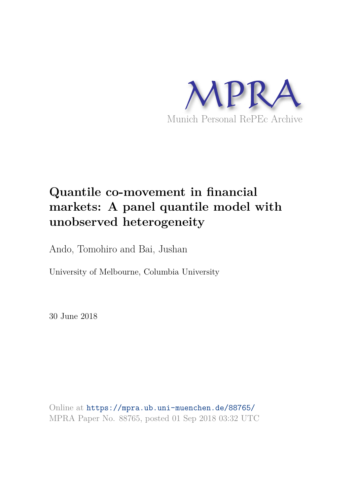

# **Quantile co-movement in financial markets: A panel quantile model with unobserved heterogeneity**

Ando, Tomohiro and Bai, Jushan

University of Melbourne, Columbia University

30 June 2018

Online at https://mpra.ub.uni-muenchen.de/88765/ MPRA Paper No. 88765, posted 01 Sep 2018 03:32 UTC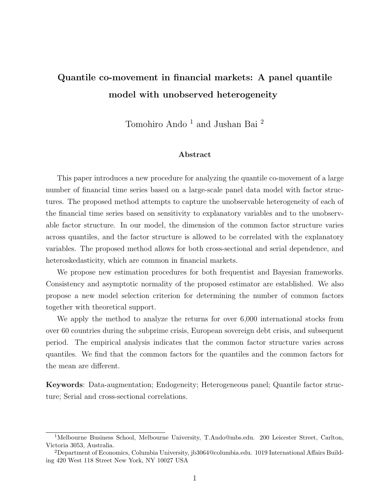# Quantile co-movement in financial markets: A panel quantile model with unobserved heterogeneity

Tomohiro Ando <sup>1</sup> and Jushan Bai <sup>2</sup>

#### Abstract

This paper introduces a new procedure for analyzing the quantile co-movement of a large number of financial time series based on a large-scale panel data model with factor structures. The proposed method attempts to capture the unobservable heterogeneity of each of the financial time series based on sensitivity to explanatory variables and to the unobservable factor structure. In our model, the dimension of the common factor structure varies across quantiles, and the factor structure is allowed to be correlated with the explanatory variables. The proposed method allows for both cross-sectional and serial dependence, and heteroskedasticity, which are common in financial markets.

We propose new estimation procedures for both frequentist and Bayesian frameworks. Consistency and asymptotic normality of the proposed estimator are established. We also propose a new model selection criterion for determining the number of common factors together with theoretical support.

We apply the method to analyze the returns for over 6,000 international stocks from over 60 countries during the subprime crisis, European sovereign debt crisis, and subsequent period. The empirical analysis indicates that the common factor structure varies across quantiles. We find that the common factors for the quantiles and the common factors for the mean are different.

Keywords: Data-augmentation; Endogeneity; Heterogeneous panel; Quantile factor structure; Serial and cross-sectional correlations.

<sup>&</sup>lt;sup>1</sup>Melbourne Business School, Melbourne University, T.Ando@mbs.edu. 200 Leicester Street, Carlton, Victoria 3053, Australia.

<sup>2</sup>Department of Economics, Columbia University, jb3064@columbia.edu. 1019 International Affairs Building 420 West 118 Street New York, NY 10027 USA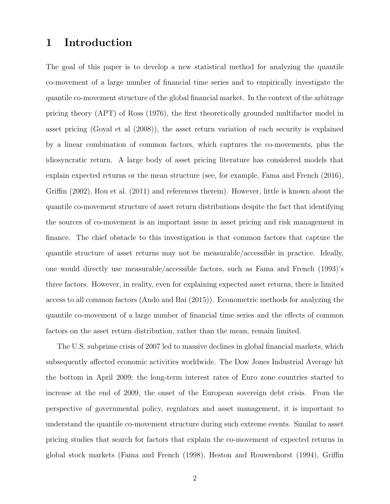# 1 Introduction

The goal of this paper is to develop a new statistical method for analyzing the quantile co-movement of a large number of financial time series and to empirically investigate the quantile co-movement structure of the global financial market. In the context of the arbitrage pricing theory (APT) of Ross (1976), the first theoretically grounded multifactor model in asset pricing (Goyal et al (2008)), the asset return variation of each security is explained by a linear combination of common factors, which captures the co-movements, plus the idiosyncratic return. A large body of asset pricing literature has considered models that explain expected returns or the mean structure (see, for example, Fama and French (2016), Griffin (2002), Hou et al. (2011) and references therein). However, little is known about the quantile co-movement structure of asset return distributions despite the fact that identifying the sources of co-movement is an important issue in asset pricing and risk management in finance. The chief obstacle to this investigation is that common factors that capture the quantile structure of asset returns may not be measurable/accessible in practice. Ideally, one would directly use measurable/accessible factors, such as Fama and French (1993)'s three factors. However, in reality, even for explaining expected asset returns, there is limited access to all common factors (Ando and Bai (2015)). Econometric methods for analyzing the quantile co-movement of a large number of financial time series and the effects of common factors on the asset return distribution, rather than the mean, remain limited.

The U.S. subprime crisis of 2007 led to massive declines in global financial markets, which subsequently affected economic activities worldwide. The Dow Jones Industrial Average hit the bottom in April 2009; the long-term interest rates of Euro zone countries started to increase at the end of 2009, the onset of the European sovereign debt crisis. From the perspective of governmental policy, regulators and asset management, it is important to understand the quantile co-movement structure during such extreme events. Similar to asset pricing studies that search for factors that explain the co-movement of expected returns in global stock markets (Fama and French (1998), Heston and Rouwenhorst (1994), Griffin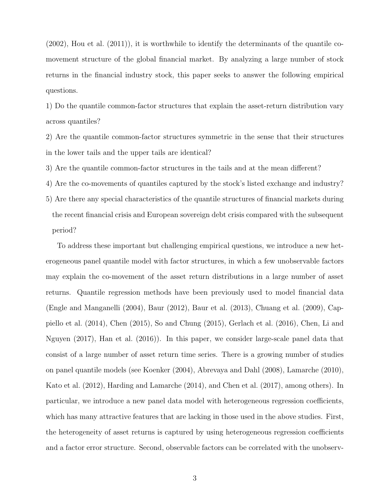$(2002)$ , Hou et al.  $(2011)$ , it is worthwhile to identify the determinants of the quantile comovement structure of the global financial market. By analyzing a large number of stock returns in the financial industry stock, this paper seeks to answer the following empirical questions.

1) Do the quantile common-factor structures that explain the asset-return distribution vary across quantiles?

2) Are the quantile common-factor structures symmetric in the sense that their structures in the lower tails and the upper tails are identical?

3) Are the quantile common-factor structures in the tails and at the mean different?

4) Are the co-movements of quantiles captured by the stock's listed exchange and industry?

5) Are there any special characteristics of the quantile structures of financial markets during the recent financial crisis and European sovereign debt crisis compared with the subsequent period?

To address these important but challenging empirical questions, we introduce a new heterogeneous panel quantile model with factor structures, in which a few unobservable factors may explain the co-movement of the asset return distributions in a large number of asset returns. Quantile regression methods have been previously used to model financial data (Engle and Manganelli (2004), Baur (2012), Baur et al. (2013), Chuang et al. (2009), Cappiello et al. (2014), Chen (2015), So and Chung (2015), Gerlach et al. (2016), Chen, Li and Nguyen (2017), Han et al. (2016)). In this paper, we consider large-scale panel data that consist of a large number of asset return time series. There is a growing number of studies on panel quantile models (see Koenker (2004), Abrevaya and Dahl (2008), Lamarche (2010), Kato et al. (2012), Harding and Lamarche (2014), and Chen et al. (2017), among others). In particular, we introduce a new panel data model with heterogeneous regression coefficients, which has many attractive features that are lacking in those used in the above studies. First, the heterogeneity of asset returns is captured by using heterogeneous regression coefficients and a factor error structure. Second, observable factors can be correlated with the unobserv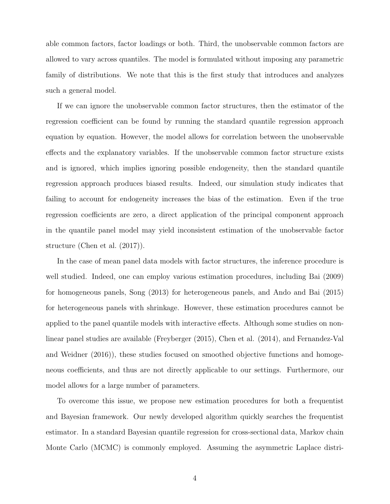able common factors, factor loadings or both. Third, the unobservable common factors are allowed to vary across quantiles. The model is formulated without imposing any parametric family of distributions. We note that this is the first study that introduces and analyzes such a general model.

If we can ignore the unobservable common factor structures, then the estimator of the regression coefficient can be found by running the standard quantile regression approach equation by equation. However, the model allows for correlation between the unobservable effects and the explanatory variables. If the unobservable common factor structure exists and is ignored, which implies ignoring possible endogeneity, then the standard quantile regression approach produces biased results. Indeed, our simulation study indicates that failing to account for endogeneity increases the bias of the estimation. Even if the true regression coefficients are zero, a direct application of the principal component approach in the quantile panel model may yield inconsistent estimation of the unobservable factor structure (Chen et al. (2017)).

In the case of mean panel data models with factor structures, the inference procedure is well studied. Indeed, one can employ various estimation procedures, including Bai (2009) for homogeneous panels, Song (2013) for heterogeneous panels, and Ando and Bai (2015) for heterogeneous panels with shrinkage. However, these estimation procedures cannot be applied to the panel quantile models with interactive effects. Although some studies on nonlinear panel studies are available (Freyberger (2015), Chen et al. (2014), and Fernandez-Val and Weidner (2016)), these studies focused on smoothed objective functions and homogeneous coefficients, and thus are not directly applicable to our settings. Furthermore, our model allows for a large number of parameters.

To overcome this issue, we propose new estimation procedures for both a frequentist and Bayesian framework. Our newly developed algorithm quickly searches the frequentist estimator. In a standard Bayesian quantile regression for cross-sectional data, Markov chain Monte Carlo (MCMC) is commonly employed. Assuming the asymmetric Laplace distri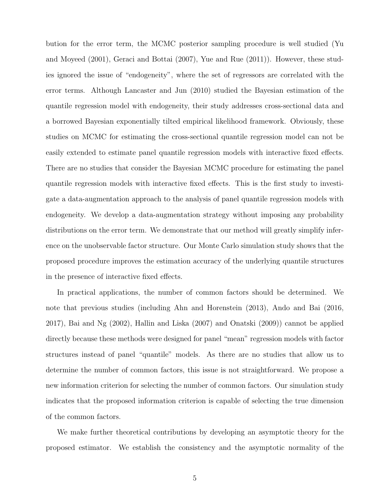bution for the error term, the MCMC posterior sampling procedure is well studied (Yu and Moyeed (2001), Geraci and Bottai (2007), Yue and Rue (2011)). However, these studies ignored the issue of "endogeneity", where the set of regressors are correlated with the error terms. Although Lancaster and Jun (2010) studied the Bayesian estimation of the quantile regression model with endogeneity, their study addresses cross-sectional data and a borrowed Bayesian exponentially tilted empirical likelihood framework. Obviously, these studies on MCMC for estimating the cross-sectional quantile regression model can not be easily extended to estimate panel quantile regression models with interactive fixed effects. There are no studies that consider the Bayesian MCMC procedure for estimating the panel quantile regression models with interactive fixed effects. This is the first study to investigate a data-augmentation approach to the analysis of panel quantile regression models with endogeneity. We develop a data-augmentation strategy without imposing any probability distributions on the error term. We demonstrate that our method will greatly simplify inference on the unobservable factor structure. Our Monte Carlo simulation study shows that the proposed procedure improves the estimation accuracy of the underlying quantile structures in the presence of interactive fixed effects.

In practical applications, the number of common factors should be determined. We note that previous studies (including Ahn and Horenstein (2013), Ando and Bai (2016, 2017), Bai and Ng (2002), Hallin and Liska (2007) and Onatski (2009)) cannot be applied directly because these methods were designed for panel "mean" regression models with factor structures instead of panel "quantile" models. As there are no studies that allow us to determine the number of common factors, this issue is not straightforward. We propose a new information criterion for selecting the number of common factors. Our simulation study indicates that the proposed information criterion is capable of selecting the true dimension of the common factors.

We make further theoretical contributions by developing an asymptotic theory for the proposed estimator. We establish the consistency and the asymptotic normality of the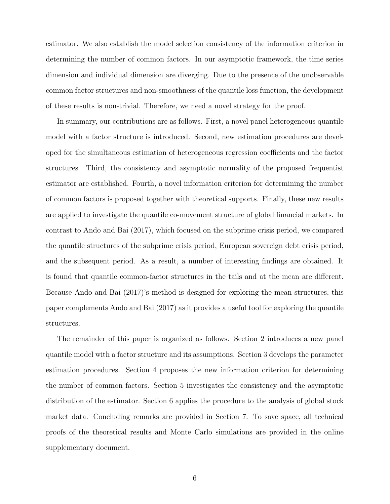estimator. We also establish the model selection consistency of the information criterion in determining the number of common factors. In our asymptotic framework, the time series dimension and individual dimension are diverging. Due to the presence of the unobservable common factor structures and non-smoothness of the quantile loss function, the development of these results is non-trivial. Therefore, we need a novel strategy for the proof.

In summary, our contributions are as follows. First, a novel panel heterogeneous quantile model with a factor structure is introduced. Second, new estimation procedures are developed for the simultaneous estimation of heterogeneous regression coefficients and the factor structures. Third, the consistency and asymptotic normality of the proposed frequentist estimator are established. Fourth, a novel information criterion for determining the number of common factors is proposed together with theoretical supports. Finally, these new results are applied to investigate the quantile co-movement structure of global financial markets. In contrast to Ando and Bai (2017), which focused on the subprime crisis period, we compared the quantile structures of the subprime crisis period, European sovereign debt crisis period, and the subsequent period. As a result, a number of interesting findings are obtained. It is found that quantile common-factor structures in the tails and at the mean are different. Because Ando and Bai (2017)'s method is designed for exploring the mean structures, this paper complements Ando and Bai (2017) as it provides a useful tool for exploring the quantile structures.

The remainder of this paper is organized as follows. Section 2 introduces a new panel quantile model with a factor structure and its assumptions. Section 3 develops the parameter estimation procedures. Section 4 proposes the new information criterion for determining the number of common factors. Section 5 investigates the consistency and the asymptotic distribution of the estimator. Section 6 applies the procedure to the analysis of global stock market data. Concluding remarks are provided in Section 7. To save space, all technical proofs of the theoretical results and Monte Carlo simulations are provided in the online supplementary document.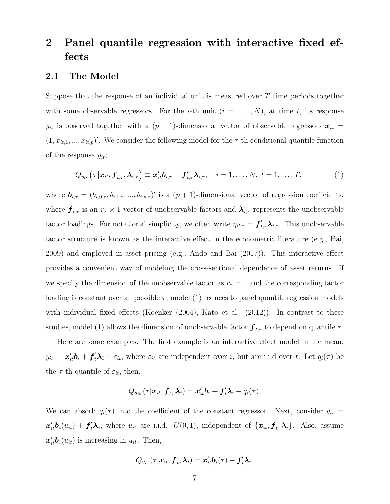# 2 Panel quantile regression with interactive fixed effects

### 2.1 The Model

Suppose that the response of an individual unit is measured over  $T$  time periods together with some observable regressors. For the *i*-th unit  $(i = 1, ..., N)$ , at time *t*, its response  $y_{it}$  is observed together with a  $(p + 1)$ -dimensional vector of observable regressors  $x_{it}$  =  $(1, x_{it,1}, ..., x_{it,p})'$ . We consider the following model for the  $\tau$ -th conditional quantile function of the response  $y_{it}$ ;

$$
Q_{y_{it}}\left(\tau|\boldsymbol{x}_{it},\boldsymbol{f}_{t,\tau},\boldsymbol{\lambda}_{i,\tau}\right)\equiv\boldsymbol{x}_{it}^{\prime}\boldsymbol{b}_{i,\tau}+\boldsymbol{f}_{t,\tau}^{\prime}\boldsymbol{\lambda}_{i,\tau},\quad i=1,\ldots,N,\ t=1,\ldots,T,\tag{1}
$$

where  $\mathbf{b}_{i,\tau} = (b_{i,0,\tau}, b_{i,1,\tau},...,b_{i,p,\tau})'$  is a  $(p+1)$ -dimensional vector of regression coefficients, where  $f_{t,\tau}$  is an  $r_{\tau} \times 1$  vector of unobservable factors and  $\lambda_{i,\tau}$  represents the unobservable factor loadings. For notational simplicity, we often write  $\eta_{it,\tau} = \bm{f}'_{t,\tau} \bm{\lambda}_{i,\tau}$ . This unobservable factor structure is known as the interactive effect in the econometric literature (e.g., Bai, 2009) and employed in asset pricing (e.g., Ando and Bai (2017)). This interactive effect provides a convenient way of modeling the cross-sectional dependence of asset returns. If we specify the dimension of the unobservable factor as  $r<sub>\tau</sub> = 1$  and the corresponding factor loading is constant over all possible  $\tau$ , model (1) reduces to panel quantile regression models with individual fixed effects (Koenker (2004), Kato et al. (2012)). In contrast to these studies, model (1) allows the dimension of unobservable factor  $f_{t,\tau}$  to depend on quantile  $\tau$ .

Here are some examples. The first example is an interactive effect model in the mean,  $y_{it} = x'_{it}b_i + f'_t\lambda_i + \varepsilon_{it}$ , where  $\varepsilon_{it}$  are independent over i, but are i.i.d over t. Let  $q_i(\tau)$  be the  $\tau$ -th quantile of  $\varepsilon_{it}$ , then,

$$
Q_{y_{it}}(\tau|\boldsymbol{x}_{it},\boldsymbol{f}_{t},\boldsymbol{\lambda}_{i})=\boldsymbol{x}_{it}'\boldsymbol{b}_{i}+\boldsymbol{f}_{t}'\boldsymbol{\lambda}_{i}+q_{i}(\tau).
$$

We can absorb  $q_i(\tau)$  into the coefficient of the constant regressor. Next, consider  $y_{it}$  =  $x'_{it}b_i(u_{it}) + f'_t\lambda_i$ , where  $u_{it}$  are i.i.d.  $U(0,1)$ , independent of  $\{x_{it}, f_t, \lambda_i\}$ . Also, assume  $\mathbf{x}'_{it}\mathbf{b}_i(u_{it})$  is increasing in  $u_{it}$ . Then,

$$
Q_{y_{it}}\left(\tau|\boldsymbol{x}_{it},\boldsymbol{f}_{t},\boldsymbol{\lambda}_{i}\right)=\boldsymbol{x}_{it}^{\prime}\boldsymbol{b}_{i}(\tau)+\boldsymbol{f}_{t}^{\prime}\boldsymbol{\lambda}_{i}.
$$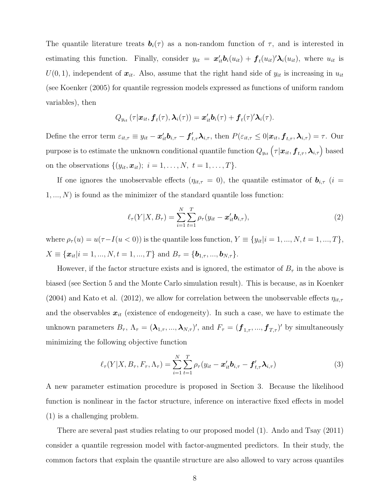The quantile literature treats  $\mathbf{b}_i(\tau)$  as a non-random function of  $\tau$ , and is interested in estimating this function. Finally, consider  $y_{it} = x'_{it} b_i(u_{it}) + f_t(u_{it})' \lambda_i(u_{it})$ , where  $u_{it}$  is  $U(0, 1)$ , independent of  $x_{it}$ . Also, assume that the right hand side of  $y_{it}$  is increasing in  $u_{it}$ (see Koenker (2005) for quantile regression models expressed as functions of uniform random variables), then

$$
Q_{y_{it}}(\tau|\boldsymbol{x}_{it},\boldsymbol{f}_t(\tau),\boldsymbol{\lambda}_i(\tau))=\boldsymbol{x}_{it}^{\prime}\boldsymbol{b}_i(\tau)+\boldsymbol{f}_t(\tau)^{\prime}\boldsymbol{\lambda}_i(\tau).
$$

Define the error term  $\varepsilon_{it,\tau} \equiv y_{it} - \boldsymbol{x}_{it}^{\prime} \boldsymbol{b}_{i,\tau} - \boldsymbol{f}_{t,\tau}^{\prime} \boldsymbol{\lambda}_{i,\tau}$ , then  $P(\varepsilon_{it,\tau} \leq 0 | \boldsymbol{x}_{it}, \boldsymbol{f}_{t,\tau}, \boldsymbol{\lambda}_{i,\tau}) = \tau$ . Our purpose is to estimate the unknown conditional quantile function  $Q_{y_{it}}\left(\tau|\bm{x}_{it},\bm{f}_{t,\tau},\bm{\lambda}_{i,\tau}\right)$  based on the observations  $\{(y_{it}, x_{it})$ ;  $i = 1, ..., N, t = 1, ..., T\}$ .

If one ignores the unobservable effects  $(\eta_{it,\tau} = 0)$ , the quantile estimator of  $\mathbf{b}_{i,\tau}$  (i =  $1, \ldots, N$  is found as the minimizer of the standard quantile loss function:

$$
\ell_{\tau}(Y|X, B_{\tau}) = \sum_{i=1}^{N} \sum_{t=1}^{T} \rho_{\tau}(y_{it} - \boldsymbol{x}_{it}' \boldsymbol{b}_{i,\tau}),
$$
\n(2)

where  $\rho_{\tau}(u) = u(\tau - I(u < 0))$  is the quantile loss function,  $Y \equiv \{y_{it}|i = 1, ..., N, t = 1, ..., T\}$ ,  $X \equiv {\mathbf{x}_{it}}|i = 1, ..., N, t = 1, ..., T$  and  $B_{\tau} = {\mathbf{b}_{1,\tau}, ..., \mathbf{b}_{N,\tau}}$ .

However, if the factor structure exists and is ignored, the estimator of  $B_{\tau}$  in the above is biased (see Section 5 and the Monte Carlo simulation result). This is because, as in Koenker (2004) and Kato et al. (2012), we allow for correlation between the unobservable effects  $\eta_{it,\tau}$ and the observables  $x_{it}$  (existence of endogeneity). In such a case, we have to estimate the unknown parameters  $B_{\tau}$ ,  $\Lambda_{\tau} = (\lambda_{1,\tau},...,\lambda_{N,\tau})'$ , and  $F_{\tau} = (\boldsymbol{f}_{1,\tau},...,\boldsymbol{f}_{T,\tau})'$  by simultaneously minimizing the following objective function

$$
\ell_{\tau}(Y|X, B_{\tau}, F_{\tau}, \Lambda_{\tau}) = \sum_{i=1}^{N} \sum_{t=1}^{T} \rho_{\tau}(y_{it} - \boldsymbol{x}_{it}^{\prime} \boldsymbol{b}_{i,\tau} - \boldsymbol{f}_{t,\tau}^{\prime} \boldsymbol{\lambda}_{i,\tau})
$$
(3)

A new parameter estimation procedure is proposed in Section 3. Because the likelihood function is nonlinear in the factor structure, inference on interactive fixed effects in model (1) is a challenging problem.

There are several past studies relating to our proposed model (1). Ando and Tsay (2011) consider a quantile regression model with factor-augmented predictors. In their study, the common factors that explain the quantile structure are also allowed to vary across quantiles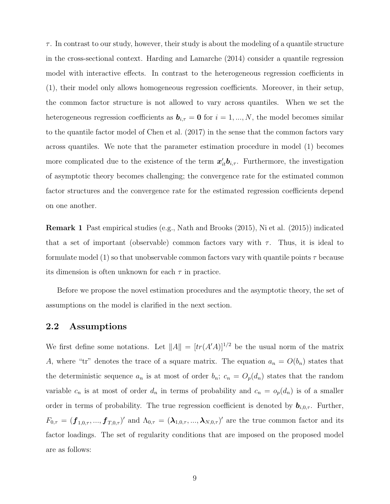$\tau$ . In contrast to our study, however, their study is about the modeling of a quantile structure in the cross-sectional context. Harding and Lamarche (2014) consider a quantile regression model with interactive effects. In contrast to the heterogeneous regression coefficients in (1), their model only allows homogeneous regression coefficients. Moreover, in their setup, the common factor structure is not allowed to vary across quantiles. When we set the heterogeneous regression coefficients as  $\mathbf{b}_{i,\tau} = \mathbf{0}$  for  $i = 1, ..., N$ , the model becomes similar to the quantile factor model of Chen et al. (2017) in the sense that the common factors vary across quantiles. We note that the parameter estimation procedure in model (1) becomes more complicated due to the existence of the term  $x'_{it}b_{i,\tau}$ . Furthermore, the investigation of asymptotic theory becomes challenging; the convergence rate for the estimated common factor structures and the convergence rate for the estimated regression coefficients depend on one another.

Remark 1 Past empirical studies (e.g., Nath and Brooks (2015), Ni et al. (2015)) indicated that a set of important (observable) common factors vary with  $\tau$ . Thus, it is ideal to formulate model (1) so that unobservable common factors vary with quantile points  $\tau$  because its dimension is often unknown for each  $\tau$  in practice.

Before we propose the novel estimation procedures and the asymptotic theory, the set of assumptions on the model is clarified in the next section.

## 2.2 Assumptions

We first define some notations. Let  $||A|| = [tr(A'A)]^{1/2}$  be the usual norm of the matrix A, where "tr" denotes the trace of a square matrix. The equation  $a_n = O(b_n)$  states that the deterministic sequence  $a_n$  is at most of order  $b_n$ ;  $c_n = O_p(d_n)$  states that the random variable  $c_n$  is at most of order  $d_n$  in terms of probability and  $c_n = o_p(d_n)$  is of a smaller order in terms of probability. The true regression coefficient is denoted by  $\mathbf{b}_{i,0,\tau}$ . Further,  $F_{0,\tau} = (\bm{f}_{1,0,\tau},...,\bm{f}_{T,0,\tau})'$  and  $\Lambda_{0,\tau} = (\bm{\lambda}_{1,0,\tau},...,\bm{\lambda}_{N,0,\tau})'$  are the true common factor and its factor loadings. The set of regularity conditions that are imposed on the proposed model are as follows: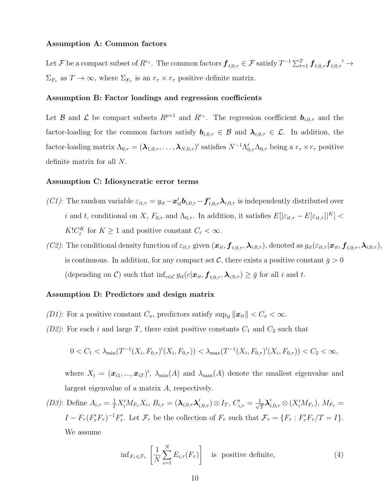#### Assumption A: Common factors

Let  ${\cal F}$  be a compact subset of  $R^{r_{\tau}}$ . The common factors  $\bm{f}_{t,0,\tau} \in {\cal F}$  satisfy  $T^{-1} \sum_{t=1}^T \bm{f}_{t,0,\tau} \bm{f}_{t,0,\tau}' \rightarrow$  $\Sigma_{F_{\tau}}$  as  $T \to \infty$ , where  $\Sigma_{F_{\tau}}$  is an  $r_{\tau} \times r_{\tau}$  positive definite matrix.

#### Assumption B: Factor loadings and regression coefficients

Let B and L be compact subsets  $R^{p+1}$  and  $R^{r_{\tau}}$ . The regression coefficient  $b_{i,0,\tau}$  and the factor-loading for the common factors satisfy  $b_{i,0,\tau} \in \mathcal{B}$  and  $\lambda_{i,0,\tau} \in \mathcal{L}$ . In addition, the factor-loading matrix  $\Lambda_{0,\tau} = (\lambda_{1,0,\tau}, \ldots, \lambda_{N,0,\tau})'$  satisfies  $N^{-1}\Lambda'_{0,\tau}\Lambda_{0,\tau}$  being a  $r_{\tau} \times r_{\tau}$  positive definite matrix for all N.

#### Assumption C: Idiosyncratic error terms

- (C1): The random variable  $\varepsilon_{it,\tau} = y_{it} x'_{it} b_{i,0,\tau} f'_{t,0,\tau} \lambda_{i,0,\tau}$  is independently distributed over i and t, conditional on X,  $F_{0,\tau}$  and  $\Lambda_{0,\tau}$ . In addition, it satisfies  $E[|\varepsilon_{it,\tau} - E[\varepsilon_{it,\tau}]|^{K}] <$  $K!C_{\varepsilon}^K$  for  $K \geq 1$  and positive constant  $C_{\varepsilon} < \infty$ .
- (C2): The conditional density function of  $\varepsilon_{it,\tau}$  given  $(\boldsymbol{x}_{it}, \boldsymbol{f}_{t,0,\tau}, \boldsymbol{\lambda}_{i,0,\tau})$ , denoted as  $g_{it}(\varepsilon_{it,\tau} | \boldsymbol{x}_{it}, \boldsymbol{f}_{t,0,\tau}, \boldsymbol{\lambda}_{i,0,\tau})$ , is continuous. In addition, for any compact set C, there exists a positive constant  $\bar{g} > 0$ (depending on C) such that  $\inf_{c \in \mathcal{C}} g_{it}(c|\boldsymbol{x}_{it}, \boldsymbol{f}_{t,0,\tau}, \boldsymbol{\lambda}_{i,0,\tau}) \geq \bar{g}$  for all i and t.

#### Assumption D: Predictors and design matrix

- (D1): For a positive constant  $C_x$ , predictors satisfy  $\sup_{it} ||x_{it}|| < C_x < \infty$ .
- (D2): For each i and large T, there exist positive constants  $C_1$  and  $C_2$  such that

$$
0 < C_1 < \lambda_{\min}(T^{-1}(X_i, F_{0,\tau})'(X_i, F_{0,\tau})) < \lambda_{\max}(T^{-1}(X_i, F_{0,\tau})'(X_i, F_{0,\tau})) < C_2 < \infty,
$$

where  $X_i = (\mathbf{x}_{i1}, ..., \mathbf{x}_{iT})'$ ,  $\lambda_{\min}(A)$  and  $\lambda_{\max}(A)$  denote the smallest eigenvalue and largest eigenvalue of a matrix A, respectively.

(D3): Define  $A_{i,\tau} = \frac{1}{T} X_i' M_{F_{\tau}} X_i$ ,  $B_{i,\tau} = (\lambda_{i,0,\tau} \lambda_{i,0,\tau}') \otimes I_T$ ,  $C'_{i,\tau} = \frac{1}{\sqrt{2\pi}}$  $\frac{1}{T} \boldsymbol{\lambda}_{i,0,\tau}^{\prime} \otimes (X_{i}^{\prime} M_{F_{\tau}}),\,M_{F_{\tau}}=% \frac{1}{T} \sum_{i=1}^{T} \sum_{j=1}^{T} \tilde{\gamma}_{i}^{\prime} \label{eq:V1}$  $I - F_{\tau} (F_{\tau}' F_{\tau})^{-1} F_{\tau}'$ . Let  $\mathcal{F}_{\tau}$  be the collection of  $F_{\tau}$  such that  $\mathcal{F}_{\tau} = \{F_{\tau} : F_{\tau}' F_{\tau}/T = I\}$ . We assume

$$
\inf_{F_{\tau} \in \mathcal{F}_{\tau}} \left[ \frac{1}{N} \sum_{i=1}^{N} E_{i,\tau}(F_{\tau}) \right] \quad \text{is positive definite}, \tag{4}
$$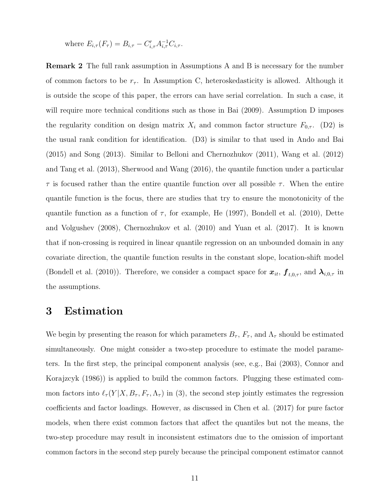where  $E_{i,\tau}(F_{\tau}) = B_{i,\tau} - C'_{i,\tau} A_{i,\tau}^{-1} C_{i,\tau}$ .

Remark 2 The full rank assumption in Assumptions A and B is necessary for the number of common factors to be  $r_{\tau}$ . In Assumption C, heteroskedasticity is allowed. Although it is outside the scope of this paper, the errors can have serial correlation. In such a case, it will require more technical conditions such as those in Bai (2009). Assumption D imposes the regularity condition on design matrix  $X_i$  and common factor structure  $F_{0,\tau}$ . (D2) is the usual rank condition for identification. (D3) is similar to that used in Ando and Bai (2015) and Song (2013). Similar to Belloni and Chernozhukov (2011), Wang et al. (2012) and Tang et al. (2013), Sherwood and Wang (2016), the quantile function under a particular  $\tau$  is focused rather than the entire quantile function over all possible  $\tau$ . When the entire quantile function is the focus, there are studies that try to ensure the monotonicity of the quantile function as a function of  $\tau$ , for example, He (1997), Bondell et al. (2010), Dette and Volgushev (2008), Chernozhukov et al. (2010) and Yuan et al. (2017). It is known that if non-crossing is required in linear quantile regression on an unbounded domain in any covariate direction, the quantile function results in the constant slope, location-shift model (Bondell et al. (2010)). Therefore, we consider a compact space for  $x_{it}$ ,  $f_{t,0,\tau}$ , and  $\lambda_{i,0,\tau}$  in the assumptions.

## 3 Estimation

We begin by presenting the reason for which parameters  $B_{\tau}$ ,  $F_{\tau}$ , and  $\Lambda_{\tau}$  should be estimated simultaneously. One might consider a two-step procedure to estimate the model parameters. In the first step, the principal component analysis (see, e.g., Bai (2003), Connor and Korajzcyk (1986)) is applied to build the common factors. Plugging these estimated common factors into  $\ell_{\tau}(Y|X, B_{\tau}, F_{\tau}, \Lambda_{\tau})$  in (3), the second step jointly estimates the regression coefficients and factor loadings. However, as discussed in Chen et al. (2017) for pure factor models, when there exist common factors that affect the quantiles but not the means, the two-step procedure may result in inconsistent estimators due to the omission of important common factors in the second step purely because the principal component estimator cannot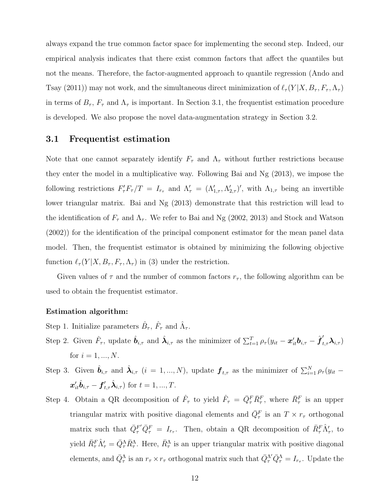always expand the true common factor space for implementing the second step. Indeed, our empirical analysis indicates that there exist common factors that affect the quantiles but not the means. Therefore, the factor-augmented approach to quantile regression (Ando and Tsay (2011)) may not work, and the simultaneous direct minimization of  $\ell_{\tau}(Y|X, B_{\tau}, F_{\tau}, \Lambda_{\tau})$ in terms of  $B_{\tau}$ ,  $F_{\tau}$  and  $\Lambda_{\tau}$  is important. In Section 3.1, the frequentist estimation procedure is developed. We also propose the novel data-augmentation strategy in Section 3.2.

#### 3.1 Frequentist estimation

Note that one cannot separately identify  $F_{\tau}$  and  $\Lambda_{\tau}$  without further restrictions because they enter the model in a multiplicative way. Following Bai and Ng (2013), we impose the following restrictions  $F'_\tau F_\tau/T = I_{r_\tau}$  and  $\Lambda'_\tau = (\Lambda'_{1,\tau}, \Lambda'_{2,\tau})'$ , with  $\Lambda_{1,\tau}$  being an invertible lower triangular matrix. Bai and Ng (2013) demonstrate that this restriction will lead to the identification of  $F_{\tau}$  and  $\Lambda_{\tau}$ . We refer to Bai and Ng (2002, 2013) and Stock and Watson (2002)) for the identification of the principal component estimator for the mean panel data model. Then, the frequentist estimator is obtained by minimizing the following objective function  $\ell_{\tau}(Y|X, B_{\tau}, F_{\tau}, \Lambda_{\tau})$  in (3) under the restriction.

Given values of  $\tau$  and the number of common factors  $r_{\tau}$ , the following algorithm can be used to obtain the frequentist estimator.

#### Estimation algorithm:

- Step 1. Initialize parameters  $\hat{B}_{\tau}$ ,  $\hat{F}_{\tau}$  and  $\hat{\Lambda}_{\tau}$ .
- Step 2. Given  $\hat{F}_{\tau}$ , update  $\hat{\boldsymbol{b}}_{i,\tau}$  and  $\hat{\boldsymbol{\lambda}}_{i,\tau}$  as the minimizer of  $\sum_{t=1}^{T} \rho_{\tau} (y_{it} \boldsymbol{x}_{it}' \boldsymbol{b}_{i,\tau} \hat{\boldsymbol{f}}'_{t,\tau} \boldsymbol{\lambda}_{i,\tau})$ for  $i = 1, ..., N$ .
- Step 3. Given  $\hat{\bm{b}}_{i,\tau}$  and  $\hat{\bm{\lambda}}_{i,\tau}$   $(i = 1, ..., N)$ , update  $\bm{f}_{t,\tau}$  as the minimizer of  $\sum_{i=1}^{N} \rho_{\tau}(y_{it} \mathbf{x}'_{it} \hat{\boldsymbol{b}}_{i,\tau} - \boldsymbol{f}'_{t,\tau} \hat{\boldsymbol{\lambda}}_{i,\tau})$  for  $t = 1, ..., T$ .
- Step 4. Obtain a QR decomposition of  $\hat{F}_{\tau}$  to yield  $\hat{F}_{\tau} = \bar{Q}_{\tau}^F \bar{R}_{\tau}^F$ , where  $\bar{R}_{\tau}^F$  is an upper triangular matrix with positive diagonal elements and  $\overline{Q}_{\tau}^{F}$  is an  $T \times r_{\tau}$  orthogonal matrix such that  $\bar{Q}_{\tau}^{F'} \bar{Q}_{\tau}^{F} = I_{r_{\tau}}$ . Then, obtain a QR decomposition of  $\bar{R}_{\tau}^{F} \hat{\Lambda}'_{\tau}$ , to yield  $\bar{R}^F_\tau \hat{\Lambda}'_\tau = \bar{Q}^{\Lambda}_{\tau} \bar{R}^{\Lambda}_{\tau}$ . Here,  $\bar{R}^{\Lambda}_{\tau}$  is an upper triangular matrix with positive diagonal elements, and  $\bar{Q}^{\Lambda}_{\tau}$  is an  $r_{\tau} \times r_{\tau}$  orthogonal matrix such that  $\bar{Q}^{\Lambda'}_{\tau} \bar{Q}^{\Lambda}_{\tau} = I_{r_{\tau}}$ . Update the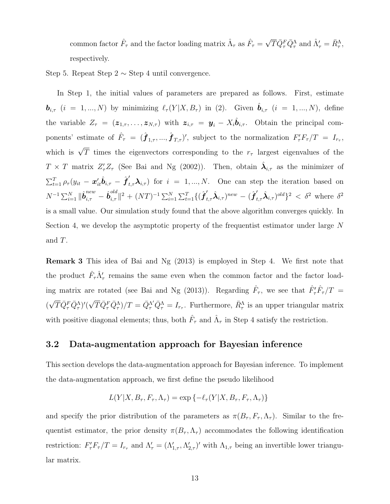common factor  $\hat{F}_{\tau}$  and the factor loading matrix  $\hat{\Lambda}_{\tau}$  as  $\hat{F}_{\tau} = \sqrt{T} \bar{Q}_{\tau}^{F} \bar{Q}_{\tau}^{\Lambda}$  and  $\hat{\Lambda}'_{\tau} = \bar{R}_{\tau}^{\Lambda}$ , respectively.

Step 5. Repeat Step  $2 \sim$  Step 4 until convergence.

In Step 1, the initial values of parameters are prepared as follows. First, estimate  $\mathbf{b}_{i,\tau}$   $(i = 1, ..., N)$  by minimizing  $\ell_{\tau}(Y|X, B_{\tau})$  in (2). Given  $\hat{\mathbf{b}}_{i,\tau}$   $(i = 1, ..., N)$ , define the variable  $Z_{\tau} = (z_{1,\tau}, \ldots, z_{N,\tau})$  with  $z_{i,\tau} = y_i - X_i \hat{b}_{i,\tau}$ . Obtain the principal components' estimate of  $\hat{F}_{\tau} = (\hat{\boldsymbol{f}}_{1,\tau},...,\hat{\boldsymbol{f}}_{T,\tau})'$ , subject to the normalization  $F'_{\tau}F_{\tau}/T = I_{r_{\tau}},$ which is  $\sqrt{T}$  times the eigenvectors corresponding to the  $r<sub>\tau</sub>$  largest eigenvalues of the  $T \times T$  matrix  $Z_{\tau}' Z_{\tau}$  (See Bai and Ng (2002)). Then, obtain  $\hat{\lambda}_{i,\tau}$  as the minimizer of  $\sum_{t=1}^T \rho_{\tau}(y_{it} - \mathbf{x}_{it}^{\prime} \hat{\boldsymbol{b}}_{i,\tau} - \hat{\boldsymbol{f}}_{t,\tau}^{\prime} \boldsymbol{\lambda}_{i,\tau})$  for  $i = 1,...,N$ . One can step the iteration based on  $N^{-1}\sum_{i=1}^N\|\hat{\bm{b}}_{i,\tau}^{new}-\hat{\bm{b}}_{i,\tau}^{old}$  $\int_{i,\tau}^{old}$ ||2 + (NT)<sup>-1</sup> Σ<sup>N</sup><sub>i=1</sub> Σ<sup>T</sup><sub>t=1</sub>{( $\hat{\boldsymbol{f}}'_{t,\tau}$ λ<sup>2</sup><sub>i,τ</sub>)<sup>new</sup> − ( $\hat{\boldsymbol{f}}'_{t,\tau}$ λ<sup>2</sup><sub>i,τ</sub>)<sup>old</sup>}<sup>2</sup> < δ<sup>2</sup> where δ<sup>2</sup> is a small value. Our simulation study found that the above algorithm converges quickly. In Section 4, we develop the asymptotic property of the frequentist estimator under large N and T.

Remark 3 This idea of Bai and Ng (2013) is employed in Step 4. We first note that the product  $\hat{F}_{\tau}\hat{\Lambda}'_{\tau}$  remains the same even when the common factor and the factor loading matrix are rotated (see Bai and Ng (2013)). Regarding  $\hat{F}_{\tau}$ , we see that  $\hat{F}'_{\tau}\hat{F}_{\tau}/T =$  $(\sqrt{T}\bar{Q}_{\tau}^{F}\bar{Q}_{\tau}^{\Lambda})'(\sqrt{T}\bar{Q}_{\tau}^{F}\bar{Q}_{\tau}^{\Lambda})/T = \bar{Q}_{\tau}^{\Lambda'}\bar{Q}_{\tau}^{\Lambda} = I_{r_{\tau}}$ . Furthermore,  $\bar{R}_{\tau}^{\Lambda}$  is an upper triangular matrix with positive diagonal elements; thus, both  $\hat{F}_{\tau}$  and  $\hat{\Lambda}_{\tau}$  in Step 4 satisfy the restriction.

## 3.2 Data-augmentation approach for Bayesian inference

This section develops the data-augmentation approach for Bayesian inference. To implement the data-augmentation approach, we first define the pseudo likelihood

$$
L(Y|X, B_{\tau}, F_{\tau}, \Lambda_{\tau}) = \exp \{-\ell_{\tau}(Y|X, B_{\tau}, F_{\tau}, \Lambda_{\tau})\}
$$

and specify the prior distribution of the parameters as  $\pi(B_\tau, F_\tau, \Lambda_\tau)$ . Similar to the frequentist estimator, the prior density  $\pi(B_{\tau}, \Lambda_{\tau})$  accommodates the following identification restriction:  $F'_\tau F_\tau/T = I_{r_\tau}$  and  $\Lambda'_\tau = (\Lambda'_{1,\tau}, \Lambda'_{2,\tau})'$  with  $\Lambda_{1,\tau}$  being an invertible lower triangular matrix.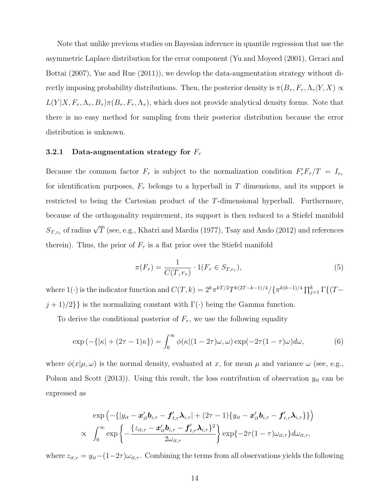Note that unlike previous studies on Bayesian inference in quantile regression that use the asymmetric Laplace distribution for the error component (Yu and Moyeed (2001), Geraci and Bottai (2007), Yue and Rue (2011)), we develop the data-augmentation strategy without directly imposing probability distributions. Then, the posterior density is  $\pi(B_\tau, F_\tau, \Lambda_\tau | Y, X) \propto$  $L(Y|X, F_\tau, \Lambda_\tau, B_\tau) \pi(B_\tau, F_\tau, \Lambda_\tau)$ , which does not provide analytical density forms. Note that there is no easy method for sampling from their posterior distribution because the error distribution is unknown.

#### 3.2.1 Data-augmentation strategy for  $F_{\tau}$

Because the common factor  $F_{\tau}$  is subject to the normalization condition  $F_{\tau}'F_{\tau}/T = I_{r_{\tau}}$ for identification purposes,  $F_{\tau}$  belongs to a hyperball in T dimensions, and its support is restricted to being the Cartesian product of the T-dimensional hyperball. Furthermore, because of the orthogonality requirement, its support is then reduced to a Stiefel manifold  $S_{T,r_{\tau}}$  of radius  $\sqrt{T}$  (see, e.g., Khatri and Mardia (1977), Tsay and Ando (2012) and references therein). Thus, the prior of  $F_{\tau}$  is a flat prior over the Stiefel manifold

$$
\pi(F_{\tau}) = \frac{1}{C(T, r_{\tau})} \cdot 1(F_{\tau} \in S_{T, r_{\tau}}),\tag{5}
$$

where 1(·) is the indicator function and  $C(T, k) = 2^k \pi^{kT/2} T^{k(2T-k-1)/4} / {\{\pi^{k(k-1)/4}} \prod_{j=1}^k \Gamma\{(T-k-1)/4\}}$  $j+1)/2\}\}$  is the normalizing constant with  $\Gamma(\cdot)$  being the Gamma function.

To derive the conditional posterior of  $F_{\tau}$ , we use the following equality

$$
\exp\left(-\{|\kappa| + (2\tau - 1)\kappa\}\right) = \int_0^\infty \phi(\kappa | (1 - 2\tau)\omega, \omega) \exp(-2\tau (1 - \tau)\omega) d\omega,\tag{6}
$$

where  $\phi(x|\mu,\omega)$  is the normal density, evaluated at x, for mean  $\mu$  and variance  $\omega$  (see, e.g., Polson and Scott (2013)). Using this result, the loss contribution of observation  $y_{it}$  can be expressed as

$$
\exp\left(-\{|y_{it}-\boldsymbol{x}_{it}^{\prime}\boldsymbol{b}_{i,\tau}-\boldsymbol{f}_{t,\tau}^{\prime}\boldsymbol{\lambda}_{i,\tau}|+(2\tau-1)\{y_{it}-\boldsymbol{x}_{it}^{\prime}\boldsymbol{b}_{i,\tau}-\boldsymbol{f}_{t,\tau}^{\prime}\boldsymbol{\lambda}_{i,\tau}\}\right)\right) \propto \int_{0}^{\infty} \exp\left\{-\frac{\{z_{it,\tau}-\boldsymbol{x}_{it}^{\prime}\boldsymbol{b}_{i,\tau}-\boldsymbol{f}_{t,\tau}^{\prime}\boldsymbol{\lambda}_{i,\tau}\}^{2}}{2\omega_{it,\tau}}\right\} \exp\{-2\tau(1-\tau)\omega_{it,\tau}\}d\omega_{it,\tau},
$$

where  $z_{it,\tau} = y_{it} - (1-2\tau)\omega_{it,\tau}$ . Combining the terms from all observations yields the following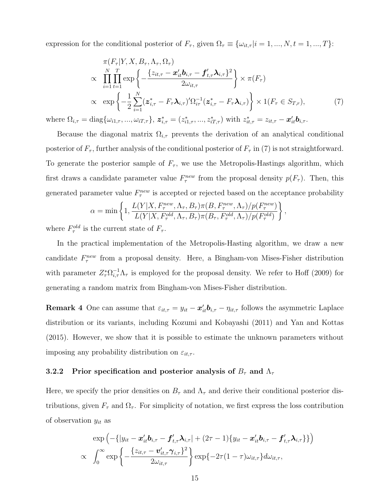expression for the conditional posterior of  $F_{\tau}$ , given  $\Omega_{\tau} \equiv \{\omega_{it,\tau} | i = 1, ..., N, t = 1, ..., T\}$ :

$$
\pi(F_{\tau}|Y, X, B_{\tau}, \Lambda_{\tau}, \Omega_{\tau})
$$
\n
$$
\propto \prod_{i=1}^{N} \prod_{t=1}^{T} \exp \left\{ -\frac{\{z_{it,\tau} - \boldsymbol{x}_{it}^{\prime} \boldsymbol{b}_{i,\tau} - \boldsymbol{f}_{t,\tau}^{\prime} \boldsymbol{\lambda}_{i,\tau}\}^{2}}{2\omega_{it,\tau}} \right\} \times \pi(F_{\tau})
$$
\n
$$
\propto \exp \left\{ -\frac{1}{2} \sum_{i=1}^{N} (\boldsymbol{z}_{i,\tau}^{*} - F_{\tau} \boldsymbol{\lambda}_{i,\tau})^{\prime} \Omega_{i\tau}^{-1} (\boldsymbol{z}_{i,\tau}^{*} - F_{\tau} \boldsymbol{\lambda}_{i,\tau}) \right\} \times 1(F_{\tau} \in S_{T,\tau}),
$$
\n
$$
\text{diag}\{\omega_{i1}, \dots, \omega_{iT,\tau}\}, \boldsymbol{z}_{i,\tau}^{*} = (z_{i1}, \dots, z_{iT,\tau}^{*}) \text{ with } z_{i,\tau}^{*} = z_{i\tau} - \boldsymbol{x}_{i}^{\prime} \boldsymbol{b}_{i,\tau}.
$$
\n
$$
(7)
$$

where  $\Omega_{i,\tau} = \text{diag}\{\omega_{i1,\tau},...,\omega_{iT,\tau}\},\, \mathbf{z}_{i,\tau}^* = (z_{i1,\tau}^*,...,z_{iT,\tau}^*)$  with  $z_{it,\tau}^* = z_{it,\tau} - \mathbf{x}_{it}' \mathbf{b}_{i,\tau}$ .

Because the diagonal matrix  $\Omega_{i,\tau}$  prevents the derivation of an analytical conditional posterior of  $F_{\tau}$ , further analysis of the conditional posterior of  $F_{\tau}$  in (7) is not straightforward. To generate the posterior sample of  $F_{\tau}$ , we use the Metropolis-Hastings algorithm, which first draws a candidate parameter value  $F_{\tau}^{new}$  from the proposal density  $p(F_{\tau})$ . Then, this generated parameter value  $F_{\tau}^{new}$  is accepted or rejected based on the acceptance probability

$$
\alpha = \min \left\{ 1, \frac{L(Y|X, F_{\tau}^{new}, \Lambda_{\tau}, B_{\tau})\pi(B, F_{\tau}^{new}, \Lambda_{\tau})/p(F_{\tau}^{new})}{L(Y|X, F_{\tau}^{old}, \Lambda_{\tau}, B_{\tau})\pi(B_{\tau}, F_{\tau}^{old}, \Lambda_{\tau})/p(F_{\tau}^{old})} \right\},
$$

where  $F_{\tau}^{old}$  is the current state of  $F_{\tau}$ .

In the practical implementation of the Metropolis-Hasting algorithm, we draw a new candidate  $F_{\tau}^{new}$  from a proposal density. Here, a Bingham-von Mises-Fisher distribution with parameter  $Z_{\tau}^{*} \Omega_{i,\tau}^{-1} \Lambda_{\tau}$  is employed for the proposal density. We refer to Hoff (2009) for generating a random matrix from Bingham-von Mises-Fisher distribution.

**Remark 4** One can assume that  $\varepsilon_{it,\tau} = y_{it} - x'_{it} b_{i,\tau} - \eta_{it,\tau}$  follows the asymmetric Laplace distribution or its variants, including Kozumi and Kobayashi (2011) and Yan and Kottas (2015). However, we show that it is possible to estimate the unknown parameters without imposing any probability distribution on  $\varepsilon_{it,\tau}$ .

### 3.2.2 Prior specification and posterior analysis of  $B_{\tau}$  and  $\Lambda_{\tau}$

Here, we specify the prior densities on  $B_{\tau}$  and  $\Lambda_{\tau}$  and derive their conditional posterior distributions, given  $F_{\tau}$  and  $\Omega_{\tau}$ . For simplicity of notation, we first express the loss contribution of observation  $y_{it}$  as

$$
\exp\left(-\{|y_{it}-\boldsymbol{x}_{it}^{\prime}\boldsymbol{b}_{i,\tau}-\boldsymbol{f}_{t,\tau}^{\prime}\boldsymbol{\lambda}_{i,\tau}|+(2\tau-1)\{y_{it}-\boldsymbol{x}_{it}^{\prime}\boldsymbol{b}_{i,\tau}-\boldsymbol{f}_{t,\tau}^{\prime}\boldsymbol{\lambda}_{i,\tau}\}\right) \propto \int_{0}^{\infty} \exp\left\{-\frac{\{z_{it,\tau}-\boldsymbol{v}_{it,\tau}^{\prime}\boldsymbol{\gamma}_{i,\tau}\}^{2}}{2\omega_{it,\tau}}\right\} \exp\{-2\tau(1-\tau)\omega_{it,\tau}\}d\omega_{it,\tau},
$$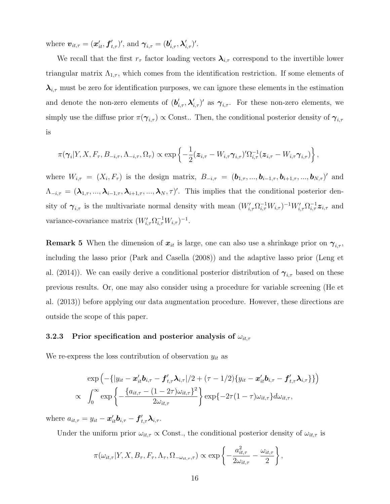where  $\boldsymbol{v}_{it,\tau} = (\boldsymbol{x}^\prime_{it}, \boldsymbol{f}^\prime_{t,\tau})^\prime$ , and  $\boldsymbol{\gamma}_{i,\tau} = (\boldsymbol{b}^\prime_{i,\tau}, \boldsymbol{\lambda}^\prime_{i,\tau})^\prime$ .

We recall that the first  $r_{\tau}$  factor loading vectors  $\lambda_{i,\tau}$  correspond to the invertible lower triangular matrix  $\Lambda_{1,\tau}$ , which comes from the identification restriction. If some elements of  $\lambda_{i,\tau}$  must be zero for identification purposes, we can ignore these elements in the estimation and denote the non-zero elements of  $(b'_{i,\tau}, \lambda'_{i,\tau})'$  as  $\gamma_{i,\tau}$ . For these non-zero elements, we simply use the diffuse prior  $\pi(\gamma_{i,\tau}) \propto$  Const.. Then, the conditional posterior density of  $\gamma_{i,\tau}$ is

$$
\pi(\boldsymbol{\gamma}_i|Y,X,F_\tau,B_{-i,\tau},\Lambda_{-i,\tau},\Omega_\tau)\propto\exp\left\{-\frac{1}{2}(\boldsymbol{z}_{i,\tau}-W_{i,\tau}\boldsymbol{\gamma}_{i,\tau})'\Omega_{i,\tau}^{-1}(\boldsymbol{z}_{i,\tau}-W_{i,\tau}\boldsymbol{\gamma}_{i,\tau})\right\},
$$

where  $W_{i,\tau} = (X_i, F_{\tau})$  is the design matrix,  $B_{-i,\tau} = (\mathbf{b}_{1,\tau}, ..., \mathbf{b}_{i-1,\tau}, \mathbf{b}_{i+1,\tau}, ..., \mathbf{b}_{N,\tau})'$  and  $\Lambda_{-i,\tau} = (\lambda_{1,\tau},...,\lambda_{i-1,\tau},\lambda_{i+1,\tau},...,\lambda_N,\tau)'$ . This implies that the conditional posterior density of  $\gamma_{i,\tau}$  is the multivariate normal density with mean  $(W'_{i,\tau}\Omega_{i,\tau}^{-1}W_{i,\tau})^{-1}W'_{i,\tau}\Omega_{i,\tau}^{-1}z_{i,\tau}$  and variance-covariance matrix  $(W'_{i,\tau}\Omega_{i,\tau}^{-1}W_{i,\tau})^{-1}$ .

**Remark 5** When the dimension of  $x_{it}$  is large, one can also use a shrinkage prior on  $\gamma_{i,\tau}$ , including the lasso prior (Park and Casella (2008)) and the adaptive lasso prior (Leng et al. (2014)). We can easily derive a conditional posterior distribution of  $\gamma_{i,\tau}$  based on these previous results. Or, one may also consider using a procedure for variable screening (He et al. (2013)) before applying our data augmentation procedure. However, these directions are outside the scope of this paper.

## 3.2.3 Prior specification and posterior analysis of  $\omega_{it,\tau}$

We re-express the loss contribution of observation  $y_{it}$  as

$$
\exp\left(-\{|y_{it}-\boldsymbol{x}_{it}^{\prime}\boldsymbol{b}_{i,\tau}-\boldsymbol{f}_{t,\tau}^{\prime}\boldsymbol{\lambda}_{i,\tau}|/2+(\tau-1/2)\{y_{it}-\boldsymbol{x}_{it}^{\prime}\boldsymbol{b}_{i,\tau}-\boldsymbol{f}_{t,\tau}^{\prime}\boldsymbol{\lambda}_{i,\tau}\}\}\right) \propto \int_{0}^{\infty} \exp\left\{-\frac{\{a_{it,\tau}-(1-2\tau)\omega_{it,\tau}\}^{2}}{2\omega_{it,\tau}}\right\} \exp\{-2\tau(1-\tau)\omega_{it,\tau}\}d\omega_{it,\tau},
$$

where  $a_{it,\tau} = y_{it} - \boldsymbol{x}_{it}' \boldsymbol{b}_{i,\tau} - \boldsymbol{f}_{t,\tau}' \boldsymbol{\lambda}_{i,\tau}$ .

Under the uniform prior  $\omega_{it,\tau} \propto$  Const., the conditional posterior density of  $\omega_{it,\tau}$  is

$$
\pi(\omega_{it,\tau}|Y,X,B_{\tau},F_{\tau},\Lambda_{\tau},\Omega_{-\omega_{it,\tau},\tau}) \propto \exp\left\{-\frac{a_{it,\tau}^2}{2\omega_{it,\tau}}-\frac{\omega_{it,\tau}}{2}\right\},\,
$$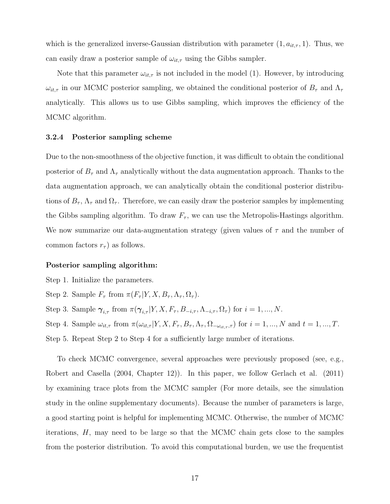which is the generalized inverse-Gaussian distribution with parameter  $(1, a_{it,\tau}, 1)$ . Thus, we can easily draw a posterior sample of  $\omega_{it,\tau}$  using the Gibbs sampler.

Note that this parameter  $\omega_{it,\tau}$  is not included in the model (1). However, by introducing  $\omega_{it,\tau}$  in our MCMC posterior sampling, we obtained the conditional posterior of  $B_{\tau}$  and  $\Lambda_{\tau}$ analytically. This allows us to use Gibbs sampling, which improves the efficiency of the MCMC algorithm.

#### 3.2.4 Posterior sampling scheme

Due to the non-smoothness of the objective function, it was difficult to obtain the conditional posterior of  $B_{\tau}$  and  $\Lambda_{\tau}$  analytically without the data augmentation approach. Thanks to the data augmentation approach, we can analytically obtain the conditional posterior distributions of  $B_{\tau}$ ,  $\Lambda_{\tau}$  and  $\Omega_{\tau}$ . Therefore, we can easily draw the posterior samples by implementing the Gibbs sampling algorithm. To draw  $F_{\tau}$ , we can use the Metropolis-Hastings algorithm. We now summarize our data-augmentation strategy (given values of  $\tau$  and the number of common factors  $r_{\tau}$ ) as follows.

#### Posterior sampling algorithm:

Step 1. Initialize the parameters.

Step 2. Sample  $F_{\tau}$  from  $\pi(F_{\tau}|Y, X, B_{\tau}, \Lambda_{\tau}, \Omega_{\tau}).$ 

Step 3. Sample  $\gamma_{i,\tau}$  from  $\pi(\gamma_{i,\tau}|Y, X, F_{\tau}, B_{-i,\tau}, \Lambda_{-i,\tau}, \Omega_{\tau})$  for  $i = 1, ..., N$ .

Step 4. Sample  $\omega_{it,\tau}$  from  $\pi(\omega_{it,\tau}|Y, X, F_\tau, B_\tau, \Lambda_\tau, \Omega_{-\omega_{it,\tau},\tau})$  for  $i = 1, ..., N$  and  $t = 1, ..., T$ . Step 5. Repeat Step 2 to Step 4 for a sufficiently large number of iterations.

To check MCMC convergence, several approaches were previously proposed (see, e.g., Robert and Casella (2004, Chapter 12)). In this paper, we follow Gerlach et al. (2011) by examining trace plots from the MCMC sampler (For more details, see the simulation study in the online supplementary documents). Because the number of parameters is large, a good starting point is helpful for implementing MCMC. Otherwise, the number of MCMC iterations, H, may need to be large so that the MCMC chain gets close to the samples from the posterior distribution. To avoid this computational burden, we use the frequentist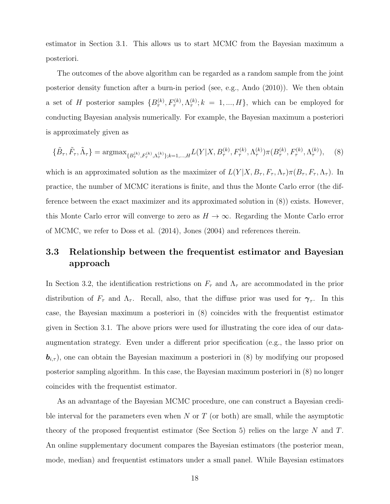estimator in Section 3.1. This allows us to start MCMC from the Bayesian maximum a posteriori.

The outcomes of the above algorithm can be regarded as a random sample from the joint posterior density function after a burn-in period (see, e.g., Ando (2010)). We then obtain a set of H posterior samples  $\{B_{\tau}^{(k)}, F_{\tau}^{(k)}, \Lambda_{\tau}^{(k)}; k = 1, ..., H\}$ , which can be employed for conducting Bayesian analysis numerically. For example, the Bayesian maximum a posteriori is approximately given as

$$
\{\tilde{B}_{\tau}, \tilde{F}_{\tau}, \tilde{\Lambda}_{\tau}\} = \operatorname{argmax}_{\{B_{\tau}^{(k)}, F_{\tau}^{(k)}, \Lambda_{\tau}^{(k)}\}; k=1,\dots,H} L(Y|X, B_{\tau}^{(k)}, F_{\tau}^{(k)}, \Lambda_{\tau}^{(k)}) \pi(B_{\tau}^{(k)}, F_{\tau}^{(k)}, \Lambda_{\tau}^{(k)}), \tag{8}
$$

which is an approximated solution as the maximizer of  $L(Y|X, B_\tau, F_\tau, \Lambda_\tau) \pi(B_\tau, F_\tau, \Lambda_\tau)$ . In practice, the number of MCMC iterations is finite, and thus the Monte Carlo error (the difference between the exact maximizer and its approximated solution in (8)) exists. However, this Monte Carlo error will converge to zero as  $H \to \infty$ . Regarding the Monte Carlo error of MCMC, we refer to Doss et al. (2014), Jones (2004) and references therein.

## 3.3 Relationship between the frequentist estimator and Bayesian approach

In Section 3.2, the identification restrictions on  $F_{\tau}$  and  $\Lambda_{\tau}$  are accommodated in the prior distribution of  $F_{\tau}$  and  $\Lambda_{\tau}$ . Recall, also, that the diffuse prior was used for  $\gamma_{\tau}$ . In this case, the Bayesian maximum a posteriori in (8) coincides with the frequentist estimator given in Section 3.1. The above priors were used for illustrating the core idea of our dataaugmentation strategy. Even under a different prior specification (e.g., the lasso prior on  $\mathbf{b}_{i,\tau}$ , one can obtain the Bayesian maximum a posteriori in (8) by modifying our proposed posterior sampling algorithm. In this case, the Bayesian maximum posteriori in (8) no longer coincides with the frequentist estimator.

As an advantage of the Bayesian MCMC procedure, one can construct a Bayesian credible interval for the parameters even when  $N$  or  $T$  (or both) are small, while the asymptotic theory of the proposed frequentist estimator (See Section 5) relies on the large N and T. An online supplementary document compares the Bayesian estimators (the posterior mean, mode, median) and frequentist estimators under a small panel. While Bayesian estimators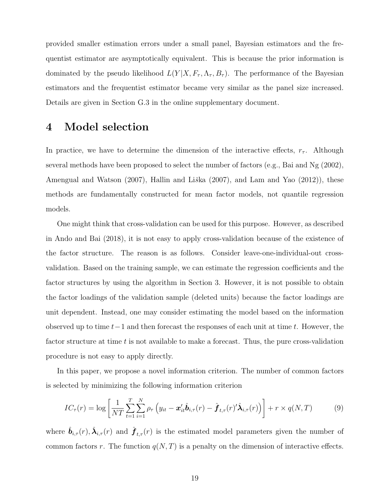provided smaller estimation errors under a small panel, Bayesian estimators and the frequentist estimator are asymptotically equivalent. This is because the prior information is dominated by the pseudo likelihood  $L(Y|X, F_\tau, \Lambda_\tau, B_\tau)$ . The performance of the Bayesian estimators and the frequentist estimator became very similar as the panel size increased. Details are given in Section G.3 in the online supplementary document.

## 4 Model selection

In practice, we have to determine the dimension of the interactive effects,  $r_{\tau}$ . Although several methods have been proposed to select the number of factors (e.g., Bai and Ng (2002), Amengual and Watson  $(2007)$ , Hallin and Liška  $(2007)$ , and Lam and Yao  $(2012)$ ), these methods are fundamentally constructed for mean factor models, not quantile regression models.

One might think that cross-validation can be used for this purpose. However, as described in Ando and Bai (2018), it is not easy to apply cross-validation because of the existence of the factor structure. The reason is as follows. Consider leave-one-individual-out crossvalidation. Based on the training sample, we can estimate the regression coefficients and the factor structures by using the algorithm in Section 3. However, it is not possible to obtain the factor loadings of the validation sample (deleted units) because the factor loadings are unit dependent. Instead, one may consider estimating the model based on the information observed up to time  $t-1$  and then forecast the responses of each unit at time t. However, the factor structure at time  $t$  is not available to make a forecast. Thus, the pure cross-validation procedure is not easy to apply directly.

In this paper, we propose a novel information criterion. The number of common factors is selected by minimizing the following information criterion

$$
IC_{\tau}(r) = \log \left[ \frac{1}{NT} \sum_{t=1}^{T} \sum_{i=1}^{N} \rho_{\tau} \left( y_{it} - \boldsymbol{x}_{it}' \hat{\boldsymbol{b}}_{i,\tau}(r) - \hat{\boldsymbol{f}}_{t,\tau}(r)' \hat{\boldsymbol{\lambda}}_{i,\tau}(r) \right) \right] + r \times q(N,T) \tag{9}
$$

where  $\hat{b}_{i,\tau}(r), \hat{\lambda}_{i,\tau}(r)$  and  $\hat{f}_{t,\tau}(r)$  is the estimated model parameters given the number of common factors r. The function  $q(N,T)$  is a penalty on the dimension of interactive effects.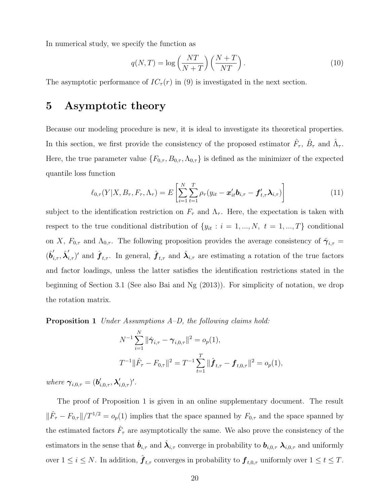In numerical study, we specify the function as

$$
q(N,T) = \log\left(\frac{NT}{N+T}\right)\left(\frac{N+T}{NT}\right). \tag{10}
$$

The asymptotic performance of  $IC_{\tau}(r)$  in (9) is investigated in the next section.

# 5 Asymptotic theory

Because our modeling procedure is new, it is ideal to investigate its theoretical properties. In this section, we first provide the consistency of the proposed estimator  $\hat{F}_{\tau}$ ,  $\hat{B}_{\tau}$  and  $\hat{\Lambda}_{\tau}$ . Here, the true parameter value  $\{F_{0,\tau}, B_{0,\tau}, \Lambda_{0,\tau}\}\$ is defined as the minimizer of the expected quantile loss function

$$
\ell_{0,\tau}(Y|X, B_{\tau}, F_{\tau}, \Lambda_{\tau}) = E\left[\sum_{i=1}^{N} \sum_{t=1}^{T} \rho_{\tau}(y_{it} - \boldsymbol{x}_{it}^{\prime} \boldsymbol{b}_{i,\tau} - \boldsymbol{f}_{t,\tau}^{\prime} \boldsymbol{\lambda}_{i,\tau})\right]
$$
(11)

subject to the identification restriction on  $F_{\tau}$  and  $\Lambda_{\tau}$ . Here, the expectation is taken with respect to the true conditional distribution of  $\{y_{it} : i = 1, ..., N, t = 1, ..., T\}$  conditional on X,  $F_{0,\tau}$  and  $\Lambda_{0,\tau}$ . The following proposition provides the average consistency of  $\hat{\gamma}_{i,\tau}$  =  $(\hat{b}'_{i,\tau}, \hat{\lambda}'_{i,\tau})'$  and  $\hat{f}_{t,\tau}$ . In general,  $\hat{f}_{t,\tau}$  and  $\hat{\lambda}_{i,\tau}$  are estimating a rotation of the true factors and factor loadings, unless the latter satisfies the identification restrictions stated in the beginning of Section 3.1 (See also Bai and Ng (2013)). For simplicity of notation, we drop the rotation matrix.

Proposition 1 Under Assumptions A–D, the following claims hold:

$$
N^{-1} \sum_{i=1}^{N} \|\hat{\gamma}_{i,\tau} - \gamma_{i,0,\tau}\|^2 = o_p(1),
$$
  

$$
T^{-1} \|\hat{F}_{\tau} - F_{0,\tau}\|^2 = T^{-1} \sum_{t=1}^{T} \|\hat{\boldsymbol{f}}_{t,\tau} - \boldsymbol{f}_{t,0,\tau}\|^2 = o_p(1),
$$

where  $\boldsymbol{\gamma}_{i,0,\tau} = (\boldsymbol{b}_{i,0,\tau}', \boldsymbol{\lambda}_{i,0,\tau}')'.$ 

The proof of Proposition 1 is given in an online supplementary document. The result  $\|\hat{F}_{\tau} - F_{0,\tau}\|/T^{1/2} = o_p(1)$  implies that the space spanned by  $F_{0,\tau}$  and the space spanned by the estimated factors  $\hat{F}_{\tau}$  are asymptotically the same. We also prove the consistency of the estimators in the sense that  $\hat{\bm{b}}_{i,\tau}$  and  $\hat{\bm{\lambda}}_{i,\tau}$  converge in probability to  $\bm{b}_{i,0,\tau}$   $\bm{\lambda}_{i,0,\tau}$  and uniformly over  $1 \leq i \leq N$ . In addition,  $\hat{\boldsymbol{f}}_{t,\tau}$  converges in probability to  $\boldsymbol{f}_{t,0,\tau}$  uniformly over  $1 \leq t \leq T$ .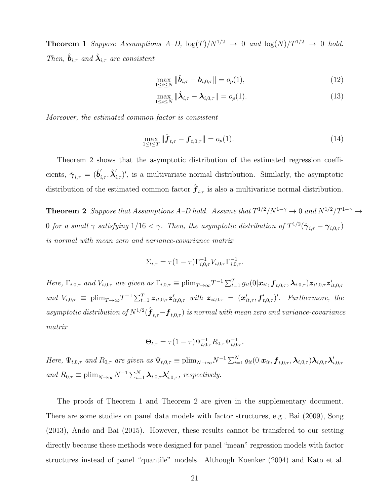**Theorem 1** Suppose Assumptions  $A-D$ ,  $\log(T)/N^{1/2} \rightarrow 0$  and  $\log(N)/T^{1/2} \rightarrow 0$  hold. Then,  $\hat{\mathbf{b}}_{i,\tau}$  and  $\hat{\mathbf{\lambda}}_{i,\tau}$  are consistent

$$
\max_{1 \le i \le N} \|\hat{\boldsymbol{b}}_{i,\tau} - \boldsymbol{b}_{i,0,\tau}\| = o_p(1),\tag{12}
$$

$$
\max_{1 \le i \le N} \|\hat{\boldsymbol{\lambda}}_{i,\tau} - \boldsymbol{\lambda}_{i,0,\tau}\| = o_p(1). \tag{13}
$$

Moreover, the estimated common factor is consistent

$$
\max_{1 \le t \le T} \|\hat{\boldsymbol{f}}_{t,\tau} - \boldsymbol{f}_{t,0,\tau}\| = o_p(1). \tag{14}
$$

Theorem 2 shows that the asymptotic distribution of the estimated regression coefficients,  $\hat{\gamma}_{i,\tau} = (\hat{b}'_{i,\tau}, \hat{\lambda}'_{i,\tau})'$ , is a multivariate normal distribution. Similarly, the asymptotic distribution of the estimated common factor  $\hat{\boldsymbol{f}}_{t,\tau}$  is also a multivariate normal distribution.

**Theorem 2** Suppose that Assumptions A-D hold. Assume that  $T^{1/2}/N^{1-\gamma} \to 0$  and  $N^{1/2}/T^{1-\gamma} \to 0$ 0 for a small  $\gamma$  satisfying  $1/16 < \gamma$ . Then, the asymptotic distribution of  $T^{1/2}(\hat{\boldsymbol{\gamma}}_{i,\tau} - \boldsymbol{\gamma}_{i,0,\tau})$ is normal with mean zero and variance-covariance matrix

$$
\Sigma_{i,\tau} = \tau (1 - \tau) \Gamma_{i,0,\tau}^{-1} V_{i,0,\tau} \Gamma_{i,0,\tau}^{-1}.
$$

Here,  $\Gamma_{i,0,\tau}$  and  $V_{i,0,\tau}$  are given as  $\Gamma_{i,0,\tau} \equiv \text{plim}_{T\to\infty} T^{-1} \sum_{t=1}^{T} g_{it}(0|\boldsymbol{x}_{it}, \boldsymbol{f}_{t,0,\tau}, \boldsymbol{\lambda}_{i,0,\tau}) \boldsymbol{z}_{it,0,\tau} \boldsymbol{z}_{it,0,\tau}^{\prime}$ and  $V_{i,0,\tau} \equiv \text{plim}_{T\to\infty} T^{-1} \sum_{t=1}^T \mathbf{z}_{it,0,\tau} \mathbf{z}'_{it,0,\tau}$  with  $\mathbf{z}_{it,0,\tau} = (\mathbf{x}'_{it,\tau}, \mathbf{f}'_{t,0,\tau})'$ . Furthermore, the asymptotic distribution of  $N^{1/2}(\hat{\bm{f}}_{t,\tau} - \bm{f}_{t,0,\tau})$  is normal with mean zero and variance-covariance matrix

$$
\Theta_{t,\tau} = \tau (1-\tau) \Psi_{t,0,\tau}^{-1} R_{0,\tau} \Psi_{t,0,\tau}^{-1}.
$$

Here,  $\Psi_{t,0,\tau}$  and  $R_{0,\tau}$  are given as  $\Psi_{t,0,\tau} \equiv \text{plim}_{N\to\infty} N^{-1} \sum_{i=1}^{N} g_{it}(0|\boldsymbol{x}_{it}, \boldsymbol{f}_{t,0,\tau}, \boldsymbol{\lambda}_{i,0,\tau}) \boldsymbol{\lambda}_{i,0,\tau} \boldsymbol{\lambda}'_{i,0,\tau}$ and  $R_{0,\tau} \equiv \text{plim}_{N \to \infty} N^{-1} \sum_{i=1}^{N} \lambda_{i,0,\tau} \lambda'_{i,0,\tau}$ , respectively.

The proofs of Theorem 1 and Theorem 2 are given in the supplementary document. There are some studies on panel data models with factor structures, e.g., Bai (2009), Song (2013), Ando and Bai (2015). However, these results cannot be transfered to our setting directly because these methods were designed for panel "mean" regression models with factor structures instead of panel "quantile" models. Although Koenker (2004) and Kato et al.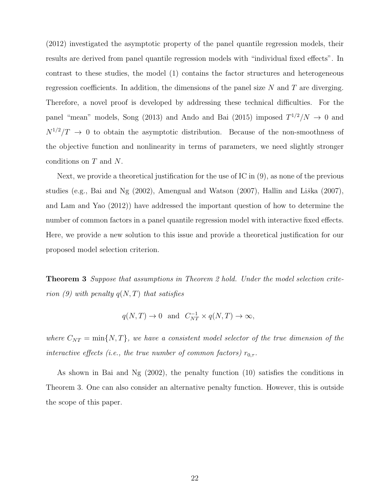(2012) investigated the asymptotic property of the panel quantile regression models, their results are derived from panel quantile regression models with "individual fixed effects". In contrast to these studies, the model (1) contains the factor structures and heterogeneous regression coefficients. In addition, the dimensions of the panel size  $N$  and  $T$  are diverging. Therefore, a novel proof is developed by addressing these technical difficulties. For the panel "mean" models, Song (2013) and Ando and Bai (2015) imposed  $T^{1/2}/N \rightarrow 0$  and  $N^{1/2}/T$   $\rightarrow$  0 to obtain the asymptotic distribution. Because of the non-smoothness of the objective function and nonlinearity in terms of parameters, we need slightly stronger conditions on T and N.

Next, we provide a theoretical justification for the use of IC in (9), as none of the previous studies (e.g., Bai and Ng  $(2002)$ , Amengual and Watson  $(2007)$ , Hallin and Liška  $(2007)$ , and Lam and Yao (2012)) have addressed the important question of how to determine the number of common factors in a panel quantile regression model with interactive fixed effects. Here, we provide a new solution to this issue and provide a theoretical justification for our proposed model selection criterion.

**Theorem 3** Suppose that assumptions in Theorem 2 hold. Under the model selection criterion (9) with penalty  $q(N,T)$  that satisfies

$$
q(N,T) \to 0
$$
 and  $C_{NT}^{-1} \times q(N,T) \to \infty$ ,

where  $C_{NT} = \min\{N, T\}$ , we have a consistent model selector of the true dimension of the interactive effects (i.e., the true number of common factors)  $r_{0,\tau}$ .

As shown in Bai and Ng (2002), the penalty function (10) satisfies the conditions in Theorem 3. One can also consider an alternative penalty function. However, this is outside the scope of this paper.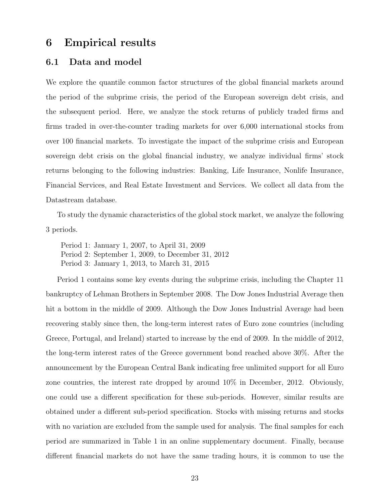## 6 Empirical results

## 6.1 Data and model

We explore the quantile common factor structures of the global financial markets around the period of the subprime crisis, the period of the European sovereign debt crisis, and the subsequent period. Here, we analyze the stock returns of publicly traded firms and firms traded in over-the-counter trading markets for over 6,000 international stocks from over 100 financial markets. To investigate the impact of the subprime crisis and European sovereign debt crisis on the global financial industry, we analyze individual firms' stock returns belonging to the following industries: Banking, Life Insurance, Nonlife Insurance, Financial Services, and Real Estate Investment and Services. We collect all data from the Datastream database.

To study the dynamic characteristics of the global stock market, we analyze the following 3 periods.

Period 1: January 1, 2007, to April 31, 2009 Period 2: September 1, 2009, to December 31, 2012 Period 3: January 1, 2013, to March 31, 2015

Period 1 contains some key events during the subprime crisis, including the Chapter 11 bankruptcy of Lehman Brothers in September 2008. The Dow Jones Industrial Average then hit a bottom in the middle of 2009. Although the Dow Jones Industrial Average had been recovering stably since then, the long-term interest rates of Euro zone countries (including Greece, Portugal, and Ireland) started to increase by the end of 2009. In the middle of 2012, the long-term interest rates of the Greece government bond reached above 30%. After the announcement by the European Central Bank indicating free unlimited support for all Euro zone countries, the interest rate dropped by around 10% in December, 2012. Obviously, one could use a different specification for these sub-periods. However, similar results are obtained under a different sub-period specification. Stocks with missing returns and stocks with no variation are excluded from the sample used for analysis. The final samples for each period are summarized in Table 1 in an online supplementary document. Finally, because different financial markets do not have the same trading hours, it is common to use the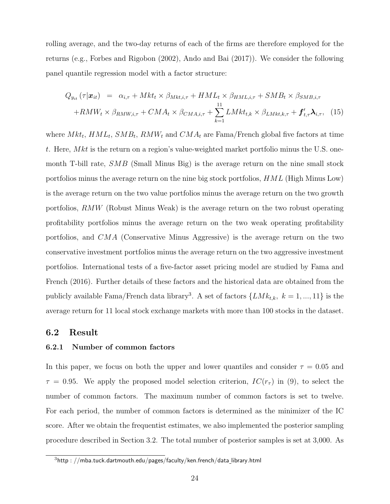rolling average, and the two-day returns of each of the firms are therefore employed for the returns (e.g., Forbes and Rigobon (2002), Ando and Bai (2017)). We consider the following panel quantile regression model with a factor structure:

$$
Q_{y_{it}}(\tau|\boldsymbol{x}_{it}) = \alpha_{i,\tau} + Mkt_t \times \beta_{Mkt,i,\tau} + HML_t \times \beta_{HML,i,\tau} + SMB_t \times \beta_{SMB,i,\tau}
$$

$$
+ RMW_t \times \beta_{RMW,i,\tau} + CMA_t \times \beta_{CMA,i,\tau} + \sum_{k=1}^{11} LMkt_{t,k} \times \beta_{LMkt,k,\tau} + \boldsymbol{f}'_{t,\tau} \boldsymbol{\lambda}_{i,\tau}, \quad (15)
$$

where  $Mkt_t$ ,  $HML_t$ ,  $SMB_t$ ,  $RMW_t$  and  $CMA_t$  are Fama/French global five factors at time t. Here,  $Mkt$  is the return on a region's value-weighted market portfolio minus the U.S. onemonth T-bill rate, *SMB* (Small Minus Big) is the average return on the nine small stock portfolios minus the average return on the nine big stock portfolios, HML (High Minus Low) is the average return on the two value portfolios minus the average return on the two growth portfolios, RMW (Robust Minus Weak) is the average return on the two robust operating profitability portfolios minus the average return on the two weak operating profitability portfolios, and CMA (Conservative Minus Aggressive) is the average return on the two conservative investment portfolios minus the average return on the two aggressive investment portfolios. International tests of a five-factor asset pricing model are studied by Fama and French (2016). Further details of these factors and the historical data are obtained from the publicly available Fama/French data library<sup>3</sup>. A set of factors  $\{LMk_{t,k}, k = 1, ..., 11\}$  is the average return for 11 local stock exchange markets with more than 100 stocks in the dataset.

#### 6.2 Result

### 6.2.1 Number of common factors

In this paper, we focus on both the upper and lower quantiles and consider  $\tau = 0.05$  and  $\tau = 0.95$ . We apply the proposed model selection criterion,  $IC(r_\tau)$  in (9), to select the number of common factors. The maximum number of common factors is set to twelve. For each period, the number of common factors is determined as the minimizer of the IC score. After we obtain the frequentist estimates, we also implemented the posterior sampling procedure described in Section 3.2. The total number of posterior samples is set at 3,000. As

 $3$ http://mba.tuck.dartmouth.edu/pages/faculty/ken.french/data\_library.html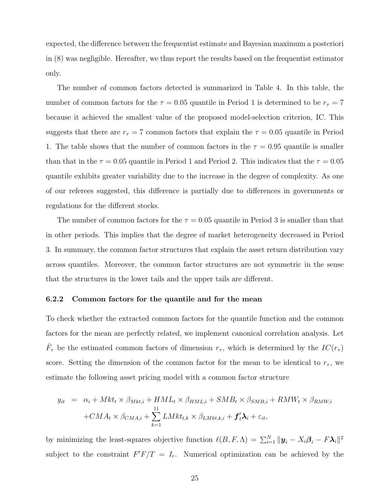expected, the difference between the frequentist estimate and Bayesian maximum a posteriori in (8) was negligible. Hereafter, we thus report the results based on the frequentist estimator only.

The number of common factors detected is summarized in Table 4. In this table, the number of common factors for the  $\tau = 0.05$  quantile in Period 1 is determined to be  $r_{\tau} = 7$ because it achieved the smallest value of the proposed model-selection criterion, IC. This suggests that there are  $r_{\tau} = 7$  common factors that explain the  $\tau = 0.05$  quantile in Period 1. The table shows that the number of common factors in the  $\tau = 0.95$  quantile is smaller than that in the  $\tau = 0.05$  quantile in Period 1 and Period 2. This indicates that the  $\tau = 0.05$ quantile exhibits greater variability due to the increase in the degree of complexity. As one of our referees suggested, this difference is partially due to differences in governments or regulations for the different stocks.

The number of common factors for the  $\tau = 0.05$  quantile in Period 3 is smaller than that in other periods. This implies that the degree of market heterogeneity decreased in Period 3. In summary, the common factor structures that explain the asset return distribution vary across quantiles. Moreover, the common factor structures are not symmetric in the sense that the structures in the lower tails and the upper tails are different.

#### 6.2.2 Common factors for the quantile and for the mean

To check whether the extracted common factors for the quantile function and the common factors for the mean are perfectly related, we implement canonical correlation analysis. Let  $\hat{F}_{\tau}$  be the estimated common factors of dimension  $r_{\tau}$ , which is determined by the  $IC(r_{\tau})$ score. Setting the dimension of the common factor for the mean to be identical to  $r_{\tau}$ , we estimate the following asset pricing model with a common factor structure

$$
y_{it} = \alpha_i + Mkt_t \times \beta_{Mkt,i} + HML_t \times \beta_{HML,i} + SMB_t \times \beta_{SMB,i} + RMW_t \times \beta_{RMW,i}
$$

$$
+ CMA_t \times \beta_{CMA,i} + \sum_{k=1}^{11} LMkt_{t,k} \times \beta_{LMkt,k,i} + f'_t \lambda_i + \varepsilon_{it},
$$

by minimizing the least-squares objective function  $\ell(B, F, \Lambda) = \sum_{i=1}^{N} ||\mathbf{y}_i - X_i \boldsymbol{\beta}_i - F \boldsymbol{\lambda}_i||^2$ subject to the constraint  $F'F/T = I_r$ . Numerical optimization can be achieved by the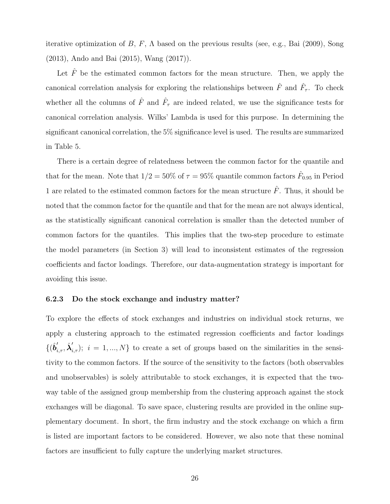iterative optimization of B, F,  $\Lambda$  based on the previous results (see, e.g., Bai (2009), Song (2013), Ando and Bai (2015), Wang (2017)).

Let  $\hat{F}$  be the estimated common factors for the mean structure. Then, we apply the canonical correlation analysis for exploring the relationships between  $\hat{F}$  and  $\hat{F}_{\tau}$ . To check whether all the columns of  $\hat{F}$  and  $\hat{F}_{\tau}$  are indeed related, we use the significance tests for canonical correlation analysis. Wilks' Lambda is used for this purpose. In determining the significant canonical correlation, the 5% significance level is used. The results are summarized in Table 5.

There is a certain degree of relatedness between the common factor for the quantile and that for the mean. Note that  $1/2 = 50\%$  of  $\tau = 95\%$  quantile common factors  $\hat{F}_{0.95}$  in Period 1 are related to the estimated common factors for the mean structure  $\hat{F}$ . Thus, it should be noted that the common factor for the quantile and that for the mean are not always identical, as the statistically significant canonical correlation is smaller than the detected number of common factors for the quantiles. This implies that the two-step procedure to estimate the model parameters (in Section 3) will lead to inconsistent estimates of the regression coefficients and factor loadings. Therefore, our data-augmentation strategy is important for avoiding this issue.

#### 6.2.3 Do the stock exchange and industry matter?

To explore the effects of stock exchanges and industries on individual stock returns, we apply a clustering approach to the estimated regression coefficients and factor loadings  $\{(\hat{b}'_{i,\tau}, \hat{\lambda}'_{i,\tau}); i = 1,...,N\}$  to create a set of groups based on the similarities in the sensitivity to the common factors. If the source of the sensitivity to the factors (both observables and unobservables) is solely attributable to stock exchanges, it is expected that the twoway table of the assigned group membership from the clustering approach against the stock exchanges will be diagonal. To save space, clustering results are provided in the online supplementary document. In short, the firm industry and the stock exchange on which a firm is listed are important factors to be considered. However, we also note that these nominal factors are insufficient to fully capture the underlying market structures.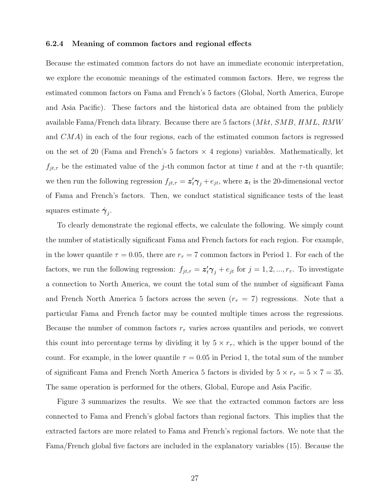#### 6.2.4 Meaning of common factors and regional effects

Because the estimated common factors do not have an immediate economic interpretation, we explore the economic meanings of the estimated common factors. Here, we regress the estimated common factors on Fama and French's 5 factors (Global, North America, Europe and Asia Pacific). These factors and the historical data are obtained from the publicly available Fama/French data library. Because there are 5 factors  $(Mkt, SMB, HML, RMW)$ and CMA) in each of the four regions, each of the estimated common factors is regressed on the set of 20 (Fama and French's 5 factors  $\times$  4 regions) variables. Mathematically, let  $f_{jt,\tau}$  be the estimated value of the j-th common factor at time t and at the  $\tau$ -th quantile; we then run the following regression  $f_{jt,\tau} = \mathbf{z}'_t \boldsymbol{\gamma}_j + e_{jt}$ , where  $\mathbf{z}_t$  is the 20-dimensional vector of Fama and French's factors. Then, we conduct statistical significance tests of the least squares estimate  $\hat{\gamma}_j$ .

To clearly demonstrate the regional effects, we calculate the following. We simply count the number of statistically significant Fama and French factors for each region. For example, in the lower quantile  $\tau = 0.05$ , there are  $r_{\tau} = 7$  common factors in Period 1. For each of the factors, we run the following regression:  $f_{jt,\tau} = \mathbf{z}'_t \boldsymbol{\gamma}_j + e_{jt}$  for  $j = 1, 2, ..., r_{\tau}$ . To investigate a connection to North America, we count the total sum of the number of significant Fama and French North America 5 factors across the seven  $(r<sub>\tau</sub> = 7)$  regressions. Note that a particular Fama and French factor may be counted multiple times across the regressions. Because the number of common factors  $r_{\tau}$  varies across quantiles and periods, we convert this count into percentage terms by dividing it by  $5 \times r_{\tau}$ , which is the upper bound of the count. For example, in the lower quantile  $\tau = 0.05$  in Period 1, the total sum of the number of significant Fama and French North America 5 factors is divided by  $5 \times r_{\tau} = 5 \times 7 = 35$ . The same operation is performed for the others, Global, Europe and Asia Pacific.

Figure 3 summarizes the results. We see that the extracted common factors are less connected to Fama and French's global factors than regional factors. This implies that the extracted factors are more related to Fama and French's regional factors. We note that the Fama/French global five factors are included in the explanatory variables (15). Because the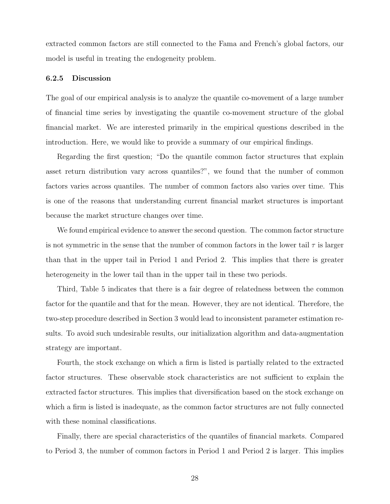extracted common factors are still connected to the Fama and French's global factors, our model is useful in treating the endogeneity problem.

#### 6.2.5 Discussion

The goal of our empirical analysis is to analyze the quantile co-movement of a large number of financial time series by investigating the quantile co-movement structure of the global financial market. We are interested primarily in the empirical questions described in the introduction. Here, we would like to provide a summary of our empirical findings.

Regarding the first question; "Do the quantile common factor structures that explain asset return distribution vary across quantiles?", we found that the number of common factors varies across quantiles. The number of common factors also varies over time. This is one of the reasons that understanding current financial market structures is important because the market structure changes over time.

We found empirical evidence to answer the second question. The common factor structure is not symmetric in the sense that the number of common factors in the lower tail  $\tau$  is larger than that in the upper tail in Period 1 and Period 2. This implies that there is greater heterogeneity in the lower tail than in the upper tail in these two periods.

Third, Table 5 indicates that there is a fair degree of relatedness between the common factor for the quantile and that for the mean. However, they are not identical. Therefore, the two-step procedure described in Section 3 would lead to inconsistent parameter estimation results. To avoid such undesirable results, our initialization algorithm and data-augmentation strategy are important.

Fourth, the stock exchange on which a firm is listed is partially related to the extracted factor structures. These observable stock characteristics are not sufficient to explain the extracted factor structures. This implies that diversification based on the stock exchange on which a firm is listed is inadequate, as the common factor structures are not fully connected with these nominal classifications.

Finally, there are special characteristics of the quantiles of financial markets. Compared to Period 3, the number of common factors in Period 1 and Period 2 is larger. This implies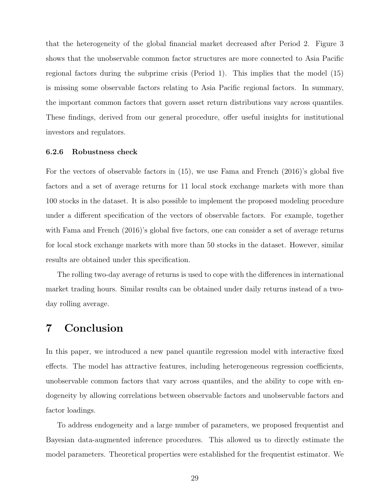that the heterogeneity of the global financial market decreased after Period 2. Figure 3 shows that the unobservable common factor structures are more connected to Asia Pacific regional factors during the subprime crisis (Period 1). This implies that the model (15) is missing some observable factors relating to Asia Pacific regional factors. In summary, the important common factors that govern asset return distributions vary across quantiles. These findings, derived from our general procedure, offer useful insights for institutional investors and regulators.

#### 6.2.6 Robustness check

For the vectors of observable factors in (15), we use Fama and French (2016)'s global five factors and a set of average returns for 11 local stock exchange markets with more than 100 stocks in the dataset. It is also possible to implement the proposed modeling procedure under a different specification of the vectors of observable factors. For example, together with Fama and French (2016)'s global five factors, one can consider a set of average returns for local stock exchange markets with more than 50 stocks in the dataset. However, similar results are obtained under this specification.

The rolling two-day average of returns is used to cope with the differences in international market trading hours. Similar results can be obtained under daily returns instead of a twoday rolling average.

# 7 Conclusion

In this paper, we introduced a new panel quantile regression model with interactive fixed effects. The model has attractive features, including heterogeneous regression coefficients, unobservable common factors that vary across quantiles, and the ability to cope with endogeneity by allowing correlations between observable factors and unobservable factors and factor loadings.

To address endogeneity and a large number of parameters, we proposed frequentist and Bayesian data-augmented inference procedures. This allowed us to directly estimate the model parameters. Theoretical properties were established for the frequentist estimator. We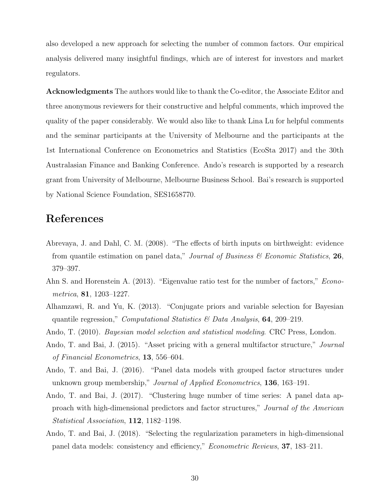also developed a new approach for selecting the number of common factors. Our empirical analysis delivered many insightful findings, which are of interest for investors and market regulators.

Acknowledgments The authors would like to thank the Co-editor, the Associate Editor and three anonymous reviewers for their constructive and helpful comments, which improved the quality of the paper considerably. We would also like to thank Lina Lu for helpful comments and the seminar participants at the University of Melbourne and the participants at the 1st International Conference on Econometrics and Statistics (EcoSta 2017) and the 30th Australasian Finance and Banking Conference. Ando's research is supported by a research grant from University of Melbourne, Melbourne Business School. Bai's research is supported by National Science Foundation, SES1658770.

# References

- Abrevaya, J. and Dahl, C. M. (2008). "The effects of birth inputs on birthweight: evidence from quantile estimation on panel data," Journal of Business  $\mathscr$  Economic Statistics, 26, 379–397.
- Ahn S. and Horenstein A. (2013). "Eigenvalue ratio test for the number of factors," Econometrica, 81, 1203–1227.
- Alhamzawi, R. and Yu, K. (2013). "Conjugate priors and variable selection for Bayesian quantile regression," *Computational Statistics & Data Analysis*, **64**, 209–219.
- Ando, T. (2010). *Bayesian model selection and statistical modeling*. CRC Press, London.
- Ando, T. and Bai, J. (2015). "Asset pricing with a general multifactor structure," Journal of Financial Econometrics, 13, 556–604.
- Ando, T. and Bai, J. (2016). "Panel data models with grouped factor structures under unknown group membership," *Journal of Applied Econometrics*, **136**, 163–191.
- Ando, T. and Bai, J. (2017). "Clustering huge number of time series: A panel data approach with high-dimensional predictors and factor structures," Journal of the American Statistical Association, 112, 1182–1198.
- Ando, T. and Bai, J. (2018). "Selecting the regularization parameters in high-dimensional panel data models: consistency and efficiency," Econometric Reviews, 37, 183–211.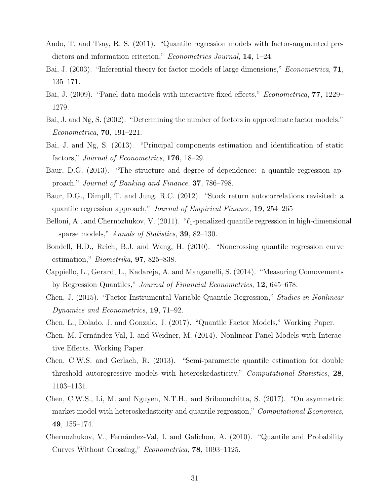- Ando, T. and Tsay, R. S. (2011). "Quantile regression models with factor-augmented predictors and information criterion," *Econometrics Journal*, **14**, 1–24.
- Bai, J. (2003). "Inferential theory for factor models of large dimensions," Econometrica, 71, 135–171.
- Bai, J. (2009). "Panel data models with interactive fixed effects," *Econometrica*, **77**, 1229– 1279.
- Bai, J. and Ng, S. (2002). "Determining the number of factors in approximate factor models," Econometrica, 70, 191–221.
- Bai, J. and Ng, S. (2013). "Principal components estimation and identification of static factors," *Journal of Econometrics*, **176**, 18–29.
- Baur, D.G. (2013). "The structure and degree of dependence: a quantile regression approach," Journal of Banking and Finance, 37, 786–798.
- Baur, D.G., Dimpfl, T. and Jung, R.C. (2012). "Stock return autocorrelations revisited: a quantile regression approach," Journal of Empirical Finance, 19, 254–265
- Belloni, A., and Chernozhukov, V. (2011). " $\ell_1$ -penalized quantile regression in high-dimensional sparse models," Annals of Statistics, 39, 82–130.
- Bondell, H.D., Reich, B.J. and Wang, H. (2010). "Noncrossing quantile regression curve estimation," Biometrika, 97, 825–838.
- Cappiello, L., Gerard, L., Kadareja, A. and Manganelli, S. (2014). "Measuring Comovements by Regression Quantiles," Journal of Financial Econometrics, 12, 645–678.
- Chen, J. (2015). "Factor Instrumental Variable Quantile Regression," Studies in Nonlinear Dynamics and Econometrics, 19, 71–92.
- Chen, L., Dolado, J. and Gonzalo, J. (2017). "Quantile Factor Models," Working Paper.
- Chen, M. Fernández-Val, I. and Weidner, M. (2014). Nonlinear Panel Models with Interactive Effects. Working Paper.
- Chen, C.W.S. and Gerlach, R. (2013). "Semi-parametric quantile estimation for double threshold autoregressive models with heteroskedasticity," *Computational Statistics*, 28, 1103–1131.
- Chen, C.W.S., Li, M. and Nguyen, N.T.H., and Sriboonchitta, S. (2017). "On asymmetric market model with heteroskedasticity and quantile regression," *Computational Economics*, 49, 155–174.
- Chernozhukov, V., Fernández-Val, I. and Galichon, A. (2010). "Quantile and Probability Curves Without Crossing," Econometrica, 78, 1093–1125.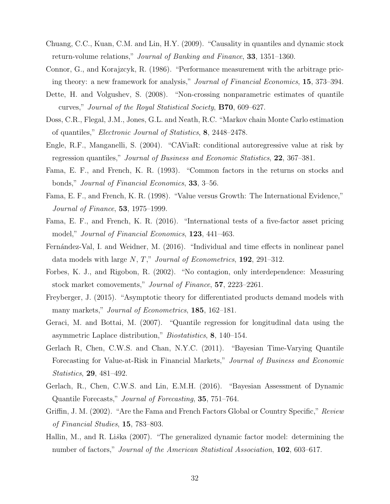- Chuang, C.C., Kuan, C.M. and Lin, H.Y. (2009). "Causality in quantiles and dynamic stock return-volume relations," Journal of Banking and Finance, 33, 1351–1360.
- Connor, G., and Korajzcyk, R. (1986). "Performance measurement with the arbitrage pricing theory: a new framework for analysis," Journal of Financial Economics, 15, 373–394.
- Dette, H. and Volgushev, S. (2008). "Non-crossing nonparametric estimates of quantile curves," Journal of the Royal Statistical Society, B70, 609–627.
- Doss, C.R., Flegal, J.M., Jones, G.L. and Neath, R.C. "Markov chain Monte Carlo estimation of quantiles," Electronic Journal of Statistics, 8, 2448–2478.
- Engle, R.F., Manganelli, S. (2004). "CAViaR: conditional autoregressive value at risk by regression quantiles," Journal of Business and Economic Statistics, 22, 367–381.
- Fama, E. F., and French, K. R. (1993). "Common factors in the returns on stocks and bonds," Journal of Financial Economics, 33, 3–56.
- Fama, E. F., and French, K. R. (1998). "Value versus Growth: The International Evidence," Journal of Finance, 53, 1975–1999.
- Fama, E. F., and French, K. R. (2016). "International tests of a five-factor asset pricing model," Journal of Financial Economics, 123, 441–463.
- Fernández-Val, I. and Weidner, M. (2016). "Individual and time effects in nonlinear panel data models with large  $N, T$ ," Journal of Econometrics, 192, 291–312.
- Forbes, K. J., and Rigobon, R. (2002). "No contagion, only interdependence: Measuring stock market comovements," Journal of Finance, 57, 2223-2261.
- Freyberger, J. (2015). "Asymptotic theory for differentiated products demand models with many markets," *Journal of Econometrics*, **185**, 162–181.
- Geraci, M. and Bottai, M. (2007). "Quantile regression for longitudinal data using the asymmetric Laplace distribution," Biostatistics, 8, 140–154.
- Gerlach R, Chen, C.W.S. and Chan, N.Y.C. (2011). "Bayesian Time-Varying Quantile Forecasting for Value-at-Risk in Financial Markets," Journal of Business and Economic Statistics, 29, 481–492.
- Gerlach, R., Chen, C.W.S. and Lin, E.M.H. (2016). "Bayesian Assessment of Dynamic Quantile Forecasts," Journal of Forecasting, 35, 751–764.
- Griffin, J. M. (2002). "Are the Fama and French Factors Global or Country Specific," Review of Financial Studies, 15, 783–803.
- Hallin, M., and R. Liška (2007). "The generalized dynamic factor model: determining the number of factors," *Journal of the American Statistical Association*, **102**, 603–617.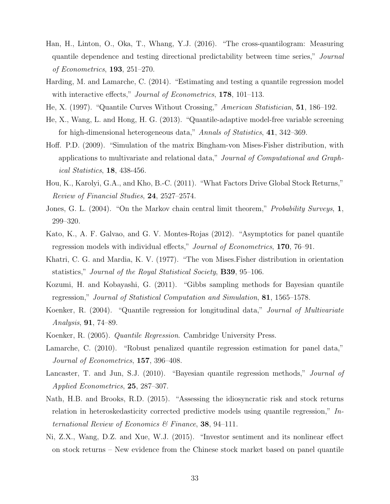- Han, H., Linton, O., Oka, T., Whang, Y.J. (2016). "The cross-quantilogram: Measuring quantile dependence and testing directional predictability between time series," Journal of Econometrics, 193, 251–270.
- Harding, M. and Lamarche, C. (2014). "Estimating and testing a quantile regression model with interactive effects," *Journal of Econometrics*, **178**, 101–113.
- He, X. (1997). "Quantile Curves Without Crossing," American Statistician, 51, 186–192.
- He, X., Wang, L. and Hong, H. G. (2013). "Quantile-adaptive model-free variable screening for high-dimensional heterogeneous data," Annals of Statistics, 41, 342–369.
- Hoff. P.D. (2009). "Simulation of the matrix Bingham-von Mises-Fisher distribution, with applications to multivariate and relational data," Journal of Computational and Graphical Statistics, 18, 438-456.
- Hou, K., Karolyi, G.A., and Kho, B.-C. (2011). "What Factors Drive Global Stock Returns," Review of Financial Studies, 24, 2527–2574.
- Jones, G. L. (2004). "On the Markov chain central limit theorem," Probability Surveys, 1, 299–320.
- Kato, K., A. F. Galvao, and G. V. Montes-Rojas (2012). "Asymptotics for panel quantile regression models with individual effects," Journal of Econometrics, 170, 76–91.
- Khatri, C. G. and Mardia, K. V. (1977). "The von Mises.Fisher distribution in orientation statistics," Journal of the Royal Statistical Society, B39, 95–106.
- Kozumi, H. and Kobayashi, G. (2011). "Gibbs sampling methods for Bayesian quantile regression," Journal of Statistical Computation and Simulation, 81, 1565–1578.
- Koenker, R. (2004). "Quantile regression for longitudinal data," Journal of Multivariate Analysis, 91, 74–89.
- Koenker, R. (2005). Quantile Regression. Cambridge University Press.
- Lamarche, C. (2010). "Robust penalized quantile regression estimation for panel data," Journal of Econometrics, 157, 396–408.
- Lancaster, T. and Jun, S.J. (2010). "Bayesian quantile regression methods," *Journal of* Applied Econometrics, 25, 287–307.
- Nath, H.B. and Brooks, R.D. (2015). "Assessing the idiosyncratic risk and stock returns relation in heteroskedasticity corrected predictive models using quantile regression," International Review of Economics  $\mathcal{C}$  Finance, 38, 94–111.
- Ni, Z.X., Wang, D.Z. and Xue, W.J. (2015). "Investor sentiment and its nonlinear effect on stock returns – New evidence from the Chinese stock market based on panel quantile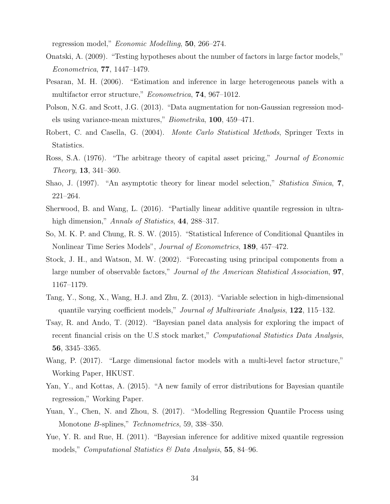regression model," Economic Modelling, 50, 266–274.

- Onatski, A. (2009). "Testing hypotheses about the number of factors in large factor models," Econometrica, 77, 1447–1479.
- Pesaran, M. H. (2006). "Estimation and inference in large heterogeneous panels with a multifactor error structure," *Econometrica*, **74**, 967–1012.
- Polson, N.G. and Scott, J.G. (2013). "Data augmentation for non-Gaussian regression models using variance-mean mixtures," Biometrika, 100, 459–471.
- Robert, C. and Casella, G. (2004). Monte Carlo Statistical Methods, Springer Texts in Statistics.
- Ross, S.A. (1976). "The arbitrage theory of capital asset pricing," Journal of Economic Theory, 13, 341–360.
- Shao, J. (1997). "An asymptotic theory for linear model selection," Statistica Sinica, 7, 221–264.
- Sherwood, B. and Wang, L. (2016). "Partially linear additive quantile regression in ultrahigh dimension," Annals of Statistics, 44, 288–317.
- So, M. K. P. and Chung, R. S. W. (2015). "Statistical Inference of Conditional Quantiles in Nonlinear Time Series Models", *Journal of Econometrics*, **189**, 457–472.
- Stock, J. H., and Watson, M. W. (2002). "Forecasting using principal components from a large number of observable factors," Journal of the American Statistical Association, **97**, 1167–1179.
- Tang, Y., Song, X., Wang, H.J. and Zhu, Z. (2013). "Variable selection in high-dimensional quantile varying coefficient models," Journal of Multivariate Analysis, 122, 115–132.
- Tsay, R. and Ando, T. (2012). "Bayesian panel data analysis for exploring the impact of recent financial crisis on the U.S stock market," Computational Statistics Data Analysis, 56, 3345–3365.
- Wang, P. (2017). "Large dimensional factor models with a multi-level factor structure," Working Paper, HKUST.
- Yan, Y., and Kottas, A. (2015). "A new family of error distributions for Bayesian quantile regression," Working Paper.
- Yuan, Y., Chen, N. and Zhou, S. (2017). "Modelling Regression Quantile Process using Monotone B-splines," Technometrics, 59, 338–350.
- Yue, Y. R. and Rue, H. (2011). "Bayesian inference for additive mixed quantile regression models," *Computational Statistics & Data Analysis*, **55**, 84–96.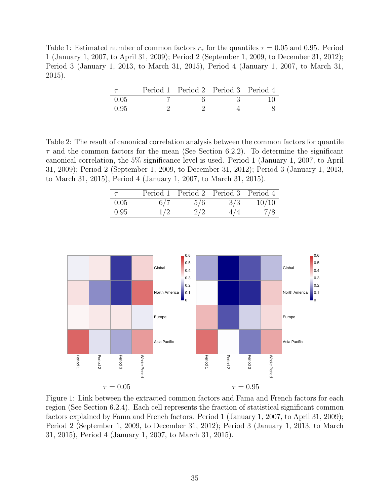Table 1: Estimated number of common factors  $r<sub>\tau</sub>$  for the quantiles  $\tau = 0.05$  and 0.95. Period 1 (January 1, 2007, to April 31, 2009); Period 2 (September 1, 2009, to December 31, 2012); Period 3 (January 1, 2013, to March 31, 2015), Period 4 (January 1, 2007, to March 31, 2015).

|      | Period 1 Period 2 Period 3 Period 4 |  |
|------|-------------------------------------|--|
| 0.05 |                                     |  |
| 0.95 |                                     |  |

Table 2: The result of canonical correlation analysis between the common factors for quantile  $\tau$  and the common factors for the mean (See Section 6.2.2). To determine the significant canonical correlation, the 5% significance level is used. Period 1 (January 1, 2007, to April 31, 2009); Period 2 (September 1, 2009, to December 31, 2012); Period 3 (January 1, 2013, to March 31, 2015), Period 4 (January 1, 2007, to March 31, 2015).

| $\tau$ |     | Period 1 Period 2 Period 3 Period 4 |     |       |
|--------|-----|-------------------------------------|-----|-------|
| 0.05   | 6/7 | 5/6                                 | 3/3 | 10/10 |
| 0.95   | 1/2 | 2/2                                 | 4/4 | 7/8   |



Figure 1: Link between the extracted common factors and Fama and French factors for each region (See Section 6.2.4). Each cell represents the fraction of statistical significant common factors explained by Fama and French factors. Period 1 (January 1, 2007, to April 31, 2009); Period 2 (September 1, 2009, to December 31, 2012); Period 3 (January 1, 2013, to March 31, 2015), Period 4 (January 1, 2007, to March 31, 2015).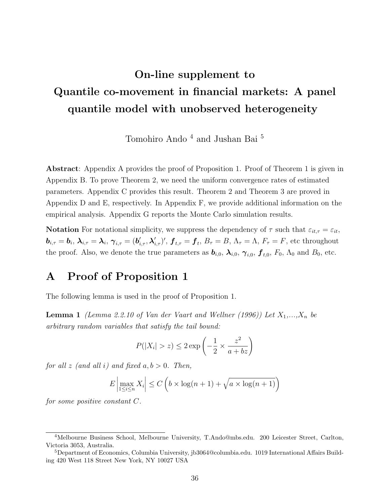# On-line supplement to Quantile co-movement in financial markets: A panel quantile model with unobserved heterogeneity

Tomohiro Ando $^4$  and Jushan Bai  $^5$ 

Abstract: Appendix A provides the proof of Proposition 1. Proof of Theorem 1 is given in Appendix B. To prove Theorem 2, we need the uniform convergence rates of estimated parameters. Appendix C provides this result. Theorem 2 and Theorem 3 are proved in Appendix D and E, respectively. In Appendix F, we provide additional information on the empirical analysis. Appendix G reports the Monte Carlo simulation results.

Notation For notational simplicity, we suppress the dependency of  $\tau$  such that  $\varepsilon_{it,\tau} = \varepsilon_{it}$ ,  $\bm{b}_{i,\tau}=\bm{b}_i, \, \bm{\lambda}_{i,\tau}=\bm{\lambda}_i, \, \bm{\gamma}_{i,\tau}=(\bm{b}_{i,\tau}', \bm{\lambda}_{i,\tau}')', \, \bm{f}_{t,\tau}=\bm{f}_t, \, B_\tau=B, \, \Lambda_\tau=\Lambda, \, F_\tau=F, \, \text{etc throughout}$ the proof. Also, we denote the true parameters as  $b_{i,0}$ ,  $\lambda_{i,0}$ ,  $\gamma_{i,0}$ ,  $f_{t,0}$ ,  $F_0$ ,  $\Lambda_0$  and  $B_0$ , etc.

### A Proof of Proposition 1

The following lemma is used in the proof of Proposition 1.

**Lemma 1** (Lemma 2.2.10 of Van der Vaart and Wellner (1996)) Let  $X_1,...,X_n$  be arbitrary random variables that satisfy the tail bound:

$$
P(|X_i| > z) \le 2 \exp\left(-\frac{1}{2} \times \frac{z^2}{a + bz}\right)
$$

for all z (and all i) and fixed  $a, b > 0$ . Then,

$$
E\left|\max_{1\leq i\leq n} X_i\right| \leq C\left(b \times \log(n+1) + \sqrt{a \times \log(n+1)}\right)
$$

for some positive constant C.

<sup>4</sup>Melbourne Business School, Melbourne University, T.Ando@mbs.edu. 200 Leicester Street, Carlton, Victoria 3053, Australia.

<sup>5</sup>Department of Economics, Columbia University, jb3064@columbia.edu. 1019 International Affairs Building 420 West 118 Street New York, NY 10027 USA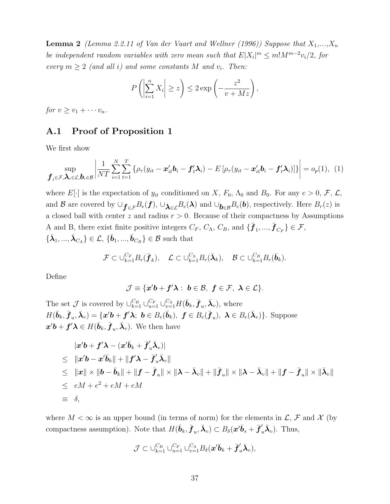**Lemma 2** (Lemma 2.2.11 of Van der Vaart and Wellner (1996)) Suppose that  $X_1,...,X_n$ be independent random variables with zero mean such that  $E|X_i|^m \leq m!M^{m-2}v_i/2$ , for every  $m \geq 2$  (and all i) and some constants M and  $v_i$ . Then:

$$
P\left(\left|\sum_{i=1}^n X_i\right| \geq z\right) \leq 2 \exp\left(-\frac{z^2}{v+Mz}\right),
$$

for  $v > v_1 + \cdots + v_n$ .

#### A.1 Proof of Proposition 1

We first show

$$
\sup_{\boldsymbol{f}_t \in \mathcal{F}, \boldsymbol{\lambda}_i \in \mathcal{L}, \boldsymbol{b}_i \in \mathcal{B}} \left| \frac{1}{NT} \sum_{i=1}^N \sum_{t=1}^T \left\{ \rho_\tau (y_{it} - \boldsymbol{x}_{it}^{\prime} \boldsymbol{b}_i - \boldsymbol{f}_t^{\prime} \boldsymbol{\lambda}_i) - E \left[ \rho_\tau (y_{it} - \boldsymbol{x}_{it}^{\prime} \boldsymbol{b}_i - \boldsymbol{f}_t^{\prime} \boldsymbol{\lambda}_i) \right] \right\} \right| = o_p(1), \tag{1}
$$

where  $E[\cdot]$  is the expectation of  $y_{it}$  conditioned on X,  $F_0$ ,  $\Lambda_0$  and  $B_0$ . For any  $e > 0$ ,  $\mathcal{F}, \mathcal{L},$ and B are covered by  $\cup_{\mathbf{f} \in \mathcal{F}} B_e(\mathbf{f}), \cup_{\mathbf{\lambda} \in \mathcal{L}} B_e(\mathbf{\lambda})$  and  $\cup_{\mathbf{b} \in \mathcal{B}} B_e(\mathbf{b})$ , respectively. Here  $B_r(z)$  is a closed ball with center z and radius  $r > 0$ . Because of their compactness by Assumptions A and B, there exist finite positive integers  $C_F$ ,  $C_{\Lambda}$ ,  $C_B$ , and  $\{\bar{\bm{f}}_1, ..., \bar{\bm{f}}_{C_F}\} \in \mathcal{F}$ ,  $\{\bar{\lambda}_1, ..., \bar{\lambda}_{C_{\Lambda}}\} \in \mathcal{L}, \{\bar{\mathbf{b}}_1, ..., \bar{\mathbf{b}}_{C_B}\} \in \mathcal{B}$  such that

$$
\mathcal{F} \subset \cup_{k=1}^{C_F} B_e(\bar{\boldsymbol{f}}_k), \quad \mathcal{L} \subset \cup_{k=1}^{C_{\Lambda}} B_e(\bar{\boldsymbol{\lambda}}_k), \quad \mathcal{B} \subset \cup_{k=1}^{C_B} B_e(\bar{\boldsymbol{b}}_k).
$$

Define

$$
\mathcal{J}\equiv\{\boldsymbol{x'}\boldsymbol{b}+\boldsymbol{f'}\boldsymbol{\lambda}:\ \boldsymbol{b}\in\mathcal{B},\ \boldsymbol{f}\in\mathcal{F},\ \boldsymbol{\lambda}\in\mathcal{L}\}.
$$

The set  $\mathcal J$  is covered by  $\cup_{k=1}^{C_B} \cup_{u=1}^{C_F} \cup_{v=1}^{C_\Lambda} H(\bar{\boldsymbol{b}}_k, \bar{\boldsymbol{f}}_u, \bar{\boldsymbol{\lambda}}_v)$ , where  $H(\bar{\boldsymbol{b}}_k, \bar{\boldsymbol{f}}_u, \bar{\boldsymbol{\lambda}}_v) = {\boldsymbol{x'\boldsymbol{b}} + \boldsymbol{f'\lambda}}; \ \boldsymbol{b} \in B_e(\bar{\boldsymbol{b}}_k), \ \boldsymbol{f} \in B_e(\bar{\boldsymbol{f}}_u), \ \boldsymbol{\lambda} \in B_e(\bar{\boldsymbol{\lambda}}_v)$ . Suppose  $\mathbf{x}'\mathbf{b} + \mathbf{f}'\mathbf{\lambda} \in H(\bar{\mathbf{b}}_k, \bar{\mathbf{f}}_u, \bar{\boldsymbol{\lambda}}_v)$ . We then have

$$
|\mathbf{x}'\mathbf{b} + \mathbf{f}'\mathbf{\lambda} - (\mathbf{x}'\bar{\mathbf{b}}_k + \bar{\mathbf{f}}'_u\bar{\mathbf{\lambda}}_v)|
$$
  
\n
$$
\leq ||\mathbf{x}'\mathbf{b} - \mathbf{x}'\bar{\mathbf{b}}_k|| + ||\mathbf{f}'\mathbf{\lambda} - \bar{\mathbf{f}}'_u\bar{\mathbf{\lambda}}_v||
$$
  
\n
$$
\leq ||\mathbf{x}|| \times ||\mathbf{b} - \bar{\mathbf{b}}_k|| + ||\mathbf{f} - \bar{\mathbf{f}}_u\bar{\mathbf{\lambda}}_v||
$$
  
\n
$$
\leq ||\mathbf{x}|| \times ||\mathbf{b} - \bar{\mathbf{b}}_k|| + ||\mathbf{f} - \bar{\mathbf{f}}_u|| \times ||\mathbf{\lambda} - \bar{\mathbf{\lambda}}_v|| + ||\bar{\mathbf{f}}_u|| \times ||\mathbf{\lambda} - \bar{\mathbf{\lambda}}_v|| + ||\mathbf{f} - \bar{\mathbf{f}}_u|| \times ||\bar{\mathbf{\lambda}}_v||
$$
  
\n
$$
\leq eM + e^2 + eM + eM
$$
  
\n
$$
\equiv \delta,
$$

where  $M < \infty$  is an upper bound (in terms of norm) for the elements in  $\mathcal{L}, \mathcal{F}$  and X (by compactness assumption). Note that  $H(\bar{\bm{b}}_k, \bar{\bm{f}}_u, \bar{\bm{\lambda}}_v) \subset B_\delta(\bm{x}' \bar{\bm{b}}_s + \bar{\bm{f}}'_u \bar{\bm{\lambda}}_v)$ . Thus,

$$
\mathcal{J} \subset \cup_{k=1}^{C_B} \cup_{u=1}^{C_F} \cup_{v=1}^{C_\Lambda} B_\delta(\mathbf{x}'\bar{\mathbf{b}}_k + \bar{\mathbf{f}}'_u\bar{\mathbf{\lambda}}_v),
$$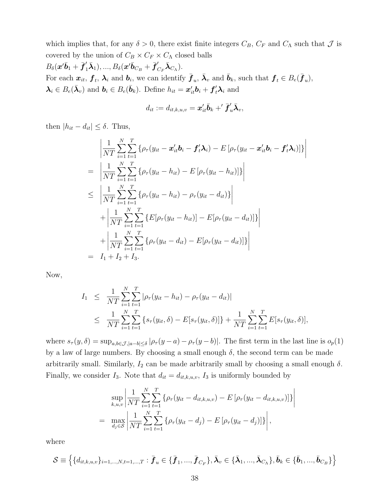which implies that, for any  $\delta > 0$ , there exist finite integers  $C_B$ ,  $C_F$  and  $C_{\Lambda}$  such that  $\mathcal J$  is covered by the union of  $C_B \times C_F \times C_\Lambda$  closed balls  $B_{\delta}(\boldsymbol{x}'\bar{\boldsymbol{b}}_{1}+\bar{\boldsymbol{f}}_{1}'\bar{\boldsymbol{\lambda}}_{1}),...,B_{\delta}(\boldsymbol{x}'\bar{\boldsymbol{b}}_{C_{B}}+\bar{\boldsymbol{f}}_{C_{F}}'\bar{\boldsymbol{\lambda}}_{C_{\Lambda}}).$ For each  $x_{it}$ ,  $f_t$ ,  $\lambda_i$  and  $b_i$ , we can identify  $\bar{f}_u$ ,  $\bar{\lambda}_v$  and  $\bar{b}_k$ , such that  $f_t \in B_e(\bar{f}_u)$ ,  $\lambda_i \in B_e(\bar{\lambda}_v)$  and  $\mathbf{b}_i \in B_e(\bar{\mathbf{b}}_k)$ . Define  $h_{it} = \mathbf{x}'_{it}\mathbf{b}_i + \mathbf{f}'_t\lambda_i$  and

$$
d_{it}:=d_{it,k,u,v}=\boldsymbol{x}_{it}^{\prime}\bar{\boldsymbol{b}}_{k}+\!{}^{\prime}\bar{\boldsymbol{f}}_{u}^{\prime}\bar{\boldsymbol{\lambda}}_{v},
$$

then  $|h_{it} - d_{it}| \leq \delta$ . Thus,

$$
\begin{split}\n&\left|\frac{1}{NT}\sum_{i=1}^{N}\sum_{t=1}^{T}\left\{\rho_{\tau}(y_{it}-\boldsymbol{x}_{it}^{\prime}\boldsymbol{b}_{i}-\boldsymbol{f}_{t}^{\prime}\boldsymbol{\lambda}_{i})-E\left[\rho_{\tau}(y_{it}-\boldsymbol{x}_{it}^{\prime}\boldsymbol{b}_{i}-\boldsymbol{f}_{t}^{\prime}\boldsymbol{\lambda}_{i})\right]\right\}\right| \\
&=\left|\frac{1}{NT}\sum_{i=1}^{N}\sum_{t=1}^{T}\left\{\rho_{\tau}(y_{it}-h_{it})-E\left[\rho_{\tau}(y_{it}-h_{it})\right]\right\}\right| \\
&\leq \left|\frac{1}{NT}\sum_{i=1}^{N}\sum_{t=1}^{T}\left\{\rho_{\tau}(y_{it}-h_{it})-\rho_{\tau}(y_{it}-d_{it})\right\}\right| \\
&+\left|\frac{1}{NT}\sum_{i=1}^{N}\sum_{t=1}^{T}\left\{E\left[\rho_{\tau}(y_{it}-h_{it})\right]-E\left[\rho_{\tau}(y_{it}-d_{it})\right]\right\}\right| \\
&+\left|\frac{1}{NT}\sum_{i=1}^{N}\sum_{t=1}^{T}\left\{\rho_{\tau}(y_{it}-d_{it})-E\left[\rho_{\tau}(y_{it}-d_{it})\right]\right\}\right| \\
&= I_{1}+I_{2}+I_{3}.\n\end{split}
$$

Now,

$$
I_1 \leq \frac{1}{NT} \sum_{i=1}^{N} \sum_{t=1}^{T} |\rho_{\tau}(y_{it} - h_{it}) - \rho_{\tau}(y_{it} - d_{it})|
$$
  
 
$$
\leq \frac{1}{NT} \sum_{i=1}^{N} \sum_{t=1}^{T} \{s_{\tau}(y_{it}, \delta) - E[s_{\tau}(y_{it}, \delta)]\} + \frac{1}{NT} \sum_{i=1}^{N} \sum_{t=1}^{T} E[s_{\tau}(y_{it}, \delta)],
$$

where  $s_{\tau}(y, \delta) = \sup_{a, b \in \mathcal{J}, |a-b| \le \delta} |\rho_{\tau}(y-a) - \rho_{\tau}(y-b)|$ . The first term in the last line is  $o_p(1)$ by a law of large numbers. By choosing a small enough  $\delta$ , the second term can be made arbitrarily small. Similarly,  $I_2$  can be made arbitrarily small by choosing a small enough  $\delta$ . Finally, we consider  $I_3$ . Note that  $d_{it} = d_{it,k,u,v}$ ,  $I_3$  is uniformly bounded by

$$
\sup_{k,u,v} \left| \frac{1}{NT} \sum_{i=1}^{N} \sum_{t=1}^{T} \{ \rho_{\tau}(y_{it} - d_{it,k,u,v}) - E \left[ \rho_{\tau}(y_{it} - d_{it,k,u,v}) \right] \} \right|
$$
  
= 
$$
\max_{d_j \in \mathcal{S}} \left| \frac{1}{NT} \sum_{i=1}^{N} \sum_{t=1}^{T} \{ \rho_{\tau}(y_{it} - d_j) - E \left[ \rho_{\tau}(y_{it} - d_j) \right] \} \right|,
$$

 $\overline{\phantom{a}}$  $\overline{\phantom{a}}$  $\overline{\phantom{a}}$  $\overline{\phantom{a}}$  $\overline{\phantom{a}}$ 

where

$$
\mathcal{S} \equiv \left\{ \{d_{it,k,u,v}\}_{i=1,...,N,t=1,...,T}: \bar{\bm{f}}_u \in \{\bar{\bm{f}}_1,...,\bar{\bm{f}}_{C_F}\}, \bar{\bm{\lambda}}_v \in \{\bar{\bm{\lambda}}_1,...,\bar{\bm{\lambda}}_{C_{\Lambda}}\}, \bar{\bm{b}}_k \in \{\bar{\bm{b}}_1,...,\bar{\bm{b}}_{C_B}\} \right\}
$$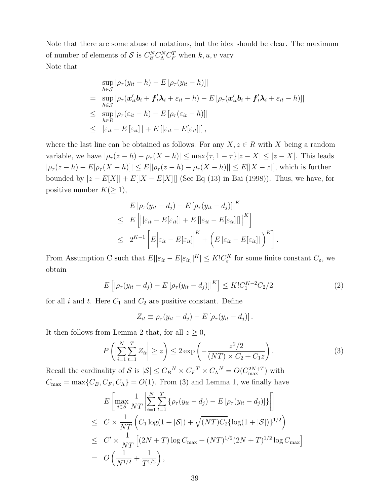Note that there are some abuse of notations, but the idea should be clear. The maximum of number of elements of  $S$  is  $C_B^N C_A^N C_F^T$  when  $k, u, v$  vary. Note that

$$
\sup_{h \in \mathcal{J}} |\rho_{\tau}(y_{it} - h) - E[\rho_{\tau}(y_{it} - h)]|
$$
\n
$$
= \sup_{h \in \mathcal{J}} |\rho_{\tau}(x_{it}'b_{i} + f_{t}'\lambda_{i} + \varepsilon_{it} - h) - E[\rho_{\tau}(x_{it}'b_{i} + f_{t}'\lambda_{i} + \varepsilon_{it} - h)]|
$$
\n
$$
\leq \sup_{h \in R} |\rho_{\tau}(\varepsilon_{it} - h) - E[\rho_{\tau}(\varepsilon_{it} - h)]|
$$
\n
$$
\leq |\varepsilon_{it} - E[\varepsilon_{it}]| + E[|\varepsilon_{it} - E[\varepsilon_{it}]|],
$$

where the last line can be obtained as follows. For any  $X, z \in R$  with X being a random variable, we have  $|\rho_{\tau}(z - h) - \rho_{\tau}(X - h)| \leq \max{\tau, 1 - \tau}|z - X| \leq |z - X|$ . This leads  $|\rho_{\tau}(z-h)-E[\rho_{\tau}(X-h)]| \leq E[|\rho_{\tau}(z-h)-\rho_{\tau}(X-h)]| \leq E[|X-z|]$ , which is further bounded by  $|z - E[X]| + E[|X - E[X]|]$  (See Eq (13) in Bai (1998)). Thus, we have, for positive number  $K(\geq 1)$ ,

$$
E |\rho_{\tau}(y_{it} - d_j) - E [\rho_{\tau}(y_{it} - d_j)]|^{K}
$$
  
\n
$$
\leq E \left[ \left| |\varepsilon_{it} - E[\varepsilon_{it}]| + E [|\varepsilon_{it} - E[\varepsilon_{it}]|] \right|^{K} \right]
$$
  
\n
$$
\leq 2^{K-1} \left[ E |\varepsilon_{it} - E[\varepsilon_{it}]|^{K} + \left( E |\varepsilon_{it} - E[\varepsilon_{it}]| \right)^{K} \right]
$$

From Assumption C such that  $E[|\varepsilon_{it} - E[\varepsilon_{it}]|^{K}] \leq K! C_{\varepsilon}^{K}$  for some finite constant  $C_{\varepsilon}$ , we obtain

$$
E\left[|\rho_{\tau}(y_{it} - d_j) - E\left[\rho_{\tau}(y_{it} - d_j)\right]|^{K}\right] \leq K!C_1^{K-2}C_2/2
$$
\n(2)

.

for all i and t. Here  $C_1$  and  $C_2$  are positive constant. Define

$$
Z_{it} \equiv \rho_{\tau}(y_{it} - d_j) - E\left[\rho_{\tau}(y_{it} - d_j)\right].
$$

It then follows from Lemma 2 that, for all  $z \geq 0$ ,

$$
P\left(\left|\sum_{i=1}^{N}\sum_{t=1}^{T}Z_{it}\right|\geq z\right)\leq 2\exp\left(-\frac{z^2/2}{(NT)\times C_2+C_1z}\right).
$$
\n(3)

Recall the cardinality of S is  $|S| \leq C_B^N \times C_F^T \times C_{\Lambda}^N = O(C_{\text{max}}^{2N+T})$  with  $C_{\text{max}} = \max\{C_B, C_F, C_\Lambda\} = O(1)$ . From (3) and Lemma 1, we finally have

$$
E\left[\max_{j\in\mathcal{S}}\frac{1}{NT}\left|\sum_{i=1}^{N}\sum_{t=1}^{T}\left\{\rho_{\tau}(y_{it}-d_{j})-E\left[\rho_{\tau}(y_{it}-d_{j})\right]\right\}\right|\right]
$$
  
\n
$$
\leq C \times \frac{1}{NT}\left(C_{1}\log(1+|\mathcal{S}|)+\sqrt{(NT)C_{2}}\{\log(1+|\mathcal{S}|)\}^{1/2}\right)
$$
  
\n
$$
\leq C' \times \frac{1}{NT}\left[(2N+T)\log C_{\max}+(NT)^{1/2}(2N+T)^{1/2}\log C_{\max}\right]
$$
  
\n
$$
= O\left(\frac{1}{N^{1/2}}+\frac{1}{T^{1/2}}\right),
$$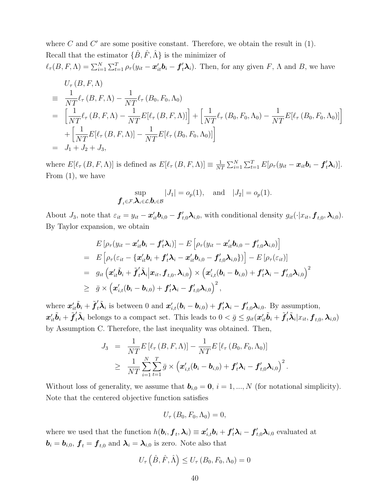where  $C$  and  $C'$  are some positive constant. Therefore, we obtain the result in  $(1)$ . Recall that the estimator  $\{\hat{B}, \hat{F}, \hat{\Lambda}\}\$ is the minimizer of  $\ell_{\tau}(B, F, \Lambda) = \sum_{i=1}^{N} \sum_{t=1}^{T} \rho_{\tau}(y_{it} - \boldsymbol{x}_{it}^{\prime} \boldsymbol{b}_{i} - \boldsymbol{f}_{t}^{\prime} \lambda_{i}).$  Then, for any given  $F$ ,  $\Lambda$  and  $B$ , we have

$$
U_{\tau} (B, F, \Lambda)
$$
  
\n
$$
\equiv \frac{1}{NT} \ell_{\tau} (B, F, \Lambda) - \frac{1}{NT} \ell_{\tau} (B_0, F_0, \Lambda_0)
$$
  
\n
$$
= \left[ \frac{1}{NT} \ell_{\tau} (B, F, \Lambda) - \frac{1}{NT} E[\ell_{\tau} (B, F, \Lambda)] \right] + \left[ \frac{1}{NT} \ell_{\tau} (B_0, F_0, \Lambda_0) - \frac{1}{NT} E[\ell_{\tau} (B_0, F_0, \Lambda_0)] \right]
$$
  
\n
$$
+ \left[ \frac{1}{NT} E[\ell_{\tau} (B, F, \Lambda)] - \frac{1}{NT} E[\ell_{\tau} (B_0, F_0, \Lambda_0)] \right]
$$
  
\n
$$
= J_1 + J_2 + J_3,
$$

where  $E[\ell_{\tau}(B, F, \Lambda)]$  is defined as  $E[\ell_{\tau}(B, F, \Lambda)] \equiv \frac{1}{N!}$  $\frac{1}{NT}\sum_{i=1}^N\sum_{t=1}^T E[\rho_\tau(y_{it}-\boldsymbol{x}_{it}\boldsymbol{b}_i-\boldsymbol{f}_t'\boldsymbol{\lambda}_i)].$ From (1), we have

$$
\sup_{\boldsymbol{f}_t \in \mathcal{F}, \boldsymbol{\lambda}_i \in \mathcal{L}, \boldsymbol{b}_i \in \mathcal{B}} |J_1| = o_p(1), \text{ and } |J_2| = o_p(1).
$$

About  $J_3$ , note that  $\varepsilon_{it} = y_{it} - x_{it}' b_{i,0} - f_{t,0}' \lambda_{i,0}$ , with conditional density  $g_{it}(\cdot | x_{it}, \mathbf{f}_{t,0}, \lambda_{i,0})$ . By Taylor expansion, we obtain

$$
E\left[\rho_{\tau}(y_{it}-\boldsymbol{x}_{it}^{\prime}\boldsymbol{b}_{i}-\boldsymbol{f}_{t}^{\prime}\boldsymbol{\lambda}_{i})\right]-E\left[\rho_{\tau}(y_{it}-\boldsymbol{x}_{it}^{\prime}\boldsymbol{b}_{i,0}-\boldsymbol{f}_{t,0}^{\prime}\boldsymbol{\lambda}_{i,0})\right]
$$
\n
$$
= E\left[\rho_{\tau}(\varepsilon_{it}-\{\boldsymbol{x}_{it}^{\prime}\boldsymbol{b}_{i}+\boldsymbol{f}_{t}^{\prime}\boldsymbol{\lambda}_{i}-\boldsymbol{x}_{it}^{\prime}\boldsymbol{b}_{i,0}-\boldsymbol{f}_{t,0}^{\prime}\boldsymbol{\lambda}_{i,0}\})\right]-E\left[\rho_{\tau}(\varepsilon_{it})\right]
$$
\n
$$
= g_{it}\left(\boldsymbol{x}_{it}^{\prime}\tilde{\boldsymbol{b}}_{i}+\tilde{\boldsymbol{f}}_{t}^{\prime}\tilde{\boldsymbol{\lambda}}_{i}\middle|\boldsymbol{x}_{it},\boldsymbol{f}_{t,0},\boldsymbol{\lambda}_{i,0}\right) \times \left(\boldsymbol{x}_{i,t}^{\prime}(\boldsymbol{b}_{i}-\boldsymbol{b}_{i,0})+\boldsymbol{f}_{t}^{\prime}\boldsymbol{\lambda}_{i}-\boldsymbol{f}_{t,0}^{\prime}\boldsymbol{\lambda}_{i,0}\right)^{2}
$$
\n
$$
\geq \bar{g} \times \left(\boldsymbol{x}_{i,t}^{\prime}(\boldsymbol{b}_{i}-\boldsymbol{b}_{i,0})+\boldsymbol{f}_{t}^{\prime}\boldsymbol{\lambda}_{i}-\boldsymbol{f}_{t,0}^{\prime}\boldsymbol{\lambda}_{i,0}\right)^{2},
$$

where  $\mathbf{x}'_{it}\tilde{\boldsymbol{b}}_i + \tilde{\boldsymbol{f}}'_t\tilde{\boldsymbol{\lambda}}_i$  is between 0 and  $\mathbf{x}'_{i,t}(\boldsymbol{b}_i - \boldsymbol{b}_{i,0}) + \boldsymbol{f}'_t\boldsymbol{\lambda}_i - \boldsymbol{f}'_{t,0}\boldsymbol{\lambda}_{i,0}$ . By assumption,  $x'_{it}\tilde{b}_i + \tilde{f}'_t\tilde{\lambda}_i$  belongs to a compact set. This leads to  $0 < \bar{g} \leq g_{it}(x'_{it}\tilde{b}_i + \tilde{f}'_t\tilde{\lambda}_i|x_{it}, \mathbf{f}_{t,0}, \lambda_{i,0})$ by Assumption C. Therefore, the last inequality was obtained. Then,

$$
J_3 = \frac{1}{NT} E\left[\ell_{\tau}\left(B, F, \Lambda\right)\right] - \frac{1}{NT} E\left[\ell_{\tau}\left(B_0, F_0, \Lambda_0\right)\right]
$$
  

$$
\geq \frac{1}{NT} \sum_{i=1}^{N} \sum_{t=1}^{T} \bar{g} \times \left(\boldsymbol{x}'_{i,t}(\boldsymbol{b}_i - \boldsymbol{b}_{i,0}) + \boldsymbol{f}'_t \boldsymbol{\lambda}_i - \boldsymbol{f}'_{t,0} \boldsymbol{\lambda}_{i,0}\right)^2
$$

.

Without loss of generality, we assume that  $\mathbf{b}_{i,0} = \mathbf{0}, i = 1, ..., N$  (for notational simplicity). Note that the centered objective function satisfies

$$
U_{\tau}\left(B_{0},F_{0},\Lambda_{0}\right)=0,
$$

where we used that the function  $h(\bm{b}_i, \bm{f}_t, \bm{\lambda}_i) \equiv \bm{x}_{i,t}' \bm{b}_i + \bm{f}_t' \bm{\lambda}_i - \bm{f}_{t,0}' \bm{\lambda}_{i,0}$  evaluated at  $\boldsymbol{b}_i = \boldsymbol{b}_{i,0}, \, \boldsymbol{f}_t = \boldsymbol{f}_{t,0}$  and  $\boldsymbol{\lambda}_i = \boldsymbol{\lambda}_{i,0}$  is zero. Note also that

$$
U_{\tau}\left(\hat{B},\hat{F},\hat{\Lambda}\right)\leq U_{\tau}\left(B_{0},F_{0},\Lambda_{0}\right)=0
$$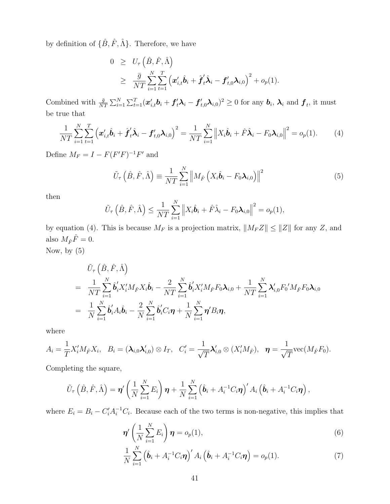by definition of  $\{\hat{B}, \hat{F}, \hat{\Lambda}\}$ . Therefore, we have

$$
0 \geq U_{\tau} \left( \hat{B}, \hat{F}, \hat{\Lambda} \right)
$$
  
\n
$$
\geq \frac{\bar{g}}{NT} \sum_{i=1}^{N} \sum_{t=1}^{T} \left( \boldsymbol{x}_{i,t}' \hat{\boldsymbol{b}}_i + \hat{\boldsymbol{f}}_t' \hat{\boldsymbol{\lambda}}_i - \boldsymbol{f}_{t,0}' \boldsymbol{\lambda}_{i,0} \right)^2 + o_p(1).
$$

Combined with  $\frac{\bar{g}}{NT} \sum_{i=1}^{N} \sum_{t=1}^{T} (\boldsymbol{x}'_{i,t} \boldsymbol{b}_i + \boldsymbol{f}'_t \boldsymbol{\lambda}_i - \boldsymbol{f}'_{t,0} \boldsymbol{\lambda}_{i,0})^2 \ge 0$  for any  $\boldsymbol{b}_i$ ,  $\boldsymbol{\lambda}_i$  and  $\boldsymbol{f}_t$ , it must be true that

$$
\frac{1}{NT} \sum_{i=1}^N \sum_{t=1}^T \left( \boldsymbol{x}'_{i,t} \hat{\boldsymbol{b}}_i + \hat{\boldsymbol{f}}'_t \hat{\boldsymbol{\lambda}}_i - \boldsymbol{f}'_{t,0} \boldsymbol{\lambda}_{i,0} \right)^2 = \frac{1}{NT} \sum_{i=1}^N \left\| X_i \hat{\boldsymbol{b}}_i + \hat{F} \hat{\boldsymbol{\lambda}}_i - F_0 \boldsymbol{\lambda}_{i,0} \right\|^2 = o_p(1).
$$
 (4)

Define  $M_F = I - F(F'F)^{-1}F'$  and

$$
\tilde{U}_{\tau}\left(\hat{B},\hat{F},\hat{\Lambda}\right) \equiv \frac{1}{NT} \sum_{i=1}^{N} \left\| M_{\hat{F}}\left(X_i\hat{\boldsymbol{b}}_i - F_0\boldsymbol{\lambda}_{i,0}\right) \right\|^2 \tag{5}
$$

then

$$
\tilde{U}_{\tau}\left(\hat{B},\hat{F},\hat{\Lambda}\right) \leq \frac{1}{NT} \sum_{i=1}^{N} \left\|X_i\hat{\boldsymbol{b}}_i + \hat{F}\hat{\lambda}_i - F_0\boldsymbol{\lambda}_{i,0}\right\|^2 = o_p(1),
$$

by equation (4). This is because  $M_F$  is a projection matrix,  $||M_F Z|| \le ||Z||$  for any Z, and also  $M_{\hat F}\hat F=0.$ Now, by (5)

$$
\tilde{U}_{\tau}\left(\hat{B},\hat{F},\hat{\Lambda}\right)
$$
\n
$$
= \frac{1}{NT} \sum_{i=1}^{N} \hat{b}_{i}^{\prime} X_{i}^{\prime} M_{\hat{F}} X_{i} \hat{b}_{i} - \frac{2}{NT} \sum_{i=1}^{N} \hat{b}_{i}^{\prime} X_{i}^{\prime} M_{\hat{F}} F_{0} \lambda_{i,0} + \frac{1}{NT} \sum_{i=1}^{N} \lambda_{i,0}^{\prime} F_{0}^{\prime} M_{\hat{F}} F_{0} \lambda_{i,0}
$$
\n
$$
= \frac{1}{N} \sum_{i=1}^{N} \hat{b}_{i}^{\prime} A_{i} \hat{b}_{i} - \frac{2}{N} \sum_{i=1}^{N} \hat{b}_{i}^{\prime} C_{i} \boldsymbol{\eta} + \frac{1}{N} \sum_{i=1}^{N} \boldsymbol{\eta}^{\prime} B_{i} \boldsymbol{\eta},
$$

where

$$
A_i = \frac{1}{T} X_i' M_{\hat{F}} X_i, \quad B_i = (\boldsymbol{\lambda}_{i,0} \boldsymbol{\lambda}_{i,0}') \otimes I_T, \quad C_i' = \frac{1}{\sqrt{T}} \boldsymbol{\lambda}_{i,0}' \otimes (X_i' M_{\hat{F}}), \quad \boldsymbol{\eta} = \frac{1}{\sqrt{T}} \text{vec}(M_{\hat{F}} F_0).
$$

Completing the square,

$$
\tilde{U}_{\tau}\left(\hat{B},\hat{F},\hat{\Lambda}\right)=\boldsymbol{\eta}'\left(\frac{1}{N}\sum_{i=1}^{N}E_{i}\right)\boldsymbol{\eta}+\frac{1}{N}\sum_{i=1}^{N}\left(\hat{\boldsymbol{b}}_{i}+A_{i}^{-1}C_{i}\boldsymbol{\eta}\right)'A_{i}\left(\hat{\boldsymbol{b}}_{i}+A_{i}^{-1}C_{i}\boldsymbol{\eta}\right),
$$

where  $E_i = B_i - C_i^{\prime} A_i^{-1} C_i$ . Because each of the two terms is non-negative, this implies that

$$
\boldsymbol{\eta}'\left(\frac{1}{N}\sum_{i=1}^{N}E_i\right)\boldsymbol{\eta}=o_p(1),\tag{6}
$$

$$
\frac{1}{N} \sum_{i=1}^{N} \left( \hat{\boldsymbol{b}}_i + A_i^{-1} C_i \boldsymbol{\eta} \right)' A_i \left( \hat{\boldsymbol{b}}_i + A_i^{-1} C_i \boldsymbol{\eta} \right) = o_p(1). \tag{7}
$$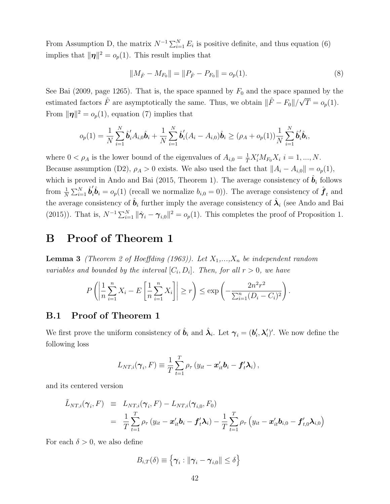From Assumption D, the matrix  $N^{-1} \sum_{i=1}^{N} E_i$  is positive definite, and thus equation (6) implies that  $\|\eta\|^2 = o_p(1)$ . This result implies that

$$
||M_{\hat{F}} - M_{F_0}|| = ||P_{\hat{F}} - P_{F_0}|| = o_p(1).
$$
\n(8)

See Bai (2009, page 1265). That is, the space spanned by  $F_0$  and the space spanned by the estimated factors  $\hat{F}$  are asymptotically the same. Thus, we obtain  $\|\hat{F} - F_0\|/\sqrt{T} = o_p(1)$ . From  $\|\eta\|^2 = o_p(1)$ , equation (7) implies that

$$
o_p(1) = \frac{1}{N} \sum_{i=1}^N \hat{b}'_i A_{i,0} \hat{b}_i + \frac{1}{N} \sum_{i=1}^N \hat{b}'_i (A_i - A_{i,0}) \hat{b}_i \geq (\rho_A + o_p(1)) \frac{1}{N} \sum_{i=1}^N \hat{b}'_i \hat{b}_i,
$$

where  $0 < \rho_A$  is the lower bound of the eigenvalues of  $A_{i,0} = \frac{1}{T} X_i^{\prime} M_{F_0} X_i$   $i = 1, ..., N$ . Because assumption (D2),  $\rho_A > 0$  exists. We also used the fact that  $||A_i - A_{i,0}|| = o_p(1)$ , which is proved in Ando and Bai (2015, Theorem 1). The average consistency of  $\hat{b}_i$  follows from  $\frac{1}{N}\sum_{i=1}^N \hat{\bm{b}}'_i$  $\hat{b}_i = o_p(1)$  (recall we normalize  $b_{i,0} = 0$ )). The average consistency of  $\hat{f}_t$  and the average consistency of  $\hat{\bm{b}}_i$  further imply the average consistency of  $\hat{\bm{\lambda}}_i$  (see Ando and Bai (2015)). That is,  $N^{-1} \sum_{i=1}^{N} ||\hat{\gamma}_i - \gamma_{i,0}||^2 = o_p(1)$ . This completes the proof of Proposition 1.

## B Proof of Theorem 1

**Lemma 3** (Theorem 2 of Hoeffding (1963)). Let  $X_1, \ldots, X_n$  be independent random variables and bounded by the interval  $[C_i, D_i]$ . Then, for all  $r > 0$ , we have

$$
P\left(\left|\frac{1}{n}\sum_{i=1}^{n}X_{i}-E\left[\frac{1}{n}\sum_{i=1}^{n}X_{i}\right]\right| \geq r\right) \leq \exp\left(-\frac{2n^{2}r^{2}}{\sum_{i=1}^{n}(D_{i}-C_{i})^{2}}\right).
$$

#### B.1 Proof of Theorem 1

We first prove the uniform consistency of  $\hat{\bm{b}}_i$  and  $\hat{\bm{\lambda}}_i$ . Let  $\bm{\gamma}_i = (\bm{b}'_i, \bm{\lambda}'_i)'$ . We now define the following loss

$$
L_{NT,i}(\boldsymbol{\gamma}_i, F) \equiv \frac{1}{T} \sum_{t=1}^T \rho_{\tau} \left( y_{it} - \boldsymbol{x}_{it}' \boldsymbol{b}_i - \boldsymbol{f}_t' \boldsymbol{\lambda}_i \right),
$$

and its centered version

$$
\tilde{L}_{NT,i}(\boldsymbol{\gamma}_i, F) \equiv L_{NT,i}(\boldsymbol{\gamma}_i, F) - L_{NT,i}(\boldsymbol{\gamma}_{i,0}, F_0)
$$
\n
$$
= \frac{1}{T} \sum_{t=1}^T \rho_{\tau} \left( y_{it} - \boldsymbol{x}_{it}' \boldsymbol{b}_i - \boldsymbol{f}_{t}' \boldsymbol{\lambda}_i \right) - \frac{1}{T} \sum_{t=1}^T \rho_{\tau} \left( y_{it} - \boldsymbol{x}_{it}' \boldsymbol{b}_{i,0} - \boldsymbol{f}_{t,0}' \boldsymbol{\lambda}_{i,0} \right)
$$

For each  $\delta > 0$ , we also define

$$
B_{i,T}(\delta) \equiv \left\{ \boldsymbol{\gamma}_i : \|\boldsymbol{\gamma}_i - \boldsymbol{\gamma}_{i,0}\| \le \delta \right\}
$$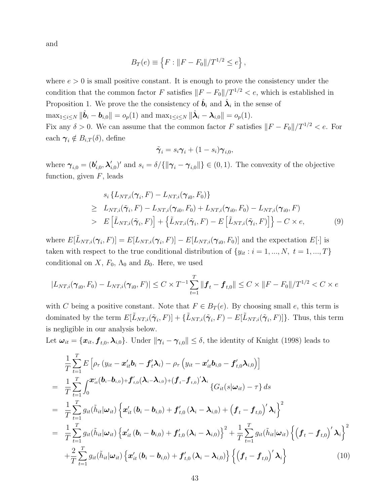and

$$
B_T(e) \equiv \{ F : ||F - F_0|| / T^{1/2} \le e \},
$$

where  $e > 0$  is small positive constant. It is enough to prove the consistency under the condition that the common factor F satisfies  $||F - F_0||/T^{1/2} < e$ , which is established in Proposition 1. We prove the the consistency of  $\hat{\boldsymbol{b}}_i$  and  $\hat{\boldsymbol{\lambda}}_i$  in the sense of  $\max_{1 \leq i \leq N} \|\hat{\bm{b}}_i - \bm{b}_{i,0}\| = o_p(1)$  and  $\max_{1 \leq i \leq N} \|\hat{\bm{\lambda}}_i - \bm{\lambda}_{i,0}\| = o_p(1)$ . Fix any  $\delta > 0$ . We can assume that the common factor F satisfies  $||F - F_0||/T^{1/2} < e$ . For each  $\gamma_i \notin B_{i,T}(\delta)$ , define

$$
\tilde{\boldsymbol{\gamma}}_i = s_i \boldsymbol{\gamma}_i + (1 - s_i) \boldsymbol{\gamma}_{i,0},
$$

where  $\boldsymbol{\gamma}_{i,0} = (\boldsymbol{b}_{i,0}', \boldsymbol{\lambda}_{i,0}')'$  and  $s_i = \delta / {\{\|\boldsymbol{\gamma}_i - \boldsymbol{\gamma}_{i,0}\|\}} \in (0,1)$ . The convexity of the objective function, given  $F$ , leads

$$
s_i \{L_{NT,i}(\gamma_i, F) - L_{NT,i}(\gamma_{i0}, F_0)\}
$$
  
\n
$$
\geq L_{NT,i}(\tilde{\gamma}_i, F) - L_{NT,i}(\gamma_{i0}, F_0) + L_{NT,i}(\gamma_{i0}, F_0) - L_{NT,i}(\gamma_{i0}, F)
$$
  
\n
$$
> E\left[\tilde{L}_{NT,i}(\tilde{\gamma}_i, F)\right] + \left\{\tilde{L}_{NT,i}(\tilde{\gamma}_i, F) - E\left[\tilde{L}_{NT,i}(\tilde{\gamma}_i, F)\right]\right\} - C \times e,
$$
\n(9)

where  $E[\tilde{L}_{NT,i}(\gamma_i, F)] = E[L_{NT,i}(\gamma_i, F)] - E[L_{NT,i}(\gamma_{i0}, F_0)]$  and the expectation  $E[\cdot]$  is taken with respect to the true conditional distribution of  $\{y_{it} : i = 1, ..., N, t = 1, ..., T\}$ conditional on  $X$ ,  $F_0$ ,  $\Lambda_0$  and  $B_0$ . Here, we used

$$
|L_{NT,i}(\gamma_{i0}, F_0) - L_{NT,i}(\gamma_{i0}, F)| \leq C \times T^{-1} \sum_{t=1}^T ||\boldsymbol{f}_t - \boldsymbol{f}_{t,0}|| \leq C \times ||F - F_0|| / T^{1/2} < C \times e
$$

with C being a positive constant. Note that  $F \in B_T(e)$ . By choosing small e, this term is dominated by the term  $E[\tilde{L}_{NT,i}(\tilde{\gamma}_i, F)] + {\tilde{L}_{NT,i}(\tilde{\gamma}_i, F) - E[\tilde{L}_{NT,i}(\tilde{\gamma}_i, F)]}.$  Thus, this term is negligible in our analysis below.

Let  $\bm{\omega}_{it} = \{\bm{x}_{it}, \bm{f}_{t,0}, \bm{\lambda}_{i,0}\}$ . Under  $\|\bm{\gamma}_i - \bm{\gamma}_{i,0}\| \leq \delta$ , the identity of Knight (1998) leads to

$$
\frac{1}{T} \sum_{t=1}^{T} E\left[\rho_{\tau} \left(y_{it} - \mathbf{x}_{it}' \mathbf{b}_{i} - \mathbf{f}_{t}' \mathbf{\lambda}_{i}\right) - \rho_{\tau} \left(y_{it} - \mathbf{x}_{it}' \mathbf{b}_{i,0} - \mathbf{f}_{t,0}' \mathbf{\lambda}_{i,0}\right)\right] \n= \frac{1}{T} \sum_{t=1}^{T} \int_{0}^{\mathbf{x}_{it}'} (\mathbf{b}_{i} - \mathbf{b}_{i,0}) + \mathbf{f}_{t,0}'(\mathbf{\lambda}_{i} - \mathbf{\lambda}_{i,0}) + (\mathbf{f}_{t} - \mathbf{f}_{t,0})' \mathbf{\lambda}_{i} \left\{G_{it}(s|\omega_{it}) - \tau\right\} ds \n= \frac{1}{T} \sum_{t=1}^{T} g_{it}(\tilde{h}_{it}|\omega_{it}) \left\{ \mathbf{x}_{it}'\left(\mathbf{b}_{i} - \mathbf{b}_{i,0}\right) + \mathbf{f}_{t,0}'\left(\mathbf{\lambda}_{i} - \mathbf{\lambda}_{i,0}\right) + \left(\mathbf{f}_{t} - \mathbf{f}_{t,0}\right)' \mathbf{\lambda}_{i} \right\}^{2} \n= \frac{1}{T} \sum_{t=1}^{T} g_{it}(\tilde{h}_{it}|\omega_{it}) \left\{ \mathbf{x}_{it}'\left(\mathbf{b}_{i} - \mathbf{b}_{i,0}\right) + \mathbf{f}_{t,0}'\left(\mathbf{\lambda}_{i} - \mathbf{\lambda}_{i,0}\right) \right\}^{2} + \frac{1}{T} \sum_{t=1}^{T} g_{it}(\tilde{h}_{it}|\omega_{it}) \left\{ \left(\mathbf{f}_{t} - \mathbf{f}_{t,0}\right)' \mathbf{\lambda}_{i} \right\}^{2} \n+ \frac{2}{T} \sum_{t=1}^{T} g_{it}(\tilde{h}_{it}|\omega_{it}) \left\{ \mathbf{x}_{it}'\left(\mathbf{b}_{i} - \mathbf{b}_{i,0}\right) + \mathbf{f}_{t,0}'\left(\mathbf{\lambda}_{i} - \mathbf{\lambda}_{i,0}\right) \right\} \left\{ \left(\mathbf{f}_{t} - \mathbf{f}_{t,0}\right)' \mathbf{\lambda}_{i} \right\}^{2} \tag{10}
$$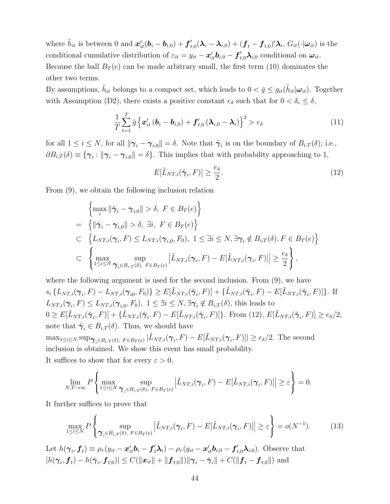where  $\tilde{h}_{it}$  is between 0 and  $\mathbf{x}'_{it}(\mathbf{b}_i - \mathbf{b}_{i,0}) + \mathbf{f}'_{t,0}(\boldsymbol{\lambda}_i - \boldsymbol{\lambda}_{i,0}) + (\mathbf{f}_t - \mathbf{f}_{t,0})' \boldsymbol{\lambda}_i$ ,  $G_{it}(\cdot | \boldsymbol{\omega}_{it})$  is the conditional cumulative distribution of  $\varepsilon_{it} = y_{it} - x'_{it} b_{i,0} - f'_{t,0} \lambda_{i,0}$  conditional on  $\omega_{it}$ . Because the ball  $B_T(e)$  can be made arbitrary small, the first term (10) dominates the other two terms.

By assumptions,  $\tilde{h}_{it}$  belongs to a compact set, which leads to  $0 < \bar{g} \leq g_{it}(\tilde{h}_{it}|\omega_{it})$ . Together with Assumption (D2), there exists a positive constant  $e_{\delta}$  such that for  $0 < \delta_e \leq \delta$ ,

$$
\frac{1}{T}\sum_{t=1}^{T}\bar{g}\left\{\boldsymbol{x}_{it}'\left(\boldsymbol{b}_{i}-\boldsymbol{b}_{i,0}\right)+\boldsymbol{f}_{t,0}'\left(\boldsymbol{\lambda}_{i,0}-\boldsymbol{\lambda}_{i}\right)\right\}^{2}>e_{\delta}
$$
\n(11)

for all  $1 \leq i \leq N$ , for all  $\|\boldsymbol{\gamma}_i - \boldsymbol{\gamma}_{i,0}\| = \delta$ . Note that  $\tilde{\boldsymbol{\gamma}}_i$  is on the boundary of  $B_{i,T}(\delta)$ ; i.e.,  $\partial B_{i,T}(\delta) \equiv \{\gamma_i : ||\gamma_i - \gamma_{i,0}|| = \delta\}.$  This implies that with probability approaching to 1,

$$
E[\tilde{L}_{NT,i}(\tilde{\boldsymbol{\gamma}}_i, F)] \ge \frac{e_{\delta}}{2}.\tag{12}
$$

From (9), we obtain the following inclusion relation

$$
\left\{\max_{i} \|\hat{\gamma}_{i} - \gamma_{i,0}\| > \delta, \ F \in B_{T}(e)\right\}
$$
\n
$$
= \left\{\|\hat{\gamma}_{i} - \gamma_{i,0}\| > \delta, \ \exists i, \ F \in B_{T}(e)\right\}
$$
\n
$$
\subset \left\{L_{NT,i}(\gamma_{i}, F) \le L_{NT,i}(\gamma_{i,0}, F_{0}), \ 1 \le \exists i \le N, \exists \gamma_{i} \notin B_{i,T}(\delta), F \in B_{T}(e)\right\}
$$
\n
$$
\subset \left\{\max_{1 \le i \le N} \sup_{\gamma_{i} \in B_{i,T}(\delta), \ F \in B_{T}(e)} \left|\tilde{L}_{NT,i}(\gamma_{i}, F) - E[\tilde{L}_{NT,i}(\gamma_{i}, F)]\right| \ge \frac{e_{\delta}}{2}\right\},\
$$

where the following argument is used for the second inclusion. From  $(9)$ , we have  $s_i\{L_{NT,i}(\boldsymbol{\gamma}_i, F) - L_{NT,i}(\boldsymbol{\gamma}_{i0}, F_0)\} \ge E[\tilde{L}_{NT,i}(\tilde{\boldsymbol{\gamma}}_i, F)] + \{\tilde{L}_{NT,i}(\tilde{\boldsymbol{\gamma}}_i, F) - E[\tilde{L}_{NT,i}(\tilde{\boldsymbol{\gamma}}_i, F)]\}$ . If  $L_{NT,i}(\gamma_i, F) \leq L_{NT,i}(\gamma_{i,0}, F_0), \ 1 \leq \exists i \leq N, \exists \gamma_i \notin B_{i,T}(\delta),$  this leads to  $0 \geq E[\tilde{L}_{NT,i}(\tilde{\boldsymbol{\gamma}}_i, F)] + {\tilde{L}_{NT,i}(\tilde{\boldsymbol{\gamma}}_i, F) - E[\tilde{L}_{NT,i}(\tilde{\boldsymbol{\gamma}}_i, F)]}.$  From (12),  $E[\tilde{L}_{NT,i}(\tilde{\boldsymbol{\gamma}}_i, F)] \geq e_{\delta}/2$ , note that  $\tilde{\gamma}_i \in B_{i,T}(\delta)$ . Thus, we should have  $\max_{1 \leq i \leq N} \sup_{\mathbf{\gamma}_i \in B_{i,T}(\delta), \ F \in B_T(e)} |\tilde{L}_{NT,i}(\mathbf{\gamma}_i, F) - E[\tilde{L}_{NT,i}(\mathbf{\gamma}_i, F)]| \geq e_{\delta}/2.$  The second inclusion is obtained. We show this event has small probability. It suffices to show that for every  $\varepsilon > 0$ ,

$$
\lim_{N,T\to\infty} P\left\{\max_{1\leq i\leq N} \sup_{\mathbf{\gamma}_i\in B_{i,T}(\delta),\ F\in B_T(e)} \left|\tilde{L}_{NT,i}(\mathbf{\gamma}_i,F)-E[\tilde{L}_{NT,i}(\mathbf{\gamma}_i,F)]\right|\geq \varepsilon\right\}=0.
$$

It further suffices to prove that

$$
\max_{1 \leq i \leq N} P\left\{ \sup_{\boldsymbol{\gamma}_i \in B_{i,T}(\delta), \ F \in B_T(e)} \left| \tilde{L}_{NT,i}(\boldsymbol{\gamma}_i, F) - E[\tilde{L}_{NT,i}(\boldsymbol{\gamma}_i, F)] \right| \geq \varepsilon \right\} = o(N^{-1}). \tag{13}
$$

Let  $h(\gamma_i, \mathbf{f}_t) \equiv \rho_{\tau}(y_{it} - \mathbf{x}_{it}' \mathbf{b}_i - \mathbf{f}_t' \mathbf{\lambda}_i) - \rho_{\tau}(y_{it} - \mathbf{x}_{it}' \mathbf{b}_{i,0} - \mathbf{f}_{t,0}' \mathbf{\lambda}_{i,0})$ . Observe that  $|h(\bm{\gamma}_i, \bm{f}_t) - h(\bar{\bm{\gamma}}_i, \bm{f}_{t,0})| \leq C(\|\bm{x}_{it}\| + \|\bm{f}_{t,0}\|) \|\bm{\gamma}_i - \bar{\bm{\gamma}}_i\| + C(\|\bm{f}_t - \bm{f}_{t,0}\|)$  and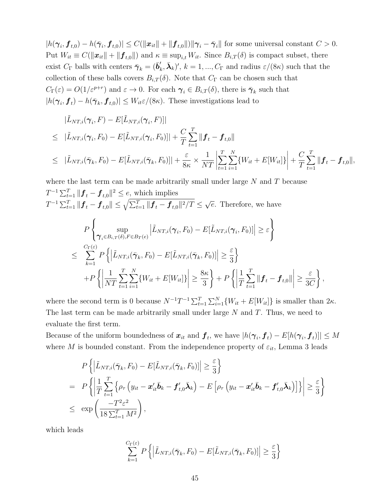$|h(\boldsymbol{\gamma}_i, \boldsymbol{f}_{t,0}) - h(\bar{\boldsymbol{\gamma}}_i, \boldsymbol{f}_{t,0})| \leq C(||\boldsymbol{x}_{it}|| + ||\boldsymbol{f}_{t,0}||) ||\boldsymbol{\gamma}_i - \bar{\boldsymbol{\gamma}}_i||$  for some universal constant  $C > 0$ . Put  $W_{it} \equiv C(||\boldsymbol{x}_{it}|| + ||\boldsymbol{f}_{t,0}||)$  and  $\kappa \equiv \sup_{i,t} W_{it}$ . Since  $B_{i,T}(\delta)$  is compact subset, there exist  $C_{\Gamma}$  balls with centers  $\bar{\boldsymbol{\gamma}}_k = (\bar{\boldsymbol{b}}'_k, \bar{\boldsymbol{\lambda}}_k)'$ ,  $k = 1, ..., C_{\Gamma}$  and radius  $\varepsilon/(8\kappa)$  such that the collection of these balls covers  $B_{i,T}(\delta)$ . Note that  $C_{\Gamma}$  can be chosen such that  $C_{\Gamma}(\varepsilon) = O(1/\varepsilon^{p+r})$  and  $\varepsilon \to 0$ . For each  $\gamma_i \in B_{i,T}(\delta)$ , there is  $\bar{\gamma}_k$  such that  $|h(\gamma_i, \boldsymbol{f}_t) - h(\bar{\gamma}_k, \boldsymbol{f}_{t,0})| \leq W_{it} \varepsilon/(8\kappa)$ . These investigations lead to

$$
|\tilde{L}_{NT,i}(\gamma_i, F) - E[\tilde{L}_{NT,i}(\gamma_i, F)]|
$$
  
\n
$$
\leq |\tilde{L}_{NT,i}(\gamma_i, F_0) - E[\tilde{L}_{NT,i}(\gamma_i, F_0)]| + \frac{C}{T} \sum_{t=1}^T ||\boldsymbol{f}_t - \boldsymbol{f}_{t,0}||
$$
  
\n
$$
\leq |\tilde{L}_{NT,i}(\bar{\gamma}_k, F_0) - E[\tilde{L}_{NT,i}(\bar{\gamma}_k, F_0)]| + \frac{\varepsilon}{8\kappa} \times \frac{1}{NT} \left| \sum_{t=1}^T \sum_{i=1}^N \{W_{it} + E[W_{it}]\} \right| + \frac{C}{T} \sum_{t=1}^T ||\boldsymbol{f}_t - \boldsymbol{f}_{t,0}||,
$$

where the last term can be made arbitrarily small under large  $N$  and  $T$  because  $T^{-1} \sum_{t=1}^{T} \|\boldsymbol{f}_{t} - \boldsymbol{f}_{t,0}\|^2 \le e$ , which implies  $T^{-1}\sum_{t=1}^{T}||\bm{f}_t-\bm{f}_{t,0}|| \leq \sqrt{\sum_{t=1}^{T}||\bm{f}_t-\bm{f}_{t,0}||^2/T} \leq \sqrt{e}$ . Therefore, we have P  $\sqrt{ }$ Į  $\mathcal{L}$ sup  $\gamma_{i} \in B_{i,T}(\delta), F \in B_{T}(e)$  $\left| \tilde{L}_{NT,i}(\boldsymbol{\gamma}_i,F_0) - E[\tilde{L}_{NT,i}(\boldsymbol{\gamma}_i,F_0)] \right| \geq \varepsilon$  $\mathcal{L}$  $\overline{\mathcal{L}}$ J ≤  $\sum_{\Gamma(\varepsilon)}$  $_{k=1}$  $P\left\{ \left|\tilde{L}_{NT,i}(\bar{\boldsymbol{\gamma}}_k,F_0)-E[\tilde{L}_{NT,i}(\bar{\boldsymbol{\gamma}}_k,F_0)]\right|\geq$ ε 3 }  $+P$  $\left\{\right|$ 1  $NT$ ∑ T  $t=1$ ∑ N  $\sum_{i=1} \{W_{it} + E[W_{it}]\}$  ≥  $8\kappa$ 3 }  $+$   $F$  $\left\{\right|$ 1  $\mathcal T$ ∑ T  $\sum\limits_{t=1} \|\bm{f}_t - \bm{f}_{t,0}\|$  ≥ ε 3C } ,

where the second term is 0 because  $N^{-1}T^{-1}\sum_{t=1}^{T}\sum_{i=1}^{N} \{W_{it} + E[W_{it}]\}\$ is smaller than  $2\kappa$ . The last term can be made arbitrarily small under large  $N$  and  $T$ . Thus, we need to evaluate the first term.

Because of the uniform boundedness of  $x_{it}$  and  $\bm{f}_t$ , we have  $|h(\bm{\gamma}_i, \bm{f}_t) - E[h(\bm{\gamma}_i, \bm{f}_t)]| \leq M$ where M is bounded constant. From the independence property of  $\varepsilon_{it}$ , Lemma 3 leads

$$
P\left\{ \left| \tilde{L}_{NT,i}(\bar{\boldsymbol{\gamma}}_k, F_0) - E[\tilde{L}_{NT,i}(\bar{\boldsymbol{\gamma}}_k, F_0)] \right| \geq \frac{\varepsilon}{3} \right\}
$$
  
= 
$$
P\left\{ \left| \frac{1}{T} \sum_{t=1}^T \left\{ \rho_\tau \left( y_{it} - \boldsymbol{x}_{it}' \bar{\boldsymbol{b}}_k - \boldsymbol{f}_{t,0}' \bar{\boldsymbol{\lambda}}_k \right) - E\left[ \rho_\tau \left( y_{it} - \boldsymbol{x}_{it}' \bar{\boldsymbol{b}}_k - \boldsymbol{f}_{t,0}' \bar{\boldsymbol{\lambda}}_k \right) \right] \right\} \right| \geq \frac{\varepsilon}{3} \right\}
$$
  
\$\leq\$ exp  $\left( \frac{-T^2 \varepsilon^2}{18 \sum_{t=1}^T M^2} \right),$ 

which leads

$$
\sum_{k=1}^{C_{\Gamma}(\varepsilon)} P\left\{ \left| \tilde{L}_{NT,i}(\bar{\boldsymbol{\gamma}}_k, F_0) - E[\tilde{L}_{NT,i}(\bar{\boldsymbol{\gamma}}_k, F_0)] \right| \geq \frac{\varepsilon}{3} \right\}
$$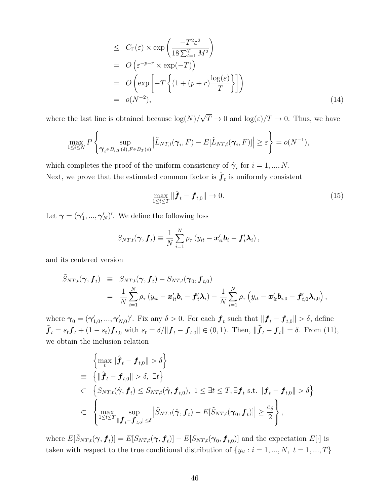$$
\leq C_{\Gamma}(\varepsilon) \times \exp\left(\frac{-T^2 \varepsilon^2}{18 \sum_{t=1}^T M^2}\right)
$$
\n
$$
= O\left(\varepsilon^{-p-r} \times \exp(-T)\right)
$$
\n
$$
= O\left(\exp\left[-T\left\{(1+(p+r)\frac{\log(\varepsilon)}{T}\right\}\right]\right)
$$
\n
$$
= o(N^{-2}), \tag{14}
$$

where the last line is obtained because  $\log(N)/\sqrt{T} \to 0$  and  $\log(\varepsilon)/T \to 0$ . Thus, we have

$$
\max_{1 \leq i \leq N} P\left\{\sup_{\boldsymbol{\gamma}_i \in B_{i,T}(\delta), F \in B_T(e)} \left| \tilde{L}_{NT,i}(\boldsymbol{\gamma}_i, F) - E[\tilde{L}_{NT,i}(\boldsymbol{\gamma}_i, F)] \right| \geq \varepsilon \right\} = o(N^{-1}),
$$

which completes the proof of the uniform consistency of  $\hat{\boldsymbol{\gamma}}_i$  for  $i = 1, ..., N$ . Next, we prove that the estimated common factor is  $\hat{\boldsymbol{f}}_t$  is uniformly consistent

$$
\max_{1 \le t \le T} \|\hat{f}_t - f_{t,0}\| \to 0. \tag{15}
$$

Let  $\boldsymbol{\gamma} = (\boldsymbol{\gamma}_1', ..., \boldsymbol{\gamma}_N')'$ . We define the following loss

$$
S_{NT,t}(\boldsymbol{\gamma}, \boldsymbol{f}_t) \equiv \frac{1}{N} \sum_{i=1}^N \rho_{\tau} (y_{it} - \boldsymbol{x}_{it}' \boldsymbol{b}_i - \boldsymbol{f}_t' \boldsymbol{\lambda}_i),
$$

and its centered version

$$
\tilde{S}_{NT,t}(\boldsymbol{\gamma}, \boldsymbol{f}_t) \equiv S_{NT,t}(\boldsymbol{\gamma}, \boldsymbol{f}_t) - S_{NT,t}(\boldsymbol{\gamma}_0, \boldsymbol{f}_{t,0}) \n= \frac{1}{N} \sum_{i=1}^N \rho_{\tau} (y_{it} - \boldsymbol{x}_{it}' \boldsymbol{b}_i - \boldsymbol{f}_{t}' \boldsymbol{\lambda}_i) - \frac{1}{N} \sum_{i=1}^N \rho_{\tau} (y_{it} - \boldsymbol{x}_{it}' \boldsymbol{b}_{i,0} - \boldsymbol{f}_{t,0}' \boldsymbol{\lambda}_{i,0}),
$$

where  $\boldsymbol{\gamma}_0 = (\boldsymbol{\gamma}_{1,0}',...,\boldsymbol{\gamma}_{N,0}')'$ . Fix any  $\delta > 0$ . For each  $\boldsymbol{f}_t$  such that  $\|\boldsymbol{f}_t - \boldsymbol{f}_{t,0}\| > \delta$ , define  $\tilde{\boldsymbol{f}}_t = s_t \boldsymbol{f}_t + (1 - s_t) \boldsymbol{f}_{t,0}$  with  $s_t = \delta / \|\boldsymbol{f}_t - \boldsymbol{f}_{t,0}\| \in (0, 1)$ . Then,  $\|\tilde{\boldsymbol{f}}_t - \boldsymbol{f}_t\| = \delta$ . From (11), we obtain the inclusion relation

$$
\left\{\max_{t} \|\hat{\boldsymbol{f}}_{t} - \boldsymbol{f}_{t,0}\| > \delta\right\}
$$
\n
$$
\equiv \left\{\|\hat{\boldsymbol{f}}_{t} - \boldsymbol{f}_{t,0}\| > \delta, \exists t\right\}
$$
\n
$$
\subset \left\{S_{NT,t}(\hat{\boldsymbol{\gamma}}, \boldsymbol{f}_{t}) \leq S_{NT,t}(\hat{\boldsymbol{\gamma}}, \boldsymbol{f}_{t,0}), 1 \leq \exists t \leq T, \exists \boldsymbol{f}_{t} \text{ s.t. } \|\boldsymbol{f}_{t} - \boldsymbol{f}_{t,0}\| > \delta\right\}
$$
\n
$$
\subset \left\{\max_{1 \leq t \leq T} \sup_{\|\boldsymbol{f}_{t} - \boldsymbol{f}_{t,0}\| \leq \delta} \left|\tilde{S}_{NT,t}(\hat{\boldsymbol{\gamma}}, \boldsymbol{f}_{t}) - E[\tilde{S}_{NT,t}(\boldsymbol{\gamma}_{0}, \boldsymbol{f}_{t})]\right| \geq \frac{e_{\delta}}{2}\right\},
$$

where  $E[\tilde{S}_{NT,t}(\boldsymbol{\gamma}, \boldsymbol{f}_t)] = E[S_{NT,t}(\boldsymbol{\gamma}, \boldsymbol{f}_t)] - E[S_{NT,t}(\boldsymbol{\gamma}_0, \boldsymbol{f}_{t,0})]$  and the expectation  $E[\cdot]$  is taken with respect to the true conditional distribution of  $\{y_{it} : i = 1, ..., N, t = 1, ..., T\}$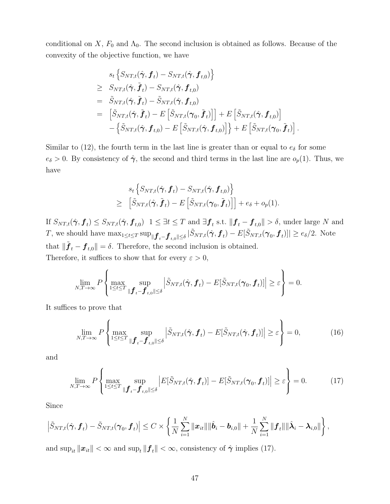conditional on  $X$ ,  $F_0$  and  $\Lambda_0$ . The second inclusion is obtained as follows. Because of the convexity of the objective function, we have

$$
s_t \left\{ S_{NT,t}(\hat{\boldsymbol{\gamma}}, \boldsymbol{f}_t) - S_{NT,t}(\hat{\boldsymbol{\gamma}}, \boldsymbol{f}_{t,0}) \right\}
$$
  
\n
$$
\geq S_{NT,t}(\hat{\boldsymbol{\gamma}}, \tilde{\boldsymbol{f}}_t) - S_{NT,t}(\hat{\boldsymbol{\gamma}}, \boldsymbol{f}_{t,0})
$$
  
\n
$$
= \tilde{S}_{NT,t}(\hat{\boldsymbol{\gamma}}, \tilde{\boldsymbol{f}}_t) - \tilde{S}_{NT,t}(\hat{\boldsymbol{\gamma}}, \boldsymbol{f}_{t,0})
$$
  
\n
$$
= \left[ \tilde{S}_{NT,t}(\hat{\boldsymbol{\gamma}}, \tilde{\boldsymbol{f}}_t) - E \left[ \tilde{S}_{NT,t}(\boldsymbol{\gamma}_0, \tilde{\boldsymbol{f}}_t) \right] \right] + E \left[ \tilde{S}_{NT,t}(\hat{\boldsymbol{\gamma}}, \boldsymbol{f}_{t,0}) \right]
$$
  
\n
$$
- \left\{ \tilde{S}_{NT,t}(\hat{\boldsymbol{\gamma}}, \boldsymbol{f}_{t,0}) - E \left[ \tilde{S}_{NT,t}(\hat{\boldsymbol{\gamma}}, \boldsymbol{f}_{t,0}) \right] \right\} + E \left[ \tilde{S}_{NT,t}(\boldsymbol{\gamma}_0, \tilde{\boldsymbol{f}}_t) \right].
$$

Similar to (12), the fourth term in the last line is greater than or equal to  $e_{\delta}$  for some  $e_{\delta} > 0$ . By consistency of  $\hat{\gamma}$ , the second and third terms in the last line are  $o_p(1)$ . Thus, we have

$$
s_t \left\{ S_{NT,t}(\hat{\boldsymbol{\gamma}}, \boldsymbol{f}_t) - S_{NT,t}(\hat{\boldsymbol{\gamma}}, \boldsymbol{f}_{t,0}) \right\}
$$
  
\n
$$
\geq \left[ \tilde{S}_{NT,t}(\hat{\boldsymbol{\gamma}}, \tilde{\boldsymbol{f}}_t) - E \left[ \tilde{S}_{NT,t}(\boldsymbol{\gamma}_0, \tilde{\boldsymbol{f}}_t) \right] \right] + e_{\delta} + o_p(1).
$$

If  $S_{NT,t}(\hat{\boldsymbol{\gamma}}, \boldsymbol{f}_t) \leq S_{NT,t}(\hat{\boldsymbol{\gamma}}, \boldsymbol{f}_{t,0})$   $1 \leq \exists t \leq T$  and  $\exists \boldsymbol{f}_t$  s.t.  $\|\boldsymbol{f}_t - \boldsymbol{f}_{t,0}\| > \delta$ , under large N and T, we should have  $\max_{1 \leq t \leq T} \sup_{\|\boldsymbol{f}_{t}-\boldsymbol{f}_{t,0}\| \leq \delta} |\tilde{S}_{NT,t}(\hat{\boldsymbol{\gamma}}, \boldsymbol{f}_{t}) - E[\tilde{S}_{NT,t}(\boldsymbol{\gamma}_0, \boldsymbol{f}_{t})]| \geq e_{\delta}/2.$  Note that  $\|\tilde{\boldsymbol{f}}_t - \boldsymbol{f}_{t,0}\| = \delta$ . Therefore, the second inclusion is obtained. Therefore, it suffices to show that for every  $\varepsilon > 0$ ,

$$
\lim_{N,T\to\infty} P\left\{\max_{1\leq t\leq T} \sup_{\|\mathbf{f}_t-\mathbf{f}_{t,0}\|\leq \delta} \left|\tilde{S}_{NT,t}(\hat{\boldsymbol{\gamma}}, \mathbf{f}_t) - E[\tilde{S}_{NT,t}(\boldsymbol{\gamma}_0, \mathbf{f}_t)]\right| \geq \varepsilon\right\} = 0.
$$

It suffices to prove that

$$
\lim_{N,T \to \infty} P\left\{ \max_{1 \le t \le T} \sup_{\|\mathbf{f}_t - \mathbf{f}_{t,0}\| \le \delta} \left| \tilde{S}_{NT,t}(\hat{\boldsymbol{\gamma}}, \mathbf{f}_t) - E[\tilde{S}_{NT,t}(\hat{\boldsymbol{\gamma}}, \mathbf{f}_t)] \right| \ge \varepsilon \right\} = 0, \tag{16}
$$

and

$$
\lim_{N,T \to \infty} P\left\{\max_{1 \le t \le T} \sup_{\|\boldsymbol{f}_t - \boldsymbol{f}_{t,0}\| \le \delta} \left| E[\tilde{S}_{NT,t}(\hat{\boldsymbol{\gamma}}, \boldsymbol{f}_t)] - E[\tilde{S}_{NT,t}(\boldsymbol{\gamma}_0, \boldsymbol{f}_t)] \right| \ge \varepsilon \right\} = 0. \tag{17}
$$

Since

$$
\left|\tilde{S}_{NT,t}(\hat{\boldsymbol{\gamma}}, \boldsymbol{f}_t) - \tilde{S}_{NT,t}(\boldsymbol{\gamma}_0, \boldsymbol{f}_t)\right| \leq C \times \left\{\frac{1}{N} \sum_{i=1}^N \|\boldsymbol{x}_{it}\| \|\hat{\boldsymbol{b}}_i - \boldsymbol{b}_{i,0}\| + \frac{1}{N} \sum_{i=1}^N \|\boldsymbol{f}_t\| \|\hat{\boldsymbol{\lambda}}_i - \boldsymbol{\lambda}_{i,0}\|\right\},\
$$

and  $\sup_{it} ||x_{it}|| < \infty$  and  $\sup_{t} ||f_t|| < \infty$ , consistency of  $\hat{\gamma}$  implies (17).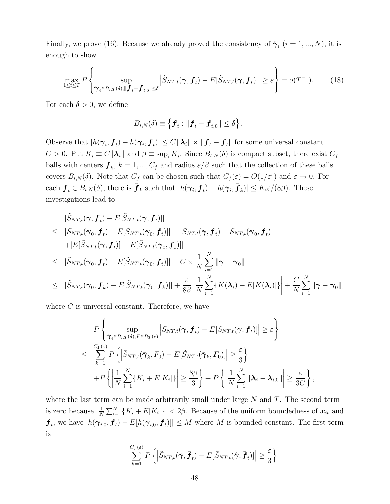Finally, we prove (16). Because we already proved the consistency of  $\hat{\boldsymbol{\gamma}}_i$   $(i = 1, ..., N)$ , it is enough to show

$$
\max_{1 \leq t \leq T} P\left\{ \sup_{\gamma_i \in B_{i,T}(\delta), \|\mathbf{f}_{t} - \mathbf{f}_{t,0}\| \leq \delta} \left| \tilde{S}_{NT,t}(\gamma, \mathbf{f}_t) - E[\tilde{S}_{NT,t}(\gamma, \mathbf{f}_t)] \right| \geq \varepsilon \right\} = o(T^{-1}). \tag{18}
$$

For each  $\delta > 0$ , we define

$$
B_{t,N}(\delta) \equiv \left\{ \boldsymbol{f}_t : \|\boldsymbol{f}_t - \boldsymbol{f}_{t,0}\| \leq \delta \right\}.
$$

Observe that  $|h(\boldsymbol{\gamma}_i, \boldsymbol{f}_t) - h(\boldsymbol{\gamma}_i, \bar{\boldsymbol{f}}_t)| \leq C ||\boldsymbol{\lambda}_i|| \times ||\bar{\boldsymbol{f}}_t - \boldsymbol{f}_t||$  for some universal constant  $C > 0$ . Put  $K_i \equiv C ||\lambda_i||$  and  $\beta \equiv \sup_i K_i$ . Since  $B_{t,N}(\delta)$  is compact subset, there exist  $C_f$ balls with centers  $\bar{\bm{f}}_k$ ,  $k = 1, ..., C_f$  and radius  $\varepsilon/\beta$  such that the collection of these balls covers  $B_{t,N}(\delta)$ . Note that  $C_f$  can be chosen such that  $C_f(\varepsilon) = O(1/\varepsilon^r)$  and  $\varepsilon \to 0$ . For each  $f_t \in B_{t,N}(\delta)$ , there is  $\bar{\boldsymbol{f}}_k$  such that  $|h(\boldsymbol{\gamma}_i, \boldsymbol{f}_t) - h(\boldsymbol{\gamma}_i, \bar{\boldsymbol{f}}_k)| \le K_i \varepsilon/(8\beta)$ . These investigations lead to

$$
|\tilde{S}_{NT,t}(\gamma, \boldsymbol{f}_t) - E[\tilde{S}_{NT,t}(\gamma, \boldsymbol{f}_t)]|
$$
\n
$$
\leq |\tilde{S}_{NT,t}(\gamma_0, \boldsymbol{f}_t) - E[\tilde{S}_{NT,t}(\gamma_0, \boldsymbol{f}_t)]| + |\tilde{S}_{NT,t}(\gamma, \boldsymbol{f}_t) - \tilde{S}_{NT,t}(\gamma_0, \boldsymbol{f}_t)|
$$
\n
$$
+ |E[\tilde{S}_{NT,t}(\gamma, \boldsymbol{f}_t)] - E[\tilde{S}_{NT,t}(\gamma_0, \boldsymbol{f}_t)]|
$$
\n
$$
\leq |\tilde{S}_{NT,t}(\gamma_0, \boldsymbol{f}_t) - E[\tilde{S}_{NT,t}(\gamma_0, \boldsymbol{f}_t)]| + C \times \frac{1}{N} \sum_{i=1}^N ||\gamma - \gamma_0||
$$
\n
$$
\leq |\tilde{S}_{NT,t}(\gamma_0, \boldsymbol{f}_k) - E[\tilde{S}_{NT,t}(\gamma_0, \boldsymbol{f}_k)]| + \frac{\varepsilon}{8\beta} \left| \frac{1}{N} \sum_{i=1}^N \{K(\lambda_i) + E[K(\lambda_i)]\} \right| + \frac{C}{N} \sum_{i=1}^N ||\gamma - \gamma_0||,
$$

where  $C$  is universal constant. Therefore, we have

$$
P\left\{\sup_{\boldsymbol{\gamma}_{i}\in B_{i,T}(\delta), F\in B_{T}(e)}\left|\tilde{S}_{NT,t}(\boldsymbol{\gamma}, \boldsymbol{f}_{t}) - E[\tilde{S}_{NT,t}(\boldsymbol{\gamma}, \boldsymbol{f}_{t})]\right| \geq \varepsilon\right\}
$$
  

$$
\leq \sum_{k=1}^{C_{\Gamma}(\varepsilon)} P\left\{\left|\tilde{S}_{NT,t}(\bar{\boldsymbol{\gamma}}_{k}, F_{0}) - E[\tilde{S}_{NT,t}(\bar{\boldsymbol{\gamma}}_{k}, F_{0})]\right| \geq \frac{\varepsilon}{3}\right\}
$$
  
+
$$
+ P\left\{\left|\frac{1}{N}\sum_{i=1}^{N}\{K_{i} + E[K_{i}]\}\right| \geq \frac{8\beta}{3}\right\} + P\left\{\left|\frac{1}{N}\sum_{i=1}^{N}\|\boldsymbol{\lambda}_{i} - \boldsymbol{\lambda}_{i,0}\|\right| \geq \frac{\varepsilon}{3C}\right\},\right\}
$$

where the last term can be made arbitrarily small under large  $N$  and  $T$ . The second term is zero because  $\left|\frac{1}{N}\right|$  $\frac{1}{N} \sum_{i=1}^{N} \{K_i + E[K_i]\}\| < 2\beta$ . Because of the uniform boundedness of  $x_{it}$  and  $\bm{f}_t$ , we have  $|h(\bm{\gamma}_{i,0},\bm{f}_t) - E[h(\bm{\gamma}_{i,0},\bm{f}_t)]| \leq M$  where M is bounded constant. The first term is

$$
\sum_{k=1}^{C_f(\varepsilon)} P\left\{ \left| \tilde{S}_{NT,t}(\hat{\boldsymbol{\gamma}}, \bar{\boldsymbol{f}}_t) - E[\tilde{S}_{NT,t}(\hat{\boldsymbol{\gamma}}, \bar{\boldsymbol{f}}_t)] \right| \ge \frac{\varepsilon}{3} \right\}
$$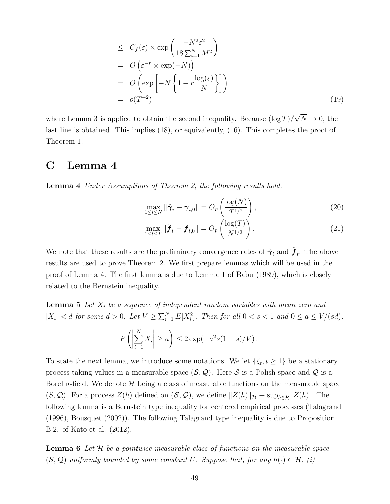$$
\leq C_f(\varepsilon) \times \exp\left(\frac{-N^2\varepsilon^2}{18\sum_{i=1}^N M^2}\right)
$$
\n
$$
= O\left(\varepsilon^{-r} \times \exp(-N)\right)
$$
\n
$$
= O\left(\exp\left[-N\left\{1 + r\frac{\log(\varepsilon)}{N}\right\}\right]\right)
$$
\n
$$
= o(T^{-2}) \tag{19}
$$

where Lemma 3 is applied to obtain the second inequality. Because  $(\log T)/\sqrt{N} \to 0$ , the last line is obtained. This implies (18), or equivalently, (16). This completes the proof of Theorem 1.

### C Lemma 4

Lemma 4 Under Assumptions of Theorem 2, the following results hold.

$$
\max_{1 \le i \le N} \left\| \hat{\boldsymbol{\gamma}}_i - \boldsymbol{\gamma}_{i,0} \right\| = O_p\left(\frac{\log(N)}{T^{1/2}}\right),\tag{20}
$$

$$
\max_{1 \le t \le T} \|\hat{\bm{f}}_t - \bm{f}_{t,0}\| = O_p\left(\frac{\log(T)}{N^{1/2}}\right). \tag{21}
$$

We note that these results are the preliminary convergence rates of  $\hat{\gamma}_i$  and  $\hat{f}_t$ . The above results are used to prove Theorem 2. We first prepare lemmas which will be used in the proof of Lemma 4. The first lemma is due to Lemma 1 of Babu (1989), which is closely related to the Bernstein inequality.

**Lemma 5** Let  $X_i$  be a sequence of independent random variables with mean zero and  $|X_i| < d$  for some  $d > 0$ . Let  $V \ge \sum_{i=1}^{N} E[X_i^2]$ . Then for all  $0 < s < 1$  and  $0 \le a \le V/(sd)$ ,

$$
P\left(\left|\sum_{i=1}^{N} X_i\right| \ge a\right) \le 2\exp(-a^2 s(1-s)/V).
$$

To state the next lemma, we introduce some notations. We let  $\{\xi_t, t \geq 1\}$  be a stationary process taking values in a measurable space  $(S, Q)$ . Here S is a Polish space and Q is a Borel  $\sigma$ -field. We denote  $\mathcal H$  being a class of measurable functions on the measurable space (S, Q). For a process  $Z(h)$  defined on  $(S, Q)$ , we define  $||Z(h)||_{\mathcal{H}} \equiv \sup_{h \in \mathcal{H}} |Z(h)|$ . The following lemma is a Bernstein type inequality for centered empirical processes (Talagrand (1996), Bousquet (2002)). The following Talagrand type inequality is due to Proposition B.2. of Kato et al. (2012).

**Lemma 6** Let  $H$  be a pointwise measurable class of functions on the measurable space  $(S, \mathcal{Q})$  uniformly bounded by some constant U. Suppose that, for any  $h(\cdot) \in \mathcal{H}$ , (i)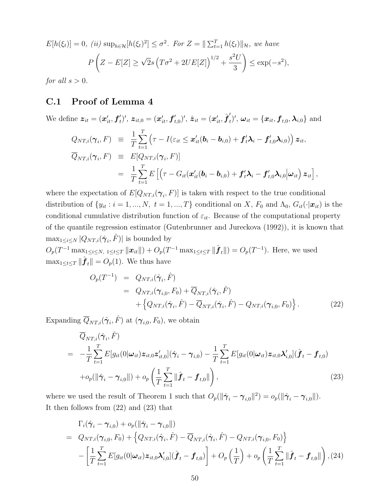$$
E[h(\xi_t)] = 0, \ (ii) \ \sup_{h \in \mathcal{H}} [h(\xi_t)^2] \le \sigma^2. \ \text{For } Z = ||\sum_{t=1}^T h(\xi_t)||_{\mathcal{H}}, \ \text{we have}
$$
\n
$$
P\left(Z - E[Z] \ge \sqrt{2}s\left(T\sigma^2 + 2UE[Z]\right)^{1/2} + \frac{s^2U}{3}\right) \le \exp(-s^2),
$$

for all  $s > 0$ .

#### C.1 Proof of Lemma 4

We define  $\bm{z}_{it} = (\bm{x}'_{it}, \bm{f}'_{t})'$ ,  $\bm{z}_{it,0} = (\bm{x}'_{it}, \bm{f}'_{t,0})'$ ,  $\hat{\bm{z}}_{it} = (\bm{x}'_{it}, \hat{\bm{f}}'_{t,0})'$  $(t_t')', \boldsymbol{\omega}_{it} = \{\boldsymbol{x}_{it}, \boldsymbol{f}_{t,0}, \boldsymbol{\lambda}_{i,0}\}$  and

$$
Q_{NT,i}(\boldsymbol{\gamma}_i, F) \equiv \frac{1}{T} \sum_{t=1}^T \left( \tau - I(\varepsilon_{it} \leq \boldsymbol{x}'_{it}(\boldsymbol{b}_i - \boldsymbol{b}_{i,0}) + \boldsymbol{f}'_t \boldsymbol{\lambda}_i - \boldsymbol{f}'_{t,0} \boldsymbol{\lambda}_{i,0}) \right) \boldsymbol{z}_{it},
$$
  
\n
$$
\overline{Q}_{NT,i}(\boldsymbol{\gamma}_i, F) \equiv E[Q_{NT,i}(\boldsymbol{\gamma}_i, F)]
$$
  
\n
$$
= \frac{1}{T} \sum_{t=1}^T E\left[ \left( \tau - G_{it}(\boldsymbol{x}'_{it}(\boldsymbol{b}_i - \boldsymbol{b}_{i,0}) + \boldsymbol{f}'_t \boldsymbol{\lambda}_i - \boldsymbol{f}'_{t,0} \boldsymbol{\lambda}_{i,0} \middle| \boldsymbol{\omega}_{it} \right) \boldsymbol{z}_{it} \right],
$$

where the expectation of  $E[Q_{NT,i}(\gamma_i, F)]$  is taken with respect to the true conditional distribution of  $\{y_{it} : i = 1, ..., N, t = 1, ..., T\}$  conditional on X,  $F_0$  and  $\Lambda_0$ ,  $G_{it}(\cdot|\mathbf{x}_{it})$  is the conditional cumulative distribution function of  $\varepsilon_{it}$ . Because of the computational property of the quantile regression estimator (Gutenbrunner and Jureckova (1992)), it is known that  $\max_{1 \leq i \leq N} |Q_{NT,i}(\hat{\boldsymbol{\gamma}}_i, \hat{F})|$  is bounded by

 $O_p(T^{-1} \max_{1 \leq i \leq N, 1 \leq t \leq T} ||\boldsymbol{x}_{it}||) + O_p(T^{-1} \max_{1 \leq t \leq T} ||\hat{\boldsymbol{f}}_t||) = O_p(T^{-1}).$  Here, we used  $\max_{1 \leq t \leq T} \|\hat{\boldsymbol{f}}_t\| = O_p(1)$ . We thus have

$$
O_p(T^{-1}) = Q_{NT,i}(\hat{\gamma}_i, \hat{F})
$$
  
=  $Q_{NT,i}(\gamma_{i,0}, F_0) + \overline{Q}_{NT,i}(\hat{\gamma}_i, \hat{F})$   
+  $\{Q_{NT,i}(\hat{\gamma}_i, \hat{F}) - \overline{Q}_{NT,i}(\hat{\gamma}_i, \hat{F}) - Q_{NT,i}(\gamma_{i,0}, F_0)\}.$  (22)

Expanding  $\overline{Q}_{NT,i}(\hat{\boldsymbol{\gamma}}_i,\hat{F})$  at  $(\boldsymbol{\gamma}_{i,0},F_0)$ , we obtain

$$
\overline{Q}_{NT,i}(\hat{\boldsymbol{\gamma}}_i, \hat{F})
$$
\n
$$
= -\frac{1}{T} \sum_{t=1}^T E[g_{it}(0|\boldsymbol{\omega}_{it})\boldsymbol{z}_{it,0}\boldsymbol{z}_{it,0}'](\hat{\boldsymbol{\gamma}}_i - \boldsymbol{\gamma}_{i,0}) - \frac{1}{T} \sum_{t=1}^T E[g_{it}(0|\boldsymbol{\omega}_{it})\boldsymbol{z}_{it,0}\boldsymbol{\lambda}_{i,0}'](\hat{\boldsymbol{f}}_t - \boldsymbol{f}_{t,0})
$$
\n
$$
+ o_p(||\hat{\boldsymbol{\gamma}}_i - \boldsymbol{\gamma}_{i,0}||) + o_p\left(\frac{1}{T} \sum_{t=1}^T \|\hat{\boldsymbol{f}}_t - \boldsymbol{f}_{t,0}||\right),
$$
\n(23)

where we used the result of Theorem 1 such that  $O_p(||\hat{\gamma}_i - \gamma_{i,0}||^2) = o_p(||\hat{\gamma}_i - \gamma_{i,0}||)$ . It then follows from (22) and (23) that

$$
\Gamma_{i}(\hat{\gamma}_{i} - \gamma_{i,0}) + o_{p}(\|\hat{\gamma}_{i} - \gamma_{i,0}\|)
$$
\n
$$
= Q_{NT,i}(\gamma_{i,0}, F_{0}) + \left\{Q_{NT,i}(\hat{\gamma}_{i}, \hat{F}) - \overline{Q}_{NT,i}(\hat{\gamma}_{i}, \hat{F}) - Q_{NT,i}(\gamma_{i,0}, F_{0})\right\}
$$
\n
$$
- \left[\frac{1}{T} \sum_{t=1}^{T} E[g_{it}(0|\omega_{it}) \mathbf{z}_{it,0} \mathbf{A}'_{i,0}](\hat{\boldsymbol{f}}_{t} - \boldsymbol{f}_{t,0}) + O_{p}\left(\frac{1}{T}\right) + o_{p}\left(\frac{1}{T} \sum_{t=1}^{T} \|\hat{\boldsymbol{f}}_{t} - \boldsymbol{f}_{t,0}\|\right), (24)
$$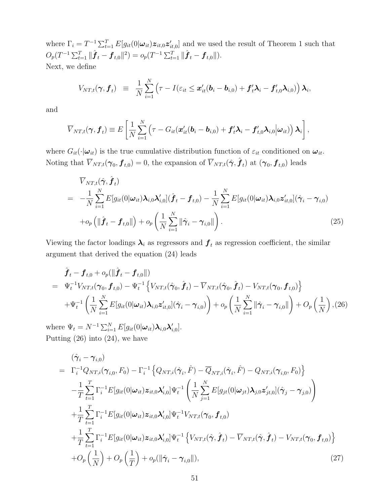where  $\Gamma_i = T^{-1} \sum_{t=1}^T E[g_{it}(0|\omega_{it}) \mathcal{z}_{it,0} \mathcal{z}'_{it,0}]$  and we used the result of Theorem 1 such that  $O_p(T^{-1}\sum_{t=1}^T \|\hat{\boldsymbol{f}}_t - \boldsymbol{f}_{t,0}\|^2) = o_p(T^{-1}\sum_{t=1}^T \|\hat{\boldsymbol{f}}_t - \boldsymbol{f}_{t,0}\|).$ Next, we define

$$
V_{NT,t}(\boldsymbol{\gamma}, \boldsymbol{f}_t) \equiv \frac{1}{N} \sum_{i=1}^N \left( \tau - I(\varepsilon_{it} \leq \boldsymbol{x}'_{it}(\boldsymbol{b}_i - \boldsymbol{b}_{i,0}) + \boldsymbol{f}'_t \boldsymbol{\lambda}_i - \boldsymbol{f}'_{t,0} \boldsymbol{\lambda}_{i,0}) \right) \boldsymbol{\lambda}_i,
$$

and

$$
\overline{V}_{NT,t}(\boldsymbol{\gamma}, \boldsymbol{f}_t) \equiv E\left[\frac{1}{N} \sum_{i=1}^N \left(\tau - G_{it}(\boldsymbol{x}'_{it}(\boldsymbol{b}_i - \boldsymbol{b}_{i,0}) + \boldsymbol{f}'_t \boldsymbol{\lambda}_i - \boldsymbol{f}'_{t,0} \boldsymbol{\lambda}_{i,0} | \boldsymbol{\omega}_{it})\right) \boldsymbol{\lambda}_i\right],
$$

where  $G_{it}(\cdot|\boldsymbol{\omega}_{it})$  is the true cumulative distribution function of  $\varepsilon_{it}$  conditioned on  $\boldsymbol{\omega}_{it}$ . Noting that  $\overline{V}_{NT,t}(\gamma_0, \pmb{f}_{t,0}) = 0$ , the expansion of  $\overline{V}_{NT,t}(\hat{\pmb{\gamma}}, \hat{\pmb{f}}_t)$  at  $(\pmb{\gamma}_0, \pmb{f}_{t,0})$  leads

$$
\overline{V}_{NT,t}(\hat{\boldsymbol{\gamma}}, \hat{\boldsymbol{f}}_t) \n= -\frac{1}{N} \sum_{i=1}^N E[g_{it}(0|\boldsymbol{\omega}_{it}) \boldsymbol{\lambda}_{i,0} \boldsymbol{\lambda}_{i,0}'] (\hat{\boldsymbol{f}}_t - \boldsymbol{f}_{t,0}) - \frac{1}{N} \sum_{i=1}^N E[g_{it}(0|\boldsymbol{\omega}_{it}) \boldsymbol{\lambda}_{i,0} \boldsymbol{z}_{it,0}'] (\hat{\boldsymbol{\gamma}}_i - \boldsymbol{\gamma}_{i,0}) \n+ o_p \left( \| \hat{\boldsymbol{f}}_t - \boldsymbol{f}_{t,0} \| \right) + o_p \left( \frac{1}{N} \sum_{i=1}^N \| \hat{\boldsymbol{\gamma}}_i - \boldsymbol{\gamma}_{i,0} \| \right).
$$
\n(25)

Viewing the factor loadings  $\lambda_i$  as regressors and  $f_t$  as regression coefficient, the similar argument that derived the equation (24) leads

$$
\hat{\boldsymbol{f}}_{t} - \boldsymbol{f}_{t,0} + o_{p}(\|\hat{\boldsymbol{f}}_{t} - \boldsymbol{f}_{t,0}\|)
$$
\n
$$
= \Psi_{t}^{-1} V_{NT,t}(\boldsymbol{\gamma}_{0}, \boldsymbol{f}_{t,0}) - \Psi_{t}^{-1} \left\{ V_{NT,t}(\hat{\boldsymbol{\gamma}}_{0}, \hat{\boldsymbol{f}}_{t}) - \overline{V}_{NT,t}(\hat{\boldsymbol{\gamma}}_{0}, \hat{\boldsymbol{f}}_{t}) - V_{NT,t}(\boldsymbol{\gamma}_{0}, \boldsymbol{f}_{t,0}) \right\}
$$
\n
$$
+ \Psi_{t}^{-1} \left( \frac{1}{N} \sum_{i=1}^{N} E[g_{it}(0|\boldsymbol{\omega}_{it}) \boldsymbol{\lambda}_{i,0} \boldsymbol{z}_{it,0}'] (\hat{\boldsymbol{\gamma}}_{i} - \boldsymbol{\gamma}_{i,0}) \right) + o_{p} \left( \frac{1}{N} \sum_{i=1}^{N} ||\hat{\boldsymbol{\gamma}}_{i} - \boldsymbol{\gamma}_{i,0}|| \right) + O_{p} \left( \frac{1}{N} \right), (26)
$$

where  $\Psi_t = N^{-1} \sum_{i=1}^N E[g_{it}(0|\boldsymbol{\omega}_{it}) \boldsymbol{\lambda}_{i,0} \boldsymbol{\lambda}_{i,0}']$ . Putting (26) into (24), we have

$$
(\hat{\gamma}_{i} - \gamma_{i,0})
$$
\n
$$
= \Gamma_{i}^{-1}Q_{NT,i}(\gamma_{i,0}, F_{0}) - \Gamma_{i}^{-1} \left\{ Q_{NT,i}(\hat{\gamma}_{i}, \hat{F}) - \overline{Q}_{NT,i}(\hat{\gamma}_{i}, \hat{F}) - Q_{NT,i}(\gamma_{i,0}, F_{0}) \right\}
$$
\n
$$
- \frac{1}{T} \sum_{t=1}^{T} \Gamma_{i}^{-1} E[g_{it}(0|\omega_{it}) z_{it,0} \lambda'_{i,0}] \Psi_{t}^{-1} \left( \frac{1}{N} \sum_{j=1}^{N} E[g_{jt}(0|\omega_{jt}) \lambda_{j,0} z'_{jt,0}] (\hat{\gamma}_{j} - \gamma_{j,0}) \right)
$$
\n
$$
+ \frac{1}{T} \sum_{t=1}^{T} \Gamma_{i}^{-1} E[g_{it}(0|\omega_{it}) z_{it,0} \lambda'_{i,0}] \Psi_{t}^{-1} V_{NT,t}(\gamma_{0}, f_{t,0})
$$
\n
$$
+ \frac{1}{T} \sum_{t=1}^{T} \Gamma_{i}^{-1} E[g_{it}(0|\omega_{it}) z_{it,0} \lambda'_{i,0}] \Psi_{t}^{-1} \left\{ V_{NT,t}(\hat{\gamma}, \hat{f}_{t}) - \overline{V}_{NT,t}(\hat{\gamma}, \hat{f}_{t}) - V_{NT,t}(\gamma_{0}, f_{t,0}) \right\}
$$
\n
$$
+ O_{p} \left( \frac{1}{N} \right) + O_{p} \left( \frac{1}{T} \right) + o_{p} (\|\hat{\gamma}_{i} - \gamma_{i,0}\|), \tag{27}
$$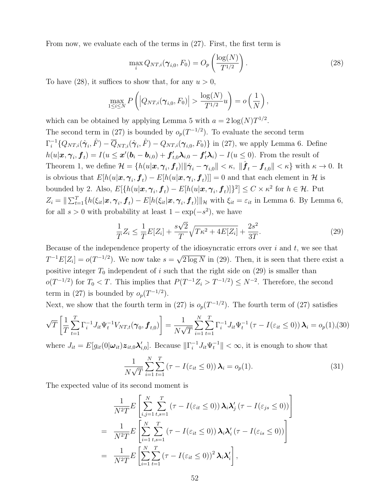From now, we evaluate each of the terms in (27). First, the first term is

$$
\max_{i} Q_{NT,i}(\boldsymbol{\gamma}_{i,0}, F_0) = O_p\left(\frac{\log(N)}{T^{1/2}}\right). \tag{28}
$$

To have (28), it suffices to show that, for any  $u > 0$ ,

$$
\max_{1 \leq i \leq N} P\left( \left| Q_{NT,i}(\boldsymbol{\gamma}_{i,0}, F_0) \right| > \frac{\log(N)}{T^{1/2}} u \right) = o\left( \frac{1}{N} \right),
$$

which can be obtained by applying Lemma 5 with  $a = 2 \log(N) T^{1/2}$ . The second term in (27) is bounded by  $o_p(T^{-1/2})$ . To evaluate the second term  $\Gamma_i^{-1}\{Q_{NT,i}(\hat{\boldsymbol{\gamma}}_i,\hat{F}) - \overline{Q}_{NT,i}(\hat{\boldsymbol{\gamma}}_i,\hat{F}) - Q_{NT,i}(\boldsymbol{\gamma}_{i,0},F_0)\}\$ in (27), we apply Lemma 6. Define  $h(u|\boldsymbol{x}, \boldsymbol{\gamma}_i, \boldsymbol{f}_t) = I(u \leq \boldsymbol{x}'(\boldsymbol{b}_i - \boldsymbol{b}_{i,0}) + \boldsymbol{f}'_{t,0}\boldsymbol{\lambda}_{i,0} - \boldsymbol{f}'_t\boldsymbol{\lambda}_i) - I(u \leq 0)$ . From the result of Theorem 1, we define  $\mathcal{H} = \{h(u|\boldsymbol{x}, \boldsymbol{\gamma}_i, \boldsymbol{f}_t)| \|\hat{\boldsymbol{\gamma}}_i - \boldsymbol{\gamma}_{i,0}\| < \kappa, \|\hat{\boldsymbol{f}}_t - \boldsymbol{f}_{t,0}\| < \kappa\}$  with  $\kappa \to 0$ . It is obvious that  $E[h(u|\bm{x}, \bm{\gamma}_i, \bm{f}_t) - E[h(u|\bm{x}, \bm{\gamma}_i, \bm{f}_t)]] = 0$  and that each element in  $\mathcal{H}$  is bounded by 2. Also,  $E[\{h(u|\bm{x}, \bm{\gamma}_i, \bm{f}_t) - E[h(u|\bm{x}, \bm{\gamma}_i, \bm{f}_t)]\}^2] \leq C \times \kappa^2$  for  $h \in \mathcal{H}$ . Put  $Z_i = \|\sum_{t=1}^T \{h(\xi_{it}|\boldsymbol{x}, \boldsymbol{\gamma}_i, \boldsymbol{f}_t) - E[h(\xi_{it}|\boldsymbol{x}, \boldsymbol{\gamma}_i, \boldsymbol{f}_t)]\|_{\mathcal{H}} \text{ with } \xi_{it} = \varepsilon_{it} \text{ in Lemma 6. By Lemma 6,}$ for all  $s > 0$  with probability at least  $1 - \exp(-s^2)$ , we have

$$
\frac{1}{T}Z_i \le \frac{1}{T}E[Z_i] + \frac{s\sqrt{2}}{T}\sqrt{T\kappa^2 + 4E[Z_i]} + \frac{2s^2}{3T}.
$$
\n(29)

Because of the independence property of the idiosyncratic errors over  $i$  and  $t$ , we see that  $T^{-1}E[Z_i] = o(T^{-1/2})$ . We now take  $s = \sqrt{2 \log N}$  in (29). Then, it is seen that there exist a positive integer  $T_0$  independent of i such that the right side on (29) is smaller than  $o(T^{-1/2})$  for  $T_0 < T$ . This implies that  $P(T^{-1}Z_i > T^{-1/2}) \leq N^{-2}$ . Therefore, the second term in (27) is bounded by  $o_p(T^{-1/2})$ .

Next, we show that the fourth term in (27) is  $o_p(T^{-1/2})$ . The fourth term of (27) satisfies

$$
\sqrt{T}\left[\frac{1}{T}\sum_{t=1}^{T}\Gamma_{i}^{-1}J_{it}\Psi_{t}^{-1}V_{NT,t}(\boldsymbol{\gamma}_{0},\boldsymbol{f}_{t,0})\right]=\frac{1}{N\sqrt{T}}\sum_{i=1}^{N}\sum_{t=1}^{T}\Gamma_{i}^{-1}J_{it}\Psi_{t}^{-1}\left(\tau-I(\varepsilon_{it}\leq0)\right)\boldsymbol{\lambda}_{i}=o_{p}(1),(30)
$$

where  $J_{it} = E[g_{it}(0|\omega_{it})\mathbf{z}_{it,0}\mathbf{\lambda}_{i,0}']$ . Because  $\|\Gamma_i^{-1}J_{it}\Psi_t^{-1}\| < \infty$ , it is enough to show that

$$
\frac{1}{N\sqrt{T}}\sum_{i=1}^{N}\sum_{t=1}^{T}\left(\tau-I(\varepsilon_{it}\leq 0)\right)\boldsymbol{\lambda}_{i}=o_{p}(1). \tag{31}
$$

The expected value of its second moment is

$$
\frac{1}{N^2T} E\left[\sum_{i,j=1}^N \sum_{t,s=1}^T (\tau - I(\varepsilon_{it} \le 0)) \lambda_i \lambda'_j (\tau - I(\varepsilon_{js} \le 0))\right]
$$
  
= 
$$
\frac{1}{N^2T} E\left[\sum_{i=1}^N \sum_{t,s=1}^T (\tau - I(\varepsilon_{it} \le 0)) \lambda_i \lambda'_i (\tau - I(\varepsilon_{is} \le 0))\right]
$$
  
= 
$$
\frac{1}{N^2T} E\left[\sum_{i=1}^N \sum_{t=1}^T (\tau - I(\varepsilon_{it} \le 0))^2 \lambda_i \lambda'_i\right],
$$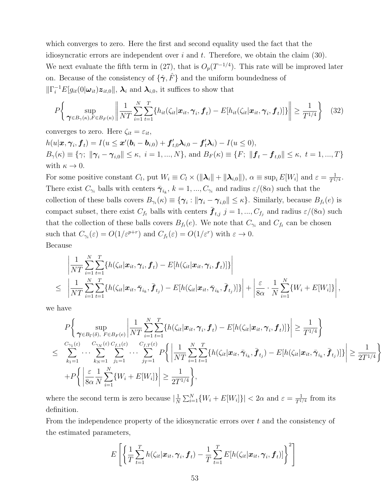which converges to zero. Here the first and second equality used the fact that the idiosyncratic errors are independent over  $i$  and  $t$ . Therefore, we obtain the claim (30). We next evaluate the fifth term in (27), that is  $O_p(T^{-1/4})$ . This rate will be improved later on. Because of the consistency of  $\{\hat{\gamma}, \hat{F}\}$  and the uniform boundedness of  $\|\Gamma_i^{-1}E[g_{it}(0|\boldsymbol{\omega}_{it})\boldsymbol{z}_{it,0}\|, \boldsymbol{\lambda}_i \text{ and } \boldsymbol{\lambda}_{i,0} \text{, it suffices to show that }$ 

$$
P\left\{\sup_{\boldsymbol{\gamma}\in B_{\gamma}(\kappa), F\in B_{F}(\kappa)}\left\|\frac{1}{NT}\sum_{i=1}^{N}\sum_{t=1}^{T}\left\{h_{it}(\zeta_{it}|\boldsymbol{x}_{it}, \boldsymbol{\gamma}_{i}, \boldsymbol{f}_{t}) - E[h_{it}(\zeta_{it}|\boldsymbol{x}_{it}, \boldsymbol{\gamma}_{i}, \boldsymbol{f}_{t})]\right\}\right\| \geq \frac{1}{T^{1/4}}\right\}
$$
(32)

converges to zero. Here  $\zeta_{it} = \varepsilon_{it}$ ,  $h(u|\boldsymbol{x}, \boldsymbol{\gamma}_i, \boldsymbol{f}_t) = I(u \leq \boldsymbol{x}'(\boldsymbol{b}_i - \boldsymbol{b}_{i,0}) + \boldsymbol{f}'_{t,0}\boldsymbol{\lambda}_{i,0} - \boldsymbol{f}'_t\boldsymbol{\lambda}_i) - I(u \leq 0),$  $B_{\gamma}(\kappa) \equiv \{\gamma; \|\gamma_i - \gamma_{i,0}\| \leq \kappa, i = 1, ..., N\},\$  and  $B_F(\kappa) \equiv \{F; \|f_t - f_{t,0}\| \leq \kappa, t = 1, ..., T\}$ with  $\kappa \to 0$ .

For some positive constant  $C_l$ , put  $W_i \equiv C_l \times (||\lambda_i|| + ||\lambda_{i,0}||)$ ,  $\alpha \equiv \sup_i E[W_i]$  and  $\varepsilon = \frac{1}{T^i}$ .  $\frac{1}{T^{1/4}}.$ There exist  $C_{\gamma_i}$  balls with centers  $\bar{\boldsymbol{\gamma}}_{i_k}$ ,  $k = 1, ..., C_{\gamma_i}$  and radius  $\varepsilon/(8\alpha)$  such that the collection of these balls covers  $B_{\gamma_i}(\kappa) \equiv \{\gamma_i : ||\gamma_i - \gamma_{i,0}|| \leq \kappa\}$ . Similarly, because  $B_{f_t}(e)$  is compact subset, there exist  $C_{f_t}$  balls with centers  $\bar{\bm{f}}_{t,j}$   $j = 1, ..., C_{f_j}$  and radius  $\varepsilon/(8\alpha)$  such that the collection of these balls covers  $B_{f_t}(e)$ . We note that  $C_{\gamma_i}$  and  $C_{f_t}$  can be chosen such that  $C_{\gamma_i}(\varepsilon) = O(1/\varepsilon^{p+r})$  and  $C_{f_t}(\varepsilon) = O(1/\varepsilon^r)$  with  $\varepsilon \to 0$ . Because

$$
\left|\frac{1}{NT}\sum_{i=1}^N\sum_{t=1}^T\{h(\zeta_{it}|\boldsymbol{x}_{it},\boldsymbol{\gamma}_i,\boldsymbol{f}_t)-E[h(\zeta_{it}|\boldsymbol{x}_{it},\boldsymbol{\gamma}_i,\boldsymbol{f}_t)]\}\right|\\ \leq \left|\frac{1}{NT}\sum_{i=1}^N\sum_{t=1}^T\{h(\zeta_{it}|\boldsymbol{x}_{it},\bar{\boldsymbol{\gamma}}_{i_k},\bar{\boldsymbol{f}}_{t_j})-E[h(\zeta_{it}|\boldsymbol{x}_{it},\bar{\boldsymbol{\gamma}}_{i_k},\bar{\boldsymbol{f}}_{t_j})]\}\right|+\left|\frac{\varepsilon}{8\alpha}\cdot\frac{1}{N}\sum_{i=1}^N\{W_i+E[W_i]\}\right|,
$$

we have

$$
P\left\{\sup_{\boldsymbol{\gamma}\in B_{\Gamma}(\delta), F\in B_{F}(e)}\left|\frac{1}{NT}\sum_{i=1}^{N}\sum_{t=1}^{T}\{h(\zeta_{it}|\boldsymbol{x}_{it},\boldsymbol{\gamma}_{i},\boldsymbol{f}_{t})-E[h(\zeta_{it}|\boldsymbol{x}_{it},\boldsymbol{\gamma}_{i},\boldsymbol{f}_{t})]\}\right| \geq \frac{1}{T^{1/4}}\right\}
$$
  

$$
\leq \sum_{k_{1}=1}^{C_{\gamma_{1}(\varepsilon)}} \cdots \sum_{k_{N}=1}^{C_{\gamma_{N}(\varepsilon)}C_{f,1}(\varepsilon)}\sum_{j_{1}=1}^{C_{f,1}(\varepsilon)}\cdots \sum_{j_{T}=1}^{C_{f,T}(\varepsilon)}P\left\{\left|\frac{1}{NT}\sum_{i=1}^{N}\sum_{t=1}^{T}\{h(\zeta_{it}|\boldsymbol{x}_{it},\bar{\boldsymbol{\gamma}}_{i_{k}},\bar{\boldsymbol{f}}_{t_{j}})-E[h(\zeta_{it}|\boldsymbol{x}_{it},\bar{\boldsymbol{\gamma}}_{i_{k}},\bar{\boldsymbol{f}}_{t_{j}})]\}\right|\geq \frac{1}{2T^{1/4}}\right\}
$$
  
+
$$
+P\left\{\left|\frac{\varepsilon}{8\alpha}\frac{1}{N}\sum_{i=1}^{N}\{W_{i}+E[W_{i}]\}\right|\geq \frac{1}{2T^{1/4}}\right\},
$$

where the second term is zero because  $\left|\frac{1}{N}\right|$  $\frac{1}{N} \sum_{i=1}^{N} \{W_i + E[W_i]\}\| < 2\alpha$  and  $\varepsilon = \frac{1}{T^{1/2}}$  $\frac{1}{T^{1/4}}$  from its definition.

From the independence property of the idiosyncratic errors over  $t$  and the consistency of the estimated parameters,

$$
E\left[\left\{\frac{1}{T}\sum_{t=1}^T h(\zeta_{it}|\boldsymbol{x}_{it},\boldsymbol{\gamma}_i,\boldsymbol{f}_t)-\frac{1}{T}\sum_{t=1}^T E[h(\zeta_{it}|\boldsymbol{x}_{it},\boldsymbol{\gamma}_i,\boldsymbol{f}_t)]\right\}^2\right]
$$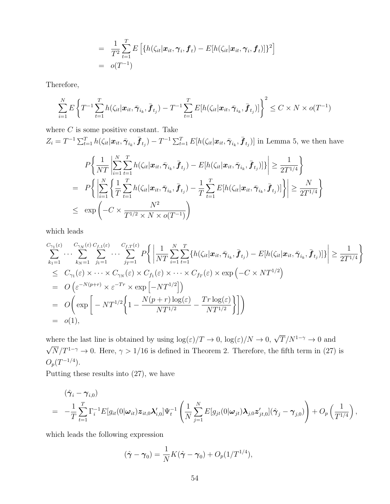$$
= \frac{1}{T^2}\sum_{t=1}^T E\left[\{h(\zeta_{it}|\boldsymbol{x}_{it},\boldsymbol{\gamma}_i,\boldsymbol{f}_t) - E[h(\zeta_{it}|\boldsymbol{x}_{it},\boldsymbol{\gamma}_i,\boldsymbol{f}_t)]\}^2\right]
$$
  
=  $o(T^{-1})$ 

Therefore,

$$
\sum_{i=1}^{N} E\left\{ T^{-1} \sum_{t=1}^{T} h(\zeta_{it} | \mathbf{x}_{it}, \bar{\boldsymbol{\gamma}}_{i_k}, \bar{\boldsymbol{f}}_{t_j}) - T^{-1} \sum_{t=1}^{T} E[h(\zeta_{it} | \mathbf{x}_{it}, \bar{\boldsymbol{\gamma}}_{i_k}, \bar{\boldsymbol{f}}_{t_j})] \right\}^2 \leq C \times N \times o(T^{-1})
$$

where  $C$  is some positive constant. Take

 $Z_i = T^{-1} \sum_{t=1}^T h(\zeta_{it}|\boldsymbol{x}_{it}, \bar{\boldsymbol{\gamma}}_{i_k}, \bar{\boldsymbol{f}}_{t_j}) - T^{-1} \sum_{t=1}^T E[h(\zeta_{it}|\boldsymbol{x}_{it}, \bar{\boldsymbol{\gamma}}_{i_k}, \bar{\boldsymbol{f}}_{t_j})]$  in Lemma 5, we then have

$$
P\left\{\frac{1}{NT}\left|\sum_{i=1}^{N}\sum_{t=1}^{T}h(\zeta_{it}|\mathbf{x}_{it}, \bar{\pmb{\gamma}}_{i_k}, \bar{\pmb{f}}_{t_j}) - E[h(\zeta_{it}|\mathbf{x}_{it}, \bar{\pmb{\gamma}}_{i_k}, \bar{\pmb{f}}_{t_j})]\right|\right\} \geq \frac{1}{2T^{1/4}}\right\}
$$
  
= 
$$
P\left\{\left|\sum_{i=1}^{N}\left\{\frac{1}{T}\sum_{t=1}^{T}h(\zeta_{it}|\mathbf{x}_{it}, \bar{\pmb{\gamma}}_{i_k}, \bar{\pmb{f}}_{t_j}) - \frac{1}{T}\sum_{t=1}^{T}E[h(\zeta_{it}|\mathbf{x}_{it}, \bar{\pmb{\gamma}}_{i_k}, \bar{\pmb{f}}_{t_j})]\right\}\right| \geq \frac{N}{2T^{1/4}}\right\}
$$
  

$$
\leq \exp\left(-C \times \frac{N^2}{T^{1/2} \times N \times o(T^{-1})}\right)
$$

which leads

$$
\sum_{k_1=1}^{C_{\gamma_1}(\varepsilon)} \cdots \sum_{k_N=1}^{C_{\gamma_N}(\varepsilon)} \sum_{j_1=1}^{C_{f,1}(\varepsilon)} \cdots \sum_{j_T=1}^{C_{f,T}(\varepsilon)} P\Big\{ \Big| \frac{1}{NT} \sum_{i=1}^N \sum_{t=1}^T \{h(\zeta_{it}|\boldsymbol{x}_{it}, \bar{\boldsymbol{\gamma}}_{i_k}, \bar{\boldsymbol{f}}_{t_j}) - E[h(\zeta_{it}|\boldsymbol{x}_{it}, \bar{\boldsymbol{\gamma}}_{i_k}, \bar{\boldsymbol{f}}_{t_j})] \} \Big| \geq \frac{1}{2T^{1/4}} \Big\}
$$
\n
$$
\leq C_{\gamma_1}(\varepsilon) \times \cdots \times C_{\gamma_N}(\varepsilon) \times C_{f_1}(\varepsilon) \times \cdots \times C_{f_T}(\varepsilon) \times \exp(-C \times NT^{1/2})
$$
\n
$$
= O\Big(\varepsilon^{-N(p+r)} \times \varepsilon^{-Tr} \times \exp\Big[-NT^{1/2}\Big]\Big)
$$
\n
$$
= O\Big(\exp\Big[-NT^{1/2}\Big\{1 - \frac{N(p+r)\log(\varepsilon)}{NT^{1/2}} - \frac{Tr\log(\varepsilon)}{NT^{1/2}}\Big\}\Big]\Big)
$$
\n
$$
= o(1),
$$

where the last line is obtained by using  $\log(\varepsilon)/T \to 0$ ,  $\log(\varepsilon)/N \to 0$ ,  $\sqrt{T}/N^{1-\gamma} \to 0$  and  $\sqrt{N}/T^{1-\gamma} \to 0$ . Here,  $\gamma > 1/16$  is defined in Theorem 2. Therefore, the fifth term in (27) is  $O_p(T^{-1/4})$ .

Putting these results into (27), we have

$$
(\hat{\boldsymbol{\gamma}}_i - \boldsymbol{\gamma}_{i,0})
$$
  
= 
$$
-\frac{1}{T} \sum_{t=1}^T \Gamma_i^{-1} E[g_{it}(0|\boldsymbol{\omega}_{it}) \boldsymbol{z}_{it,0} \boldsymbol{\lambda}_{i,0}'] \Psi_t^{-1} \left( \frac{1}{N} \sum_{j=1}^N E[g_{jt}(0|\boldsymbol{\omega}_{jt}) \boldsymbol{\lambda}_{j,0} \boldsymbol{z}_{jt,0}'] (\hat{\boldsymbol{\gamma}}_j - \boldsymbol{\gamma}_{j,0}) \right) + O_p\left(\frac{1}{T^{1/4}}\right),
$$

which leads the following expression

$$
(\hat{\gamma} - \gamma_0) = \frac{1}{N} K(\hat{\gamma} - \gamma_0) + O_p(1/T^{1/4}),
$$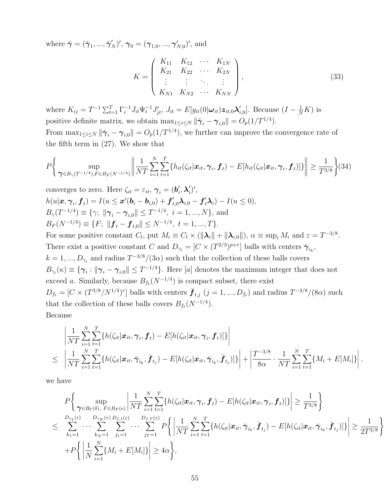where  $\hat{\bm{\gamma}} = (\hat{\bm{\gamma}}_1, ..., \hat{\bm{\gamma}}_N')'$ ,  $\bm{\gamma}_0 = (\bm{\gamma}_{1,0}, ..., \bm{\gamma}_{N,0}')'$ , and

$$
K = \begin{pmatrix} K_{11} & K_{12} & \cdots & K_{1N} \\ K_{21} & K_{22} & \cdots & K_{2N} \\ \vdots & \vdots & \ddots & \vdots \\ K_{N1} & K_{N2} & \cdots & K_{NN} \end{pmatrix},
$$
(33)

where  $K_{ij} = T^{-1} \sum_{t=1}^{T} \Gamma_{i}^{-1} J_{it} \Psi_{t}^{-1} J'_{jt}$ ,  $J_{it} = E[g_{it}(0|\omega_{it}) \mathcal{Z}_{it,0} \mathcal{X}_{i,0}]$ . Because  $(I - \frac{1}{N}K)$  is positive definite matrix, we obtain  $\max_{1 \leq i \leq N} \|\hat{\gamma}_i - \gamma_{i,0}\| = O_p(1/T^{1/4}).$ 

From  $\max_{1 \leq i \leq N} \|\hat{\gamma}_i - \gamma_{i,0}\| = O_p(1/T^{1/4})$ , we further can improve the convergence rate of the fifth term in (27). We show that

$$
P\bigg\{\sup_{\boldsymbol{\gamma}\in B_{\gamma}(T^{-1/4}), F\in B_{F}(N^{-1/4})}\bigg\|\frac{1}{NT}\sum_{i=1}^{N}\sum_{t=1}^{T}\big\{h_{it}(\zeta_{it}|\boldsymbol{x}_{it}, \boldsymbol{\gamma}_{i}, \boldsymbol{f}_{t}) - E[h_{it}(\zeta_{it}|\boldsymbol{x}_{it}, \boldsymbol{\gamma}_{i}, \boldsymbol{f}_{t})]\big\}\bigg\| \geq \frac{1}{T^{3/8}}\bigg\}(34)
$$

converges to zero. Here  $\zeta_{it} = \varepsilon_{it}, \, \boldsymbol{\gamma}_i = (\boldsymbol{b}'_i, \boldsymbol{\lambda}'_i)'$ ,  $h(u|\boldsymbol{x}, \boldsymbol{\gamma}_i, \boldsymbol{f}_t) = I(u \leq \boldsymbol{x}'(\boldsymbol{b}_i - \boldsymbol{b}_{i,0}) + \boldsymbol{f}'_{t,0}\boldsymbol{\lambda}_{i,0} - \boldsymbol{f}'_t\boldsymbol{\lambda}_i) - I(u \leq 0),$  $B_{\gamma}(T^{-1/4}) \equiv \{\gamma; \|\gamma_i - \gamma_{i,0}\| \le T^{-1/4}, \ i = 1, ..., N\},\$ and  $B_F(N^{-1/4}) \equiv \{F; \| \boldsymbol{f}_t - \boldsymbol{f}_{t,0} \| \leq N^{-1/4}, t = 1, ..., T\}.$ 

For some positive constant  $C_l$ , put  $M_i \equiv C_l \times (\|\mathbf{\lambda}_i\| + \|\mathbf{\lambda}_{i,0}\|)$ ,  $\alpha \equiv \sup_i M_i$  and  $\varepsilon = T^{-3/8}$ . There exist a positive constant C and  $D_{\gamma_i} = [C \times (T^{2/3})^{p+r}]$  balls with centers  $\bar{\gamma}_{i_k}$ ,  $k = 1, ..., D_{\gamma_i}$  and radius  $T^{-3/8}/(3\alpha)$  such that the collection of these balls covers  $B_{\gamma_i}(\kappa) \equiv \{\boldsymbol{\gamma}_i : ||\boldsymbol{\gamma}_i - \boldsymbol{\gamma}_{i,0}|| \leq T^{-1/4}\}.$  Here [a] denotes the maximum integer that does not exceed a. Similarly, because  $B_{f_t}(N^{-1/4})$  is compact subset, there exist  $D_{f_t} = [C \times (T^{3/8}/N^{1/4})^r]$  balls with centers  $\bar{f}_{t,j}$   $(j = 1, ..., D_{f_t})$  and radius  $T^{-3/8}/(8\alpha)$  such that the collection of these balls covers  $B_{f_t}(N^{-1/4})$ . Because

$$
\left| \frac{1}{NT} \sum_{i=1}^N \sum_{t=1}^T \{ h(\zeta_{it} | \mathbf{x}_{it}, \gamma_i, \mathbf{f}_t) - E[h(\zeta_{it} | \mathbf{x}_{it}, \gamma_i, \mathbf{f}_t)] \} \right|
$$
  
\n
$$
\leq \left| \frac{1}{NT} \sum_{i=1}^N \sum_{t=1}^T \{ h(\zeta_{it} | \mathbf{x}_{it}, \bar{\gamma}_{i_k}, \bar{\mathbf{f}}_{t_j}) - E[h(\zeta_{it} | \mathbf{x}_{it}, \bar{\gamma}_{i_k}, \bar{\mathbf{f}}_{t_j})] \} \right| + \left| \frac{T^{-3/8}}{8\alpha} \cdot \frac{1}{NT} \sum_{i=1}^N \sum_{t=1}^T \{ M_i + E[M_i] \} \right|,
$$

we have

$$
P\left\{\sup_{\boldsymbol{\gamma}\in B_{\Gamma}(\delta), F\in B_{F}(e)}\left|\frac{1}{NT}\sum_{i=1}^{N}\sum_{t=1}^{T}\{h(\zeta_{it}|\boldsymbol{x}_{it}, \boldsymbol{\gamma}_{i}, \boldsymbol{f}_{t}) - E[h(\zeta_{it}|\boldsymbol{x}_{it}, \boldsymbol{\gamma}_{i}, \boldsymbol{f}_{t})]\}\right| \geq \frac{1}{T^{3/8}}\right\}
$$
  
\n
$$
\leq \sum_{k_{1}=1}^{D_{\gamma_{1}(\varepsilon)}} \cdots \sum_{k_{N}=1}^{D_{\gamma_{N}(\varepsilon)}(E)} \sum_{j_{1}=1}^{D_{f,1}(\varepsilon)} \cdots \sum_{j_{T}=1}^{D_{f,T}(\varepsilon)} P\left\{\left|\frac{1}{NT}\sum_{i=1}^{N}\sum_{t=1}^{T}\{h(\zeta_{it}|\boldsymbol{x}_{it}, \bar{\boldsymbol{\gamma}}_{i_{k}}, \bar{\boldsymbol{f}}_{t_{j}}) - E[h(\zeta_{it}|\boldsymbol{x}_{it}, \bar{\boldsymbol{\gamma}}_{i_{k}}, \bar{\boldsymbol{f}}_{t_{j}})]\}\right| \geq \frac{1}{2T^{3/8}}\right\}
$$
  
\n
$$
+ P\left\{\left|\frac{1}{N}\sum_{i=1}^{N}\{M_{i} + E[M_{i}]\}\right| \geq 4\alpha\right\},
$$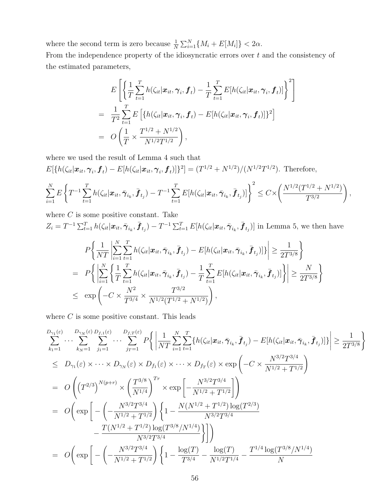where the second term is zero because  $\frac{1}{N} \sum_{i=1}^{N} \{M_i + E[M_i]\} < 2\alpha$ .

From the independence property of the idiosyncratic errors over  $t$  and the consistency of the estimated parameters,

$$
E\left[\left\{\frac{1}{T}\sum_{t=1}^T h(\zeta_{it}|\boldsymbol{x}_{it},\boldsymbol{\gamma}_i,\boldsymbol{f}_t)-\frac{1}{T}\sum_{t=1}^T E[h(\zeta_{it}|\boldsymbol{x}_{it},\boldsymbol{\gamma}_i,\boldsymbol{f}_t)]\right\}^2\right]
$$
  
= 
$$
\frac{1}{T^2}\sum_{t=1}^T E\left[\left\{h(\zeta_{it}|\boldsymbol{x}_{it},\boldsymbol{\gamma}_i,\boldsymbol{f}_t)-E[h(\zeta_{it}|\boldsymbol{x}_{it},\boldsymbol{\gamma}_i,\boldsymbol{f}_t)]\right\}^2\right]
$$
  
= 
$$
O\left(\frac{1}{T}\times\frac{T^{1/2}+N^{1/2}}{N^{1/2}T^{1/2}}\right),
$$

where we used the result of Lemma 4 such that

$$
E[\{h(\zeta_{it}|\mathbf{x}_{it},\boldsymbol{\gamma}_i,\boldsymbol{f}_t) - E[h(\zeta_{it}|\mathbf{x}_{it},\boldsymbol{\gamma}_i,\boldsymbol{f}_t)]\}^2] = (T^{1/2} + N^{1/2})/(N^{1/2}T^{1/2}).
$$
 Therefore,

$$
\sum_{i=1}^N E\left\{T^{-1}\sum_{t=1}^T h(\zeta_{it}|\boldsymbol{x}_{it}, \bar{\boldsymbol{\gamma}}_{i_k}, \bar{\boldsymbol{f}}_{t_j}) - T^{-1}\sum_{t=1}^T E[h(\zeta_{it}|\boldsymbol{x}_{it}, \bar{\boldsymbol{\gamma}}_{i_k}, \bar{\boldsymbol{f}}_{t_j})]\right\}^2 \leq C \times \left(\frac{N^{1/2}(T^{1/2} + N^{1/2})}{T^{3/2}}\right),
$$

where  $C$  is some positive constant. Take

$$
Z_i = T^{-1} \sum_{t=1}^T h(\zeta_{it} | \mathbf{x}_{it}, \bar{\boldsymbol{\gamma}}_{i_k}, \bar{\boldsymbol{f}}_{t_j}) - T^{-1} \sum_{t=1}^T E[h(\zeta_{it} | \mathbf{x}_{it}, \bar{\boldsymbol{\gamma}}_{i_k}, \bar{\boldsymbol{f}}_{t_j})]
$$
 in Lemma 5, we then have

$$
P\left\{\frac{1}{NT}\left|\sum_{i=1}^{N}\sum_{t=1}^{T}h(\zeta_{it}|\mathbf{x}_{it},\bar{\boldsymbol{\gamma}}_{i_k},\bar{\boldsymbol{f}}_{t_j})-E[h(\zeta_{it}|\mathbf{x}_{it},\bar{\boldsymbol{\gamma}}_{i_k},\bar{\boldsymbol{f}}_{t_j})]\right|\right\} \geq \frac{1}{2T^{3/8}}\right\}
$$
  
= 
$$
P\left\{\left|\sum_{i=1}^{N}\left\{\frac{1}{T}\sum_{t=1}^{T}h(\zeta_{it}|\mathbf{x}_{it},\bar{\boldsymbol{\gamma}}_{i_k},\bar{\boldsymbol{f}}_{t_j})-\frac{1}{T}\sum_{t=1}^{T}E[h(\zeta_{it}|\mathbf{x}_{it},\bar{\boldsymbol{\gamma}}_{i_k},\bar{\boldsymbol{f}}_{t_j})]\right\}\right|\geq \frac{N}{2T^{3/8}}\right\}
$$
  

$$
\leq \exp\left(-C\times\frac{N^2}{T^{3/4}}\times\frac{T^{3/2}}{N^{1/2}(T^{1/2}+N^{1/2})}\right),
$$

where  $C$  is some positive constant. This leads

$$
\sum_{k_1=1}^{D_{\gamma_1}(\varepsilon)} \cdots \sum_{k_N=1}^{D_{\gamma_N}(\varepsilon)} \sum_{j_1=1}^{D_{\gamma_1}(\varepsilon)} \cdots \sum_{j_T=1}^{D_{\gamma_T}(\varepsilon)} P\Big\{ \Big| \frac{1}{NT} \sum_{i=1}^N \sum_{t=1}^T \{h(\zeta_{it}|\mathbf{x}_{it}, \bar{\pmb{\gamma}}_{i_k}, \bar{\pmb{f}}_{t_j}) - E[h(\zeta_{it}|\mathbf{x}_{it}, \bar{\pmb{\gamma}}_{i_k}, \bar{\pmb{f}}_{t_j})]\} \Big| \geq \frac{1}{2T^{3/8}} \Big\}
$$
  
\n
$$
\leq D_{\gamma_1}(\varepsilon) \times \cdots \times D_{\gamma_N}(\varepsilon) \times D_{f_1}(\varepsilon) \times \cdots \times D_{f_T}(\varepsilon) \times \exp\left(-C \times \frac{N^{3/2}T^{3/4}}{N^{1/2} + T^{1/2}}\right)
$$
  
\n
$$
= O\Bigg(\Big(T^{2/3}\Big)^{N(p+r)} \times \left(\frac{T^{3/8}}{N^{1/4}}\right)^{Tr} \times \exp\left[-\frac{N^{3/2}T^{3/4}}{N^{1/2} + T^{1/2}}\right] \Bigg)
$$
  
\n
$$
= O\Bigg(\exp\Bigg[-\Big(-\frac{N^{3/2}T^{3/4}}{N^{1/2} + T^{1/2}}\Big) \Bigg\{1 - \frac{N(N^{1/2} + T^{1/2})\log(T^{2/3})}{N^{3/2}T^{3/4}} - \frac{T(N^{1/2} + T^{1/2})\log(T^{3/8}/N^{1/4})}{N^{3/2}T^{3/4}}\Bigg\} \Bigg]\Bigg)
$$
  
\n
$$
= O\Bigg(\exp\Bigg[-\Big(-\frac{N^{3/2}T^{3/4}}{N^{1/2} + T^{1/2}}\Big) \Bigg\{1 - \frac{\log(T)}{T^{3/4}} - \frac{\log(T)}{N^{1/2}T^{1/4}} - \frac{T^{1/4}\log(T^{3/8}/N^{1/4})}{N}\Bigg\}
$$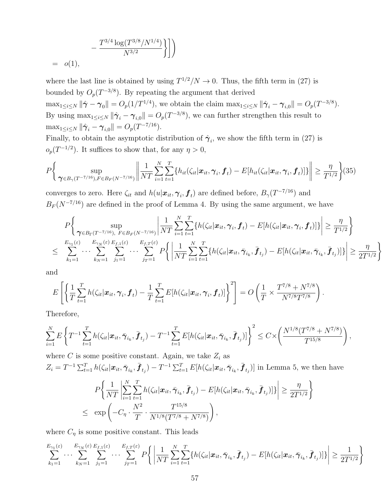$$
- \frac{T^{3/4} \log(T^{3/8}/N^{1/4})}{N^{3/2}} \Bigg\} \Bigg]
$$
  
= o(1),

where the last line is obtained by using  $T^{1/2}/N \to 0$ . Thus, the fifth term in (27) is bounded by  $O_p(T^{-3/8})$ . By repeating the argument that derived  $\max_{1 \leq i \leq N} \|\hat{\boldsymbol{\gamma}} - \boldsymbol{\gamma}_0\| = O_p(1/T^{1/4}),$  we obtain the claim  $\max_{1 \leq i \leq N} \|\hat{\boldsymbol{\gamma}}_i - \boldsymbol{\gamma}_{i,0}\| = O_p(T^{-3/8}).$ By using  $\max_{1 \leq i \leq N} \|\hat{\boldsymbol{\gamma}}_i - \boldsymbol{\gamma}_{i,0}\| = O_p(T^{-3/8})$ , we can further strengthen this result to  $\max_{1 \leq i \leq N} \|\hat{\gamma}_i - \gamma_{i,0}\| = O_p(T^{-7/16}).$ 

Finally, to obtain the asymptotic distribution of  $\hat{\gamma}_i$ , we show the fifth term in (27) is  $o_p(T^{-1/2})$ . It suffices to show that, for any  $\eta > 0$ ,

$$
P\bigg\{\sup_{\boldsymbol{\gamma}\in B_{\gamma}(T^{-7/16}), F\in B_F(N^{-7/16})}\bigg\|\frac{1}{NT}\sum_{i=1}^N\sum_{t=1}^T\{h_{it}(\zeta_{it}|\boldsymbol{x}_{it}, \boldsymbol{\gamma}_i, \boldsymbol{f}_t) - E[h_{it}(\zeta_{it}|\boldsymbol{x}_{it}, \boldsymbol{\gamma}_i, \boldsymbol{f}_t)]\}\bigg\| \geq \frac{\eta}{T^{1/2}}\bigg\}(35)
$$

converges to zero. Here  $\zeta_{it}$  and  $h(u|\bm{x}_{it},\bm{\gamma}_i,\bm{f}_t)$  are defined before,  $B_{\gamma}(T^{-7/16})$  and  $B_F(N^{-7/16})$  are defined in the proof of Lemma 4. By using the same argument, we have

$$
P\bigg\{\sup_{\boldsymbol{\gamma}\in B_{\Gamma}(T^{-7/16}),\ F\in B_{F}(N^{-7/16})}\bigg|\frac{1}{NT}\sum_{i=1}^{N}\sum_{t=1}^{T}\big\{h(\zeta_{it}|\boldsymbol{x}_{it},\boldsymbol{\gamma}_{i},\boldsymbol{f}_{t})-E[h(\zeta_{it}|\boldsymbol{x}_{it},\boldsymbol{\gamma}_{i},\boldsymbol{f}_{t})]\big\}\bigg|\geq \frac{\eta}{T^{1/2}}\bigg\}
$$
  

$$
\leq \sum_{k_{1}=1}^{E_{\gamma_{1}(\varepsilon)}}\cdots\sum_{k_{N}=1}^{E_{\gamma_{N}(\varepsilon)}E_{f,1}(\varepsilon)}\sum_{j_{T}=1}^{E_{f,T}(\varepsilon)}P\bigg\{\bigg|\frac{1}{NT}\sum_{i=1}^{N}\sum_{t=1}^{T}\big\{h(\zeta_{it}|\boldsymbol{x}_{it},\bar{\boldsymbol{\gamma}}_{i_{k}},\bar{\boldsymbol{f}}_{t_{j}})-E[h(\zeta_{it}|\boldsymbol{x}_{it},\bar{\boldsymbol{\gamma}}_{i_{k}},\bar{\boldsymbol{f}}_{t_{j}})]\big\}\bigg|\geq \frac{\eta}{2T^{1/2}}\bigg\}
$$

and

$$
E\left[\left\{\frac{1}{T}\sum_{t=1}^T h(\zeta_{it}|\boldsymbol{x}_{it},\boldsymbol{\gamma}_i,\boldsymbol{f}_t)-\frac{1}{T}\sum_{t=1}^T E[h(\zeta_{it}|\boldsymbol{x}_{it},\boldsymbol{\gamma}_i,\boldsymbol{f}_t)]\right\}^2\right]=O\left(\frac{1}{T}\times\frac{T^{7/8}+N^{7/8}}{N^{7/8}T^{7/8}}\right).
$$

Therefore,

$$
\sum_{i=1}^N E\left\{T^{-1}\sum_{t=1}^T h(\zeta_{it}|\boldsymbol{x}_{it}, \bar{\boldsymbol{\gamma}}_{i_k}, \bar{\boldsymbol{f}}_{t_j}) - T^{-1}\sum_{t=1}^T E[h(\zeta_{it}|\boldsymbol{x}_{it}, \bar{\boldsymbol{\gamma}}_{i_k}, \bar{\boldsymbol{f}}_{t_j})]\right\}^2 \leq C\times \left(\frac{N^{1/8}(T^{7/8} + N^{7/8})}{T^{15/8}}\right),
$$

where C is some positive constant. Again, we take  $Z_i$  as

 $Z_i = T^{-1} \sum_{t=1}^T h(\zeta_{it}|\boldsymbol{x}_{it}, \bar{\boldsymbol{\gamma}}_{i_k}, \bar{\boldsymbol{f}}_{t_j}) - T^{-1} \sum_{t=1}^T E[h(\zeta_{it}|\boldsymbol{x}_{it}, \bar{\boldsymbol{\gamma}}_{i_k}, \bar{\boldsymbol{f}}_{t_j})]$  in Lemma 5, we then have

$$
P\bigg\{\frac{1}{NT}\bigg|\sum_{i=1}^{N}\sum_{t=1}^{T}h(\zeta_{it}|\boldsymbol{x}_{it},\bar{\boldsymbol{\gamma}}_{i_k},\bar{\boldsymbol{f}}_{t_j})-E[h(\zeta_{it}|\boldsymbol{x}_{it},\bar{\boldsymbol{\gamma}}_{i_k},\bar{\boldsymbol{f}}_{t_j})]\bigg|\geq \frac{\eta}{2T^{1/2}}\bigg\}\leq \exp\bigg(-C_{\eta}\cdot\frac{N^2}{T}\cdot\frac{T^{15/8}}{N^{1/8}(T^{7/8}+N^{7/8})}\bigg),
$$

where  $C_{\eta}$  is some positive constant. This leads

$$
\sum_{k_1=1}^{E_{\gamma_1}(\varepsilon)} \cdots \sum_{k_N=1}^{E_{\gamma_N}(\varepsilon)} \sum_{j_1=1}^{E_{f,1}(\varepsilon)} \cdots \sum_{j_T=1}^{E_{f,T}(\varepsilon)} P \bigg\{ \bigg| \frac{1}{NT} \sum_{i=1}^N \sum_{t=1}^T \{ h(\zeta_{it} | \mathbf{x}_{it}, \bar{\boldsymbol{\gamma}}_{i_k}, \bar{\boldsymbol{f}}_{t_j}) - E[h(\zeta_{it} | \mathbf{x}_{it}, \bar{\boldsymbol{\gamma}}_{i_k}, \bar{\boldsymbol{f}}_{t_j})] \} \bigg| \geq \frac{1}{2T^{1/2}} \bigg\}
$$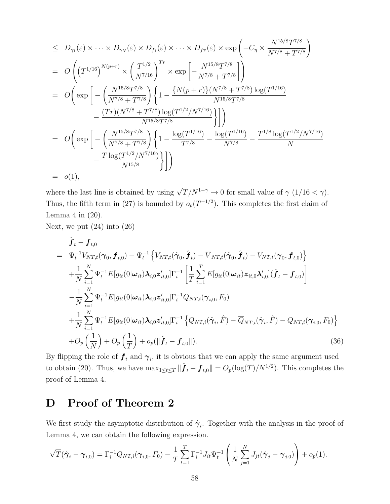$$
\leq D_{\gamma_{1}}(\varepsilon) \times \cdots \times D_{\gamma_{N}}(\varepsilon) \times D_{f_{1}}(\varepsilon) \times \cdots \times D_{f_{T}}(\varepsilon) \times \exp\left(-C_{\eta} \times \frac{N^{15/8}T^{7/8}}{N^{7/8} + T^{7/8}}\right)
$$
\n
$$
= O\left((T^{1/16})^{N(p+r)} \times \left(\frac{T^{1/2}}{N^{7/16}}\right)^{Tr} \times \exp\left[-\frac{N^{15/8}T^{7/8}}{N^{7/8} + T^{7/8}}\right]\right)
$$
\n
$$
= O\left(\exp\left[-\left(\frac{N^{15/8}T^{7/8}}{N^{7/8} + T^{7/8}}\right)\left\{1 - \frac{\{N(p+r)\}(N^{7/8} + T^{7/8})\log(T^{1/16})}{N^{15/8}T^{7/8}}\right\}\right] - \frac{(Tr)(N^{7/8} + T^{7/8})\log(T^{1/2}/N^{7/16})}{N^{15/8}T^{7/8}}\right\}\right])
$$
\n
$$
= O\left(\exp\left[-\left(\frac{N^{15/8}T^{7/8}}{N^{7/8} + T^{7/8}}\right)\left\{1 - \frac{\log(T^{1/16})}{T^{7/8}} - \frac{\log(T^{1/16})}{N^{7/8}} - \frac{T^{1/8}\log(T^{1/2}/N^{7/16})}{N}\right\}\right]
$$
\n
$$
= O(1),
$$

where the last line is obtained by using  $\sqrt{T}/N^{1-\gamma} \to 0$  for small value of  $\gamma$  (1/16 <  $\gamma$ ). Thus, the fifth term in (27) is bounded by  $o_p(T^{-1/2})$ . This completes the first claim of Lemma  $4$  in  $(20)$ .

Next, we put  $(24)$  into  $(26)$ 

$$
\hat{\boldsymbol{f}}_{t} - \boldsymbol{f}_{t,0} \n= \Psi_{t}^{-1} V_{NT,t}(\boldsymbol{\gamma}_{0}, \boldsymbol{f}_{t,0}) - \Psi_{t}^{-1} \left\{ V_{NT,t}(\hat{\boldsymbol{\gamma}}_{0}, \hat{\boldsymbol{f}}_{t}) - \overline{V}_{NT,t}(\hat{\boldsymbol{\gamma}}_{0}, \hat{\boldsymbol{f}}_{t}) - V_{NT,t}(\boldsymbol{\gamma}_{0}, \boldsymbol{f}_{t,0}) \right\} \n+ \frac{1}{N} \sum_{i=1}^{N} \Psi_{t}^{-1} E[g_{it}(0|\boldsymbol{\omega}_{it}) \boldsymbol{\lambda}_{i,0} \boldsymbol{z}_{it,0}'] \Gamma_{i}^{-1} \left[ \frac{1}{T} \sum_{t=1}^{T} E[g_{it}(0|\boldsymbol{\omega}_{it}) \boldsymbol{z}_{it,0} \boldsymbol{\lambda}_{i,0}'] (\hat{\boldsymbol{f}}_{t} - \boldsymbol{f}_{t,0}) \right] \n- \frac{1}{N} \sum_{i=1}^{N} \Psi_{t}^{-1} E[g_{it}(0|\boldsymbol{\omega}_{it}) \boldsymbol{\lambda}_{i,0} \boldsymbol{z}_{it,0}'] \Gamma_{i}^{-1} Q_{NT,i}(\boldsymbol{\gamma}_{i,0}, F_{0}) \n+ \frac{1}{N} \sum_{i=1}^{N} \Psi_{t}^{-1} E[g_{it}(0|\boldsymbol{\omega}_{it}) \boldsymbol{\lambda}_{i,0} \boldsymbol{z}_{it,0}'] \Gamma_{i}^{-1} \left\{ Q_{NT,i}(\hat{\boldsymbol{\gamma}}_{i,0}, \hat{F}) - \overline{Q}_{NT,i}(\hat{\boldsymbol{\gamma}}_{i}, \hat{F}) - Q_{NT,i}(\boldsymbol{\gamma}_{i,0}, F_{0}) \right\} \n+ O_{p} \left( \frac{1}{N} \right) + O_{p} \left( \frac{1}{T} \right) + o_{p} (\|\hat{\boldsymbol{f}}_{t} - \boldsymbol{f}_{t,0}\|).
$$
\n(36)

By flipping the role of  $\boldsymbol{f}_t$  and  $\boldsymbol{\gamma}_i$ , it is obvious that we can apply the same argument used to obtain (20). Thus, we have  $\max_{1 \le t \le T} \|\hat{\boldsymbol{f}}_t - \boldsymbol{f}_{t,0}\| = O_p(\log(T)/N^{1/2})$ . This completes the proof of Lemma 4.

### D Proof of Theorem 2

We first study the asymptotic distribution of  $\hat{\gamma}_i$ . Together with the analysis in the proof of Lemma 4, we can obtain the following expression.

$$
\sqrt{T}(\hat{\boldsymbol{\gamma}}_i - \boldsymbol{\gamma}_{i,0}) = \Gamma_i^{-1} Q_{NT,i}(\boldsymbol{\gamma}_{i,0}, F_0) - \frac{1}{T} \sum_{t=1}^T \Gamma_i^{-1} J_{it} \Psi_t^{-1} \left( \frac{1}{N} \sum_{j=1}^N J_{jt}(\hat{\boldsymbol{\gamma}}_j - \boldsymbol{\gamma}_{j,0}) \right) + o_p(1).
$$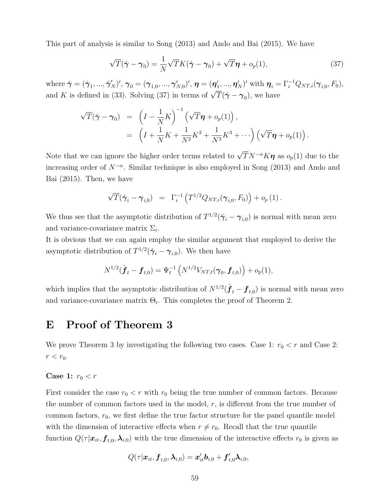This part of analysis is similar to Song (2013) and Ando and Bai (2015). We have

$$
\sqrt{T}(\hat{\gamma} - \gamma_0) = \frac{1}{N} \sqrt{T} K(\hat{\gamma} - \gamma_0) + \sqrt{T} \eta + o_p(1), \qquad (37)
$$

where  $\hat{\boldsymbol{\gamma}}=(\hat{\boldsymbol{\gamma}}_1,...,\hat{\boldsymbol{\gamma}}_N')',\,\boldsymbol{\gamma}_0=(\boldsymbol{\gamma}_{1,0},...,\boldsymbol{\gamma}_{N,0}')',\,\boldsymbol{\eta}=(\boldsymbol{\eta}_1',...,\boldsymbol{\eta}_N')'$  with  $\boldsymbol{\eta}_i=\Gamma_i^{-1}Q_{NT,i}(\boldsymbol{\gamma}_{i,0},F_0),$ and K is defined in (33). Solving (37) in terms of  $\sqrt{T}(\hat{\gamma} - \gamma_0)$ , we have

$$
\sqrt{T}(\hat{\boldsymbol{\gamma}} - \boldsymbol{\gamma}_0) = \left(I - \frac{1}{N}K\right)^{-1} \left(\sqrt{T}\boldsymbol{\eta} + o_p(1)\right),
$$
  
= 
$$
\left(I + \frac{1}{N}K + \frac{1}{N^2}K^2 + \frac{1}{N^3}K^3 + \cdots\right) \left(\sqrt{T}\boldsymbol{\eta} + o_p(1)\right).
$$

Note that we can ignore the higher order terms related to  $\sqrt{T}N^{-\alpha}K\eta$  as  $o_p(1)$  due to the increasing order of  $N^{-\alpha}$ . Similar technique is also employed in Song (2013) and Ando and Bai (2015). Then, we have

$$
\sqrt{T}(\hat{\bm{\gamma}}_i - \bm{\gamma}_{i,0}) = \Gamma_i^{-1} \left( T^{1/2} Q_{NT,i}(\bm{\gamma}_{i,0}, F_0) \right) + o_p(1).
$$

We thus see that the asymptotic distribution of  $T^{1/2}(\hat{\gamma}_i - \gamma_{i,0})$  is normal with mean zero and variance-covariance matrix  $\Sigma_i$ .

It is obvious that we can again employ the similar argument that employed to derive the asymptotic distribution of  $T^{1/2}(\hat{\gamma}_i - \gamma_{i,0})$ . We then have

$$
N^{1/2}(\hat{\boldsymbol{f}}_t - \boldsymbol{f}_{t,0}) = \Psi_t^{-1}\left(N^{1/2}V_{NT,t}(\boldsymbol{\gamma}_0, \boldsymbol{f}_{t,0})\right) + o_p(1),
$$

which implies that the asymptotic distribution of  $N^{1/2}(\hat{f}_t - f_{t,0})$  is normal with mean zero and variance-covariance matrix  $\Theta_t$ . This completes the proof of Theorem 2.

### E Proof of Theorem 3

We prove Theorem 3 by investigating the following two cases. Case 1:  $r_0 < r$  and Case 2:  $r < r_0$ .

#### Case 1:  $r_0 < r$

First consider the case  $r_0 < r$  with  $r_0$  being the true number of common factors. Because the number of common factors used in the model,  $r$ , is different from the true number of common factors,  $r_0$ , we first define the true factor structure for the panel quantile model with the dimension of interactive effects when  $r \neq r_0$ . Recall that the true quantile function  $Q(\tau | x_{it}, \boldsymbol{f}_{t,0}, \boldsymbol{\lambda}_{i,0})$  with the true dimension of the interactive effects  $r_0$  is given as

$$
Q(\tau|\boldsymbol{x}_{it}, \boldsymbol{f}_{t,0}, \boldsymbol{\lambda}_{i,0}) = \boldsymbol{x}_{it}^{\prime} \boldsymbol{b}_{i,0} + \boldsymbol{f}_{t,0}^{\prime} \boldsymbol{\lambda}_{i,0},
$$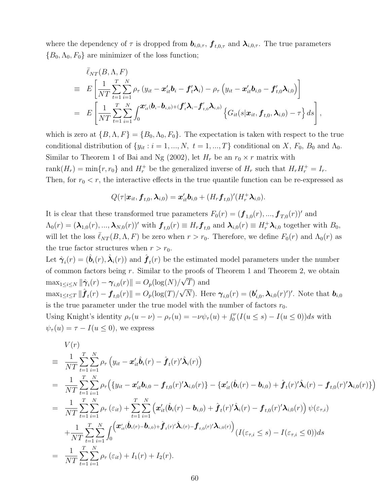where the dependency of  $\tau$  is dropped from  $b_{i,0,\tau}$ ,  $f_{t,0,\tau}$  and  $\lambda_{i,0,\tau}$ . The true parameters  ${B_0, \Lambda_0, F_0}$  are minimizer of the loss function;

$$
\bar{\ell}_{NT}(B,\Lambda, F)
$$
\n
$$
\equiv E\left[\frac{1}{NT}\sum_{t=1}^T\sum_{i=1}^N\rho_{\tau}\left(y_{it}-\boldsymbol{x}_{it}^{\prime}\boldsymbol{b}_i-\boldsymbol{f}_{t}^{\prime}\boldsymbol{\lambda}_i\right)-\rho_{\tau}\left(y_{it}-\boldsymbol{x}_{it}^{\prime}\boldsymbol{b}_{i,0}-\boldsymbol{f}_{t,0}^{\prime}\boldsymbol{\lambda}_{i,0}\right)\right]
$$
\n
$$
= E\left[\frac{1}{NT}\sum_{t=1}^T\sum_{i=1}^N\int_0^{\boldsymbol{x}_{it}^{\prime}}(\boldsymbol{b}_i-\boldsymbol{b}_{i,0})+(\boldsymbol{f}_{t}^{\prime}\boldsymbol{\lambda}_i-\boldsymbol{f}_{t,0}^{\prime}\boldsymbol{\lambda}_{i,0})\left\{G_{it}(s|\boldsymbol{x}_{it},\boldsymbol{f}_{t,0},\boldsymbol{\lambda}_{i,0})-\tau\right\}ds\right],
$$

which is zero at  $\{B, \Lambda, F\} = \{B_0, \Lambda_0, F_0\}$ . The expectation is taken with respect to the true conditional distribution of  $\{y_{it} : i = 1, ..., N, t = 1, ..., T\}$  conditional on X,  $F_0$ ,  $B_0$  and  $\Lambda_0$ . Similar to Theorem 1 of Bai and Ng (2002), let  $H_r$  be an  $r_0 \times r$  matrix with rank $(H_r) = \min\{r, r_0\}$  and  $H_r^+$  be the generalized inverse of  $H_r$  such that  $H_r H_r^+ = I_r$ . Then, for  $r_0 < r$ , the interactive effects in the true quantile function can be re-expressed as

$$
Q(\tau|\bm{x}_{it},\bm{f}_{t,0},\bm{\lambda}_{i,0})=\bm{x}_{it}^{\prime}\bm{b}_{i,0}+(H_{r}\bm{f}_{t,0})^{\prime}(H_{r}^{+}\bm{\lambda}_{i,0}).
$$

It is clear that these transformed true parameters  $F_0(r) = (\boldsymbol{f}_{1,0}(r), ..., \boldsymbol{f}_{T,0}(r))'$  and  $\Lambda_0(r) = (\lambda_{1,0}(r), ..., \lambda_{N,0}(r))'$  with  $\boldsymbol{f}_{t,0}(r) \equiv H_r \boldsymbol{f}_{t,0}$  and  $\lambda_{i,0}(r) \equiv H_r^+ \lambda_{i,0}$  together with  $B_0$ , will let the loss  $\bar{\ell}_{NT}(B,\Lambda, F)$  be zero when  $r > r_0$ . Therefore, we define  $F_0(r)$  and  $\Lambda_0(r)$  as the true factor structures when  $r > r_0$ .

Let  $\hat{\bm{\gamma}}_i(r) = (\hat{\bm{b}}_i(r), \hat{\bm{\lambda}}_i(r))$  and  $\hat{\bm{f}}_t(r)$  be the estimated model parameters under the number of common factors being r. Similar to the proofs of Theorem 1 and Theorem 2, we obtain  $\max_{1 \leq i \leq N} \|\hat{\boldsymbol{\gamma}}_i(r) - \boldsymbol{\gamma}_{i,0}(r)\| = O_p(\log(N)/\sqrt{T})$  and  $\max_{1 \leq t \leq T} \|\hat{\boldsymbol{f}}_t(r) - \boldsymbol{f}_{t,0}(r)\| = O_p(\log(T)/\sqrt{N}).$  Here  $\boldsymbol{\gamma}_{i,0}(r) = (\boldsymbol{b}_{i,0}', \boldsymbol{\lambda}_{i,0}(r)')'.$  Note that  $\boldsymbol{b}_{i,0}$ is the true parameter under the true model with the number of factors  $r_0$ . Using Knight's identity  $\rho_{\tau}(u-\nu) - \rho_{\tau}(u) = -\nu \psi_{\tau}(u) + \int_0^{\nu} (I(u \le s) - I(u \le 0))ds$  with  $\psi_{\tau}(u) = \tau - I(u \leq 0)$ , we express

$$
V(r)
$$
\n
$$
\begin{split}\n&= \frac{1}{NT} \sum_{t=1}^{T} \sum_{i=1}^{N} \rho_{\tau} \left( y_{it} - \mathbf{x}_{it}' \hat{\mathbf{b}}_{i}(r) - \hat{\boldsymbol{f}}_{t}(r)' \hat{\boldsymbol{\lambda}}_{i}(r) \right) \\
&= \frac{1}{NT} \sum_{t=1}^{T} \sum_{i=1}^{N} \rho_{\tau} \left( \{ y_{it} - \mathbf{x}_{it}' \hat{\mathbf{b}}_{i,0} - \mathbf{f}_{t,0}(r)' \boldsymbol{\lambda}_{i,0}(r) \} - \{ \mathbf{x}_{it}' (\hat{\mathbf{b}}_{i}(r) - \mathbf{b}_{i,0}) + \hat{\boldsymbol{f}}_{t}(r)' \hat{\boldsymbol{\lambda}}_{i}(r) - \mathbf{f}_{t,0}(r)' \boldsymbol{\lambda}_{i,0}(r) \} \right) \\
&= \frac{1}{NT} \sum_{t=1}^{T} \sum_{i=1}^{N} \rho_{\tau} \left( \varepsilon_{it} \right) + \sum_{t=1}^{T} \sum_{i=1}^{N} \left( \mathbf{x}_{it}' (\hat{\mathbf{b}}_{i}(r) - \mathbf{b}_{i,0}) + \hat{\boldsymbol{f}}_{t}(r)' \hat{\boldsymbol{\lambda}}_{i}(r) - \mathbf{f}_{t,0}(r)' \boldsymbol{\lambda}_{i,0}(r) \right) \psi(\varepsilon_{\tau,i}) \\
&+ \frac{1}{NT} \sum_{t=1}^{T} \sum_{i=1}^{N} \int_{0} \left( \mathbf{x}_{it}' (\hat{\mathbf{b}}_{i}(r) - \mathbf{b}_{i,0}) + \hat{\boldsymbol{f}}_{t}(r)' \hat{\boldsymbol{\lambda}}_{i}(r) - \boldsymbol{f}_{t,0}(r)' \boldsymbol{\lambda}_{i,0}(r) \right) \left( I(\varepsilon_{\tau,i} \leq s) - I(\varepsilon_{\tau,i} \leq 0) \right) ds \\
&= \frac{1}{NT} \sum_{t=1}^{T} \sum_{i=1}^{N} \rho_{\tau} \left( \varepsilon_{it} \right) + I_{1}(r) + I_{2}(r).\n\end{split}
$$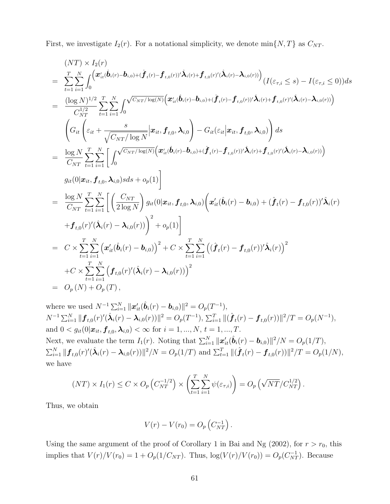First, we investigate  $I_2(r)$ . For a notational simplicity, we denote  $\min\{N, T\}$  as  $C_{NT}$ .

$$
(NT) \times I_2(r)
$$
\n
$$
= \sum_{t=1}^{T} \sum_{i=1}^{N} \int_{0}^{(x'_{it}(\hat{b}_{i}(r)-\hat{b}_{i,0})+(\hat{f}_{i}(r)-f_{i,0}(r))'\hat{\lambda}_{i}(r)+f_{i,0}(r)'(\hat{\lambda}_{i}(r)-\lambda_{i,0}(r))} (I(\varepsilon_{\tau,i} \leq s)-I(\varepsilon_{\tau,i} \leq 0))ds
$$
\n
$$
= \frac{(\log N)^{1/2}}{C_{NT}^{1/2}} \sum_{t=1}^{T} \sum_{i=1}^{N} \int_{0}^{\sqrt{C_{NT}/\log(N)}} (x'_{it}(\hat{b}_{i}(r)-b_{i,0})+(\hat{f}_{i}(r)-f_{i,0}(r))'\hat{\lambda}_{i}(r)+f_{i,0}(r)'(\hat{\lambda}_{i}(r)-\lambda_{i,0}(r))})
$$
\n
$$
\left(G_{it} \left(\varepsilon_{it} + \frac{s}{\sqrt{C_{NT}/\log N}} |x_{it}, f_{t,0}, \lambda_{i,0}\right) - G_{it}(\varepsilon_{it} |x_{it}, f_{t,0}, \lambda_{i,0})\right) ds
$$
\n
$$
= \frac{\log N}{C_{NT}} \sum_{t=1}^{T} \sum_{i=1}^{N} \left[ \int_{0}^{\sqrt{C_{NT}/\log(N)}} (x'_{it}(\hat{b}_{i}(r)-\hat{b}_{i,0})+(\hat{f}_{i}(r)-f_{t,0}(r))'\hat{\lambda}_{i}(r)+f_{t,0}(r)'(\hat{\lambda}_{i}(r)-\lambda_{i,0}(r))\right]
$$
\n
$$
= \frac{\log N}{C_{NT}} \sum_{t=1}^{T} \sum_{i=1}^{N} \left[ \left(\frac{C_{NT}}{2 \log N}\right) g_{it}(0 | x_{it}, f_{t,0}, \lambda_{i,0}) \left(x'_{it}(\hat{b}_{i}(r)-b_{i,0})+(\hat{f}_{t}(r)-f_{t,0}(r))'\hat{\lambda}_{i}(r)\right) + f_{t,0}(r) (\hat{\lambda}_{i}(r)-\lambda_{i,0}(r))\right)^{2} + o_{p}(1)
$$
\n
$$
+ f_{t,0}(r) (\hat{\lambda}_{i}(r)-\lambda_{i,0}(r)) + o_{p}(1)
$$
\n
$$
=
$$

where we used  $N^{-1} \sum_{i=1}^{N} ||\boldsymbol{x}'_{it}(\hat{\boldsymbol{b}}_i(r) - \boldsymbol{b}_{i,0})||^2 = O_p(T^{-1}),$  $N^{-1} \sum_{i=1}^{N} || \boldsymbol{f}_{t,0}(r)'(\hat{\boldsymbol{\lambda}}_i(r) - \boldsymbol{\lambda}_{i,0}(r)) ||^2 = O_p(T^{-1}), \sum_{i=1}^{T} || (\hat{\boldsymbol{f}}_t(r) - \boldsymbol{f}_{t,0}(r)) ||^2 / T = O_p(N^{-1}),$ and  $0 < g_{it}(0|\mathbf{x}_{it}, \mathbf{f}_{t,0}, \boldsymbol{\lambda}_{i,0}) < \infty$  for  $i = 1, ..., N, t = 1, ..., T$ . Next, we evaluate the term  $I_1(r)$ . Noting that  $\sum_{i=1}^N \|\mathbf{x}'_{it}(\hat{\boldsymbol{b}}_i(r) - \boldsymbol{b}_{i,0})\|^2/N = O_p(1/T)$ ,  $\sum_{i=1}^{N} ||{\bm{f}}_{t,0}(r)'(\hat{\bm{\lambda}}_i(r) - {\bm{\lambda}}_{i,0}(r))||^2/N = O_p(1/T)$  and  $\sum_{t=1}^{T} ||(\hat{\bm{f}}_t(r) - {\bm{f}}_{t,0}(r))||^2/T = O_p(1/N)$ , we have

$$
(NT) \times I_1(r) \leq C \times O_p\left(C_{NT}^{-1/2}\right) \times \left(\sum_{t=1}^T \sum_{i=1}^N \psi(\varepsilon_{\tau,i})\right) = O_p\left(\sqrt{NT}/C_{NT}^{1/2}\right).
$$

Thus, we obtain

$$
V(r) - V(r_0) = O_p(C_{NT}^{-1}).
$$

Using the same argument of the proof of Corollary 1 in Bai and Ng (2002), for  $r > r_0$ , this implies that  $V(r)/V(r_0) = 1 + O_p(1/C_{NT})$ . Thus,  $log(V(r)/V(r_0)) = O_p(C_{NT}^{-1})$ . Because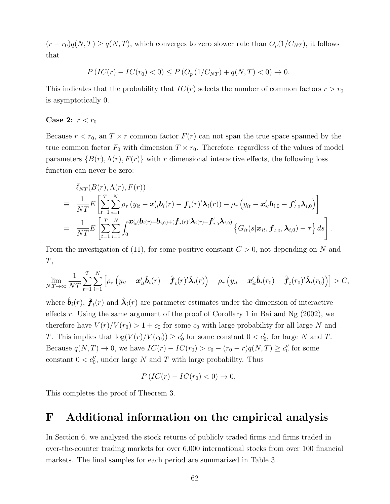$(r - r_0)q(N,T) \ge q(N,T)$ , which converges to zero slower rate than  $O_p(1/C_{NT})$ , it follows that

$$
P\left(IC(r) - IC(r_0) < 0\right) \le P\left(O_p\left(1/C_{NT}\right) + q(N,T) < 0\right) \to 0.
$$

This indicates that the probability that  $IC(r)$  selects the number of common factors  $r > r_0$ is asymptotically 0.

#### Case 2:  $r < r_0$

Because  $r < r_0$ , an  $T \times r$  common factor  $F(r)$  can not span the true space spanned by the true common factor  $F_0$  with dimension  $T \times r_0$ . Therefore, regardless of the values of model parameters  $\{B(r), \Lambda(r), F(r)\}\$  with r dimensional interactive effects, the following loss function can never be zero:

$$
\begin{split}\n&\bar{\ell}_{NT}(B(r),\Lambda(r),F(r)) \\
&\equiv \frac{1}{NT}E\left[\sum_{t=1}^T\sum_{i=1}^N\rho_{\tau}\left(y_{it}-\boldsymbol{x}_{it}^{\prime}\boldsymbol{b}_i(r)-\boldsymbol{f}_t(r)^{\prime}\boldsymbol{\lambda}_i(r)\right)-\rho_{\tau}\left(y_{it}-\boldsymbol{x}_{it}^{\prime}\boldsymbol{b}_{i,0}-\boldsymbol{f}_{t,0}^{\prime}\boldsymbol{\lambda}_{i,0}\right)\right] \\
&=\frac{1}{NT}E\left[\sum_{t=1}^T\sum_{i=1}^N\int_0^{\boldsymbol{x}_{it}^{\prime}}(\boldsymbol{b}_i(r)-\boldsymbol{b}_{i,0})+(\boldsymbol{f}_t(r)^{\prime}\boldsymbol{\lambda}_i(r)-\boldsymbol{f}_{t,0}^{\prime}\boldsymbol{\lambda}_{i,0})\left\{G_{it}(s|\boldsymbol{x}_{it},\boldsymbol{f}_{t,0},\boldsymbol{\lambda}_{i,0})-\tau\right\}ds\right].\n\end{split}
$$

From the investigation of (11), for some positive constant  $C > 0$ , not depending on N and  $T,$ 

$$
\lim_{N,T\to\infty}\frac{1}{NT}\sum_{t=1}^T\sum_{i=1}^N\left[\rho_\tau\left(y_{it}-\boldsymbol{x}_{it}'\hat{\boldsymbol{b}}_i(r)-\hat{\boldsymbol{f}}_t(r)'\hat{\boldsymbol{\lambda}}_i(r)\right)-\rho_\tau\left(y_{it}-\boldsymbol{x}_{it}'\hat{\boldsymbol{b}}_i(r_0)-\hat{\boldsymbol{f}}_t(r_0)'\hat{\boldsymbol{\lambda}}_i(r_0)\right)\right] > C,
$$

where  $\hat{\bm{b}}_i(r)$ ,  $\hat{\bm{f}}_t(r)$  and  $\hat{\bm{\lambda}}_i(r)$  are parameter estimates under the dimension of interactive effects r. Using the same argument of the proof of Corollary 1 in Bai and Ng  $(2002)$ , we therefore have  $V(r)/V(r_0) > 1 + c_0$  for some  $c_0$  with large probability for all large N and T. This implies that  $log(V(r)/V(r_0)) \geq c'_0$  for some constant  $0 < c'_0$ , for large N and T. Because  $q(N,T) \to 0$ , we have  $IC(r) - IC(r_0) > c_0 - (r_0 - r)q(N,T) \ge c''_0$  for some constant  $0 < c''_0$ , under large N and T with large probability. Thus

$$
P\left(IC(r) - IC(r_0) < 0\right) \to 0.
$$

This completes the proof of Theorem 3.

### F Additional information on the empirical analysis

In Section 6, we analyzed the stock returns of publicly traded firms and firms traded in over-the-counter trading markets for over 6,000 international stocks from over 100 financial markets. The final samples for each period are summarized in Table 3.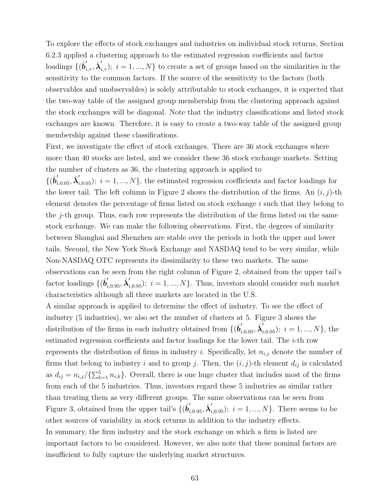To explore the effects of stock exchanges and industries on individual stock returns, Section 6.2.3 applied a clustering approach to the estimated regression coefficients and factor loadings  $\{(\hat{b}'_{i,\tau}, \hat{\lambda}'_{i,\tau}); i = 1, ..., N\}$  to create a set of groups based on the similarities in the sensitivity to the common factors. If the source of the sensitivity to the factors (both observables and unobservables) is solely attributable to stock exchanges, it is expected that the two-way table of the assigned group membership from the clustering approach against the stock exchanges will be diagonal. Note that the industry classifications and listed stock exchanges are known. Therefore, it is easy to create a two-way table of the assigned group membership against these classifications.

First, we investigate the effect of stock exchanges. There are 36 stock exchanges where more than 40 stocks are listed, and we consider these 36 stock exchange markets. Setting the number of clusters as 36, the clustering approach is applied to

 $\{(\hat{b}'_{i,0.05}, \hat{\lambda}'_{i,0.05})\}; i = 1, ..., N\}$ , the estimated regression coefficients and factor loadings for the lower tail. The left column in Figure 2 shows the distribution of the firms. An  $(i, j)$ -th element denotes the percentage of firms listed on stock exchange  $i$  such that they belong to the  $j$ -th group. Thus, each row represents the distribution of the firms listed on the same stock exchange. We can make the following observations. First, the degrees of similarity between Shanghai and Shenzhen are stable over the periods in both the upper and lower tails. Second, the New York Stock Exchange and NASDAQ tend to be very similar, while Non-NASDAQ OTC represents its dissimilarity to these two markets. The same observations can be seen from the right column of Figure 2, obtained from the upper tail's factor loadings  $\{(\hat{b}'_{i,0.95}, \hat{\lambda}'_{i,0.95})\; i = 1, ..., N\}$ . Thus, investors should consider such market characteristics although all three markets are located in the U.S.

A similar approach is applied to determine the effect of industry. To see the effect of industry (5 industries), we also set the number of clusters at 5. Figure 3 shows the distribution of the firms in each industry obtained from  $\{(\hat{b}'_{i,0.05}, \hat{\lambda}'_{i,0.05})$ ;  $i = 1, ..., N\}$ , the estimated regression coefficients and factor loadings for the lower tail. The i-th row represents the distribution of firms in industry *i*. Specifically, let  $n_{i,j}$  denote the number of firms that belong to industry i and to group j. Then, the  $(i, j)$ -th element  $d_{ij}$  is calculated as  $d_{ij} = n_{i,j}/\{\sum_{k=1}^{5} n_{i,k}\}\.$  Overall, there is one huge cluster that includes most of the firms from each of the 5 industries. Thus, investors regard these 5 industries as similar rather than treating them as very different groups. The same observations can be seen from Figure 3, obtained from the upper tail's  $\{(\hat{b}'_{i,0.95}, \hat{\lambda}'_{i,0.95})$ ;  $i = 1, ..., N\}$ . There seems to be other sources of variability in stock returns in addition to the industry effects. In summary, the firm industry and the stock exchange on which a firm is listed are important factors to be considered. However, we also note that these nominal factors are insufficient to fully capture the underlying market structures.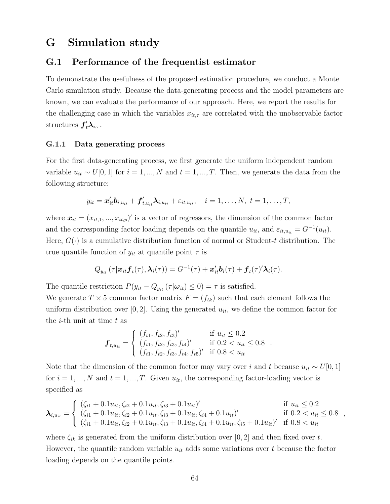### G Simulation study

#### G.1 Performance of the frequentist estimator

To demonstrate the usefulness of the proposed estimation procedure, we conduct a Monte Carlo simulation study. Because the data-generating process and the model parameters are known, we can evaluate the performance of our approach. Here, we report the results for the challenging case in which the variables  $x_{it,\tau}$  are correlated with the unobservable factor structures  $f'_t \lambda_{i, \tau}$ .

#### G.1.1 Data generating process

For the first data-generating process, we first generate the uniform independent random variable  $u_{it} \sim U[0, 1]$  for  $i = 1, ..., N$  and  $t = 1, ..., T$ . Then, we generate the data from the following structure:

$$
y_{it} = \boldsymbol{x}_{it}^{\prime} \boldsymbol{b}_{i, u_{it}} + \boldsymbol{f}_{t, u_{it}}^{\prime} \boldsymbol{\lambda}_{i, u_{it}} + \varepsilon_{it, u_{it}}, \quad i = 1, \ldots, N, t = 1, \ldots, T,
$$

where  $\boldsymbol{x}_{it} = (x_{it,1},...,x_{it,p})'$  is a vector of regressors, the dimension of the common factor and the corresponding factor loading depends on the quantile  $u_{it}$ , and  $\varepsilon_{it,u_{it}} = G^{-1}(u_{it})$ . Here,  $G(\cdot)$  is a cumulative distribution function of normal or Student-t distribution. The true quantile function of  $y_{it}$  at quantile point  $\tau$  is

$$
Q_{y_{it}}(\tau|\boldsymbol{x}_{it} \boldsymbol{f}_t(\tau), \boldsymbol{\lambda}_i(\tau)) = G^{-1}(\tau) + \boldsymbol{x}_{it}^{\prime} \boldsymbol{b}_i(\tau) + \boldsymbol{f}_t(\tau)^{\prime} \boldsymbol{\lambda}_i(\tau).
$$

The quantile restriction  $P(y_{it} - Q_{y_{it}}(\tau | \boldsymbol{\omega}_{it}) \leq 0) = \tau$  is satisfied.

We generate  $T \times 5$  common factor matrix  $F = (f_{tk})$  such that each element follows the uniform distribution over  $[0, 2]$ . Using the generated  $u_{it}$ , we define the common factor for the *i*-th unit at time  $t$  as

$$
\boldsymbol{f}_{t,u_{it}} = \begin{cases}\n(f_{t1}, f_{t2}, f_{t3})' & \text{if } u_{it} \leq 0.2 \\
(f_{t1}, f_{t2}, f_{t3}, f_{t4})' & \text{if } 0.2 < u_{it} \leq 0.8 \\
(f_{t1}, f_{t2}, f_{t3}, f_{t4}, f_{t5})' & \text{if } 0.8 < u_{it}\n\end{cases}
$$

Note that the dimension of the common factor may vary over i and t because  $u_{it} \sim U[0, 1]$ for  $i = 1, ..., N$  and  $t = 1, ..., T$ . Given  $u_{it}$ , the corresponding factor-loading vector is specified as

$$
\lambda_{i, u_{it}} = \begin{cases}\n(\zeta_{i1} + 0.1u_{it}, \zeta_{i2} + 0.1u_{it}, \zeta_{i3} + 0.1u_{it})' & \text{if } u_{it} \leq 0.2 \\
(\zeta_{i1} + 0.1u_{it}, \zeta_{i2} + 0.1u_{it}, \zeta_{i3} + 0.1u_{it}, \zeta_{i4} + 0.1u_{it})' & \text{if } 0.2 < u_{it} \leq 0.8 \\
(\zeta_{i1} + 0.1u_{it}, \zeta_{i2} + 0.1u_{it}, \zeta_{i3} + 0.1u_{it}, \zeta_{i4} + 0.1u_{it}, \zeta_{i5} + 0.1u_{it})' & \text{if } 0.8 < u_{it}\n\end{cases}
$$

where  $\zeta_{ik}$  is generated from the uniform distribution over [0, 2] and then fixed over t. However, the quantile random variable  $u_{it}$  adds some variations over t because the factor loading depends on the quantile points.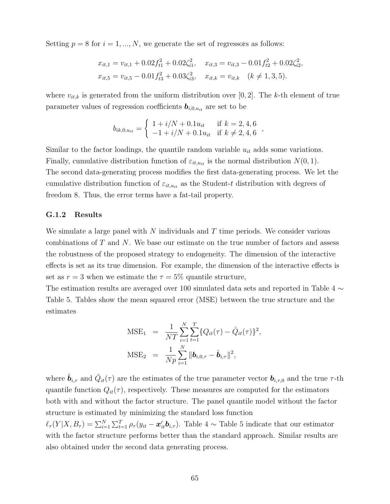Setting  $p = 8$  for  $i = 1, ..., N$ , we generate the set of regressors as follows:

$$
x_{it,1} = v_{it,1} + 0.02f_{t1}^2 + 0.02\zeta_{i1}^2, \quad x_{it,3} = v_{it,3} - 0.01f_{t2}^2 + 0.02\zeta_{i2}^2,
$$
  

$$
x_{it,5} = v_{it,5} - 0.01f_{t3}^2 + 0.03\zeta_{i3}^2, \quad x_{it,k} = v_{it,k} \quad (k \neq 1, 3, 5).
$$

where  $v_{it,k}$  is generated from the uniform distribution over [0, 2]. The k-th element of true parameter values of regression coefficients  $\mathbf{b}_{i,0,u_{it}}$  are set to be

$$
b_{ik,0,u_{it}} = \begin{cases} 1 + i/N + 0.1u_{it} & \text{if } k = 2, 4, 6 \\ -1 + i/N + 0.1u_{it} & \text{if } k \neq 2, 4, 6 \end{cases}
$$

Similar to the factor loadings, the quantile random variable  $u_{it}$  adds some variations. Finally, cumulative distribution function of  $\varepsilon_{it,u_{it}}$  is the normal distribution  $N(0, 1)$ . The second data-generating process modifies the first data-generating process. We let the cumulative distribution function of  $\varepsilon_{it,u_{it}}$  as the Student-t distribution with degrees of freedom 8. Thus, the error terms have a fat-tail property.

#### G.1.2 Results

We simulate a large panel with  $N$  individuals and  $T$  time periods. We consider various combinations of T and N. We base our estimate on the true number of factors and assess the robustness of the proposed strategy to endogeneity. The dimension of the interactive effects is set as its true dimension. For example, the dimension of the interactive effects is set as  $r = 3$  when we estimate the  $\tau = 5\%$  quantile structure,

The estimation results are averaged over 100 simulated data sets and reported in Table 4 ∼ Table 5. Tables show the mean squared error (MSE) between the true structure and the estimates

$$
\text{MSE}_1 = \frac{1}{NT} \sum_{i=1}^{N} \sum_{t=1}^{T} \{Q_{it}(\tau) - \hat{Q}_{it}(\tau)\}^2,
$$
  

$$
\text{MSE}_2 = \frac{1}{Np} \sum_{i=1}^{N} ||\boldsymbol{b}_{i,0,\tau} - \hat{\boldsymbol{b}}_{i,\tau}||^2,
$$

where  $\hat{\bm{b}}_{i,\tau}$  and  $\hat{Q}_{it}(\tau)$  are the estimates of the true parameter vector  $\bm{b}_{i,\tau,0}$  and the true  $\tau$ -th quantile function  $Q_{it}(\tau)$ , respectively. These measures are computed for the estimators both with and without the factor structure. The panel quantile model without the factor structure is estimated by minimizing the standard loss function  $\ell_{\tau}(Y|X, B_{\tau}) = \sum_{i=1}^{N} \sum_{t=1}^{T} \rho_{\tau}(y_{it} - \boldsymbol{x}_{it}^{\prime} \boldsymbol{b}_{i,\tau}).$  Table 4  $\sim$  Table 5 indicate that our estimator with the factor structure performs better than the standard approach. Similar results are also obtained under the second data generating process.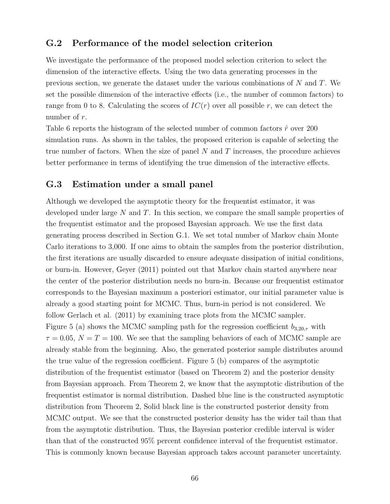#### G.2 Performance of the model selection criterion

We investigate the performance of the proposed model selection criterion to select the dimension of the interactive effects. Using the two data generating processes in the previous section, we generate the dataset under the various combinations of  $N$  and  $T$ . We set the possible dimension of the interactive effects (i.e., the number of common factors) to range from 0 to 8. Calculating the scores of  $IC(r)$  over all possible r, we can detect the number of r.

Table 6 reports the histogram of the selected number of common factors  $\hat{r}$  over 200 simulation runs. As shown in the tables, the proposed criterion is capable of selecting the true number of factors. When the size of panel  $N$  and  $T$  increases, the procedure achieves better performance in terms of identifying the true dimension of the interactive effects.

#### G.3 Estimation under a small panel

Although we developed the asymptotic theory for the frequentist estimator, it was developed under large  $N$  and  $T$ . In this section, we compare the small sample properties of the frequentist estimator and the proposed Bayesian approach. We use the first data generating process described in Section G.1. We set total number of Markov chain Monte Carlo iterations to 3,000. If one aims to obtain the samples from the posterior distribution, the first iterations are usually discarded to ensure adequate dissipation of initial conditions, or burn-in. However, Geyer (2011) pointed out that Markov chain started anywhere near the center of the posterior distribution needs no burn-in. Because our frequentist estimator corresponds to the Bayesian maximum a posteriori estimator, our initial parameter value is already a good starting point for MCMC. Thus, burn-in period is not considered. We follow Gerlach et al. (2011) by examining trace plots from the MCMC sampler. Figure 5 (a) shows the MCMC sampling path for the regression coefficient  $b_{3,20,\tau}$  with  $\tau = 0.05$ ,  $N = T = 100$ . We see that the sampling behaviors of each of MCMC sample are already stable from the beginning. Also, the generated posterior sample distributes around the true value of the regression coefficient. Figure 5 (b) compares of the asymptotic distribution of the frequentist estimator (based on Theorem 2) and the posterior density from Bayesian approach. From Theorem 2, we know that the asymptotic distribution of the frequentist estimator is normal distribution. Dashed blue line is the constructed asymptotic distribution from Theorem 2, Solid black line is the constructed posterior density from MCMC output. We see that the constructed posterior density has the wider tail than that from the asymptotic distribution. Thus, the Bayesian posterior credible interval is wider than that of the constructed 95% percent confidence interval of the frequentist estimator. This is commonly known because Bayesian approach takes account parameter uncertainty.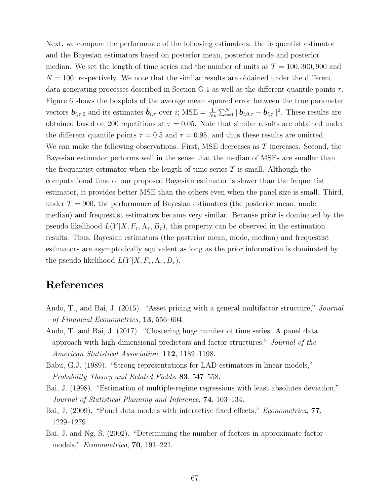Next, we compare the performance of the following estimators: the frequentist estimator and the Bayesian estimators based on posterior mean, posterior mode and posterior median. We set the length of time series and the number of units as  $T = 100, 300, 900$  and  $N = 100$ , respectively. We note that the similar results are obtained under the different data generating processes described in Section G.1 as well as the different quantile points  $\tau$ . Figure 6 shows the boxplots of the average mean squared error between the true parameter vectors  $\mathbf{b}_{i,\tau,0}$  and its estimates  $\hat{\mathbf{b}}_{i,\tau}$  over i; MSE =  $\frac{1}{Np} \sum_{i=1}^{N} ||\mathbf{b}_{i,0,\tau} - \hat{\mathbf{b}}_{i,\tau}||^2$ . These results are obtained based on 200 repetitions at  $\tau = 0.05$ . Note that similar results are obtained under the different quantile points  $\tau = 0.5$  and  $\tau = 0.95$ , and thus these results are omitted. We can make the following observations. First, MSE decreases as T increases. Second, the Bayesian estimator performs well in the sense that the median of MSEs are smaller than the frequantist estimator when the length of time series  $T$  is small. Although the computational time of our proposed Bayesian estimator is slower than the frequentist estimator, it provides better MSE than the others even when the panel size is small. Third, under  $T = 900$ , the performance of Bayesian estimators (the posterior mean, mode, median) and frequestist estimators became very similar. Because prior is dominated by the pseudo likelihood  $L(Y|X, F_\tau, \Lambda_\tau, B_\tau)$ , this property can be observed in the estimation results. Thus, Bayesian estimators (the posterior mean, mode, median) and frequestist estimators are asymptotically equivalent as long as the prior information is dominated by the pseudo likelihood  $L(Y|X, F_\tau, \Lambda_\tau, B_\tau)$ .

### References

- Ando, T., and Bai, J. (2015). "Asset pricing with a general multifactor structure," Journal of Financial Econometrics, 13, 556–604.
- Ando, T. and Bai, J. (2017). "Clustering huge number of time series: A panel data approach with high-dimensional predictors and factor structures," Journal of the American Statistical Association, 112, 1182–1198.
- Babu, G.J. (1989). "Strong representations for LAD estimators in linear models," Probability Theory and Related Fields, 83, 547–558.
- Bai, J. (1998). "Estimation of multiple-regime regressions with least absolutes deviation," Journal of Statistical Planning and Inference, 74, 103–134.
- Bai, J. (2009). "Panel data models with interactive fixed effects," *Econometrica*, **77**, 1229–1279.
- Bai, J. and Ng, S. (2002). "Determining the number of factors in approximate factor models," Econometrica, 70, 191–221.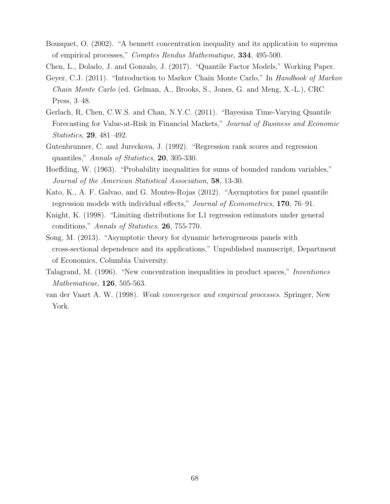Bousquet, O. (2002). "A bennett concentration inequality and its application to suprema of empirical processes," Comptes Rendus Mathematique, 334, 495-500.

Chen, L., Dolado, J. and Gonzalo, J. (2017). "Quantile Factor Models," Working Paper.

- Geyer, C.J. (2011). "Introduction to Markov Chain Monte Carlo," In Handbook of Markov Chain Monte Carlo (ed. Gelman, A., Brooks, S., Jones, G. and Meng, X.-L.), CRC Press, 3–48.
- Gerlach, R, Chen, C.W.S. and Chan, N.Y.C. (2011). "Bayesian Time-Varying Quantile Forecasting for Value-at-Risk in Financial Markets," Journal of Business and Economic Statistics, 29, 481–492.
- Gutenbrunner, C. and Jureckova, J. (1992). "Regression rank scores and regression quantiles," Annals of Statistics, 20, 305-330.
- Hoeffding, W. (1963). "Probability inequalities for sums of bounded random variables," Journal of the American Statistical Association, 58, 13-30.
- Kato, K., A. F. Galvao, and G. Montes-Rojas (2012). "Asymptotics for panel quantile regression models with individual effects," Journal of Econometrics, 170, 76–91.
- Knight, K. (1998). "Limiting distributions for L1 regression estimators under general conditions," Annals of Statistics, 26, 755-770.
- Song, M. (2013). "Asymptotic theory for dynamic heterogeneous panels with cross-sectional dependence and its applications," Unpublished manuscript, Department of Economics, Columbia University.
- Talagrand, M. (1996). "New concentration inequalities in product spaces," Inventiones Mathematicae, 126, 505-563.
- van der Vaart A. W. (1998). Weak convergence and empirical processes. Springer, New York.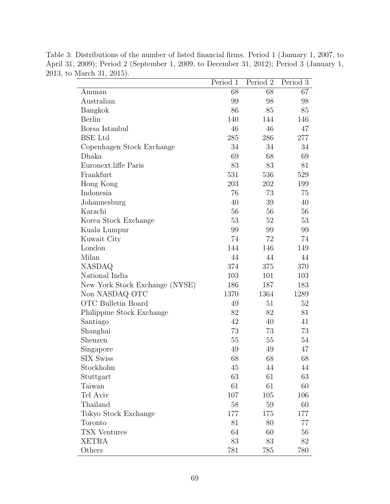|                                | Period 1 | Period 2 | Period 3 |
|--------------------------------|----------|----------|----------|
| Amman                          | 68       | 68       | 67       |
| Australian                     | 99       | 98       | 98       |
| Bangkok                        | 86       | 85       | 85       |
| Berlin                         | 140      | 144      | 146      |
| Borsa Istanbul                 | 46       | 46       | 47       |
| <b>BSE</b> Ltd                 | 285      | 286      | 277      |
| Copenhagen Stock Exchange      | 34       | 34       | 34       |
| Dhaka                          | 69       | 68       | 69       |
| Euronext.liffe Paris           | 83       | 83       | 81       |
| Frankfurt                      | 531      | 536      | 529      |
| Hong Kong                      | 203      | 202      | 199      |
| Indonesia                      | 76       | 73       | 75       |
| Johannesburg                   | 40       | 39       | 40       |
| Karachi                        | 56       | 56       | 56       |
| Korea Stock Exchange           | 53       | 52       | 53       |
| Kuala Lumpur                   | 99       | 99       | 99       |
| Kuwait City                    | 74       | 72       | 74       |
| London                         | 144      | 146      | 149      |
| Milan                          | 44       | 44       | 44       |
| <b>NASDAQ</b>                  | 374      | 375      | 370      |
| National India                 | 103      | 101      | 103      |
| New York Stock Exchange (NYSE) | 186      | 187      | 183      |
| Non NASDAQ OTC                 | 1370     | 1364     | 1289     |
| OTC Bulletin Board             | 49       | 51       | 52       |
| Philippine Stock Exchange      | 82       | 82       | 81       |
| Santiago                       | 42       | 40       | 41       |
| Shanghai                       | 73       | 73       | 73       |
| Shenzen                        | 55       | 55       | 54       |
| Singapore                      | 49       | 49       | 47       |
| <b>SIX Swiss</b>               | 68       | 68       | 68       |
| Stockholm                      | 45       | 44       | 44       |
| Stuttgart                      | 63       | 61       | 63       |
| Taiwan                         | 61       | 61       | 60       |
| Tel Aviv                       | 107      | 105      | 106      |
| Thailand                       | 58       | 59       | 60       |
| Tokyo Stock Exchange           | 177      | 175      | 177      |
| Toronto                        | 81       | 80       | 77       |
| <b>TSX Ventures</b>            | 64       | 60       | 56       |
| <b>XETRA</b>                   | 83       | 83       | 82       |
| Others                         | 781      | 785      | 780      |

Table 3: Distributions of the number of listed financial firms. Period 1 (January 1, 2007, to April 31, 2009); Period 2 (September 1, 2009, to December 31, 2012); Period 3 (January 1, 2013, to March 31, 2015).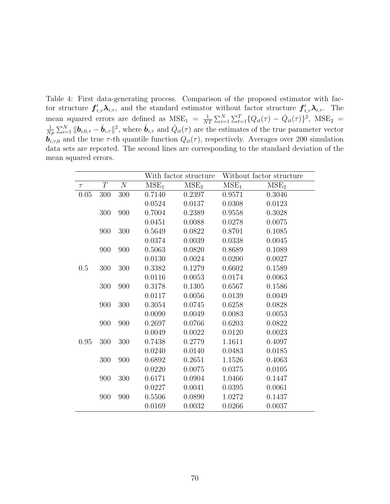Table 4: First data-generating process. Comparison of the proposed estimator with factor structure  $f'_{t,\tau}\lambda_{i,\tau}$ , and the standard estimator without factor structure  $f'_{t,\tau}\lambda_{i,\tau}$ . The mean squared errors are defined as  $MSE_1 = \frac{1}{N'}$  $\frac{1}{NT} \sum_{i=1}^{N} \sum_{t=1}^{T} \{Q_{it}(\tau) - \hat{Q}_{it}(\tau)\}^2$ , MSE<sub>2</sub> = 1  $\frac{1}{Np} \sum_{i=1}^{N} ||\boldsymbol{b}_{i,0,\tau} - \hat{\boldsymbol{b}}_{i,\tau}||^2$ , where  $\hat{\boldsymbol{b}}_{i,\tau}$  and  $\hat{Q}_{it}(\tau)$  are the estimates of the true parameter vector  $\vec{b}_{i,\tau,0}$  and the true  $\tau$ -th quantile function  $Q_{it}(\tau)$ , respectively. Averages over 200 simulation data sets are reported. The second lines are corresponding to the standard deviation of the mean squared errors.

|        |          |          | With factor structure |                  | Without factor structure |                  |
|--------|----------|----------|-----------------------|------------------|--------------------------|------------------|
| $\tau$ | $\cal T$ | $\cal N$ | MSE <sub>1</sub>      | MSE <sub>2</sub> | MSE <sub>1</sub>         | MSE <sub>2</sub> |
| 0.05   | 300      | 300      | 0.7140                | 0.2397           | 0.9571                   | 0.3046           |
|        |          |          | 0.0524                | 0.0137           | 0.0308                   | 0.0123           |
|        | 300      | 900      | 0.7004                | 0.2389           | 0.9558                   | 0.3028           |
|        |          |          | 0.0451                | 0.0088           | 0.0278                   | 0.0075           |
|        | 900      | 300      | 0.5649                | 0.0822           | 0.8701                   | 0.1085           |
|        |          |          | 0.0374                | 0.0039           | 0.0338                   | 0.0045           |
|        | 900      | 900      | 0.5063                | 0.0820           | 0.8689                   | 0.1089           |
|        |          |          | 0.0130                | 0.0024           | 0.0200                   | 0.0027           |
| 0.5    | 300      | 300      | 0.3382                | 0.1279           | 0.6602                   | 0.1589           |
|        |          |          | 0.0116                | 0.0053           | 0.0174                   | 0.0063           |
|        | 300      | 900      | 0.3178                | 0.1305           | 0.6567                   | 0.1586           |
|        |          |          | 0.0117                | 0.0056           | 0.0139                   | 0.0049           |
|        | 900      | 300      | 0.3054                | 0.0745           | 0.6258                   | 0.0828           |
|        |          |          | 0.0090                | 0.0049           | 0.0083                   | 0.0053           |
|        | 900      | 900      | 0.2697                | 0.0766           | 0.6203                   | 0.0822           |
|        |          |          | 0.0049                | 0.0022           | 0.0120                   | 0.0023           |
| 0.95   | 300      | 300      | 0.7438                | 0.2779           | 1.1611                   | 0.4097           |
|        |          |          | 0.0240                | 0.0140           | 0.0483                   | 0.0185           |
|        | 300      | 900      | 0.6892                | 0.2651           | 1.1526                   | 0.4063           |
|        |          |          | 0.0220                | 0.0075           | 0.0375                   | 0.0105           |
|        | 900      | 300      | 0.6171                | 0.0904           | 1.0466                   | 0.1447           |
|        |          |          | 0.0227                | 0.0041           | 0.0395                   | 0.0061           |
|        | 900      | 900      | 0.5506                | 0.0890           | 1.0272                   | 0.1437           |
|        |          |          | 0.0169                | 0.0032           | 0.0266                   | 0.0037           |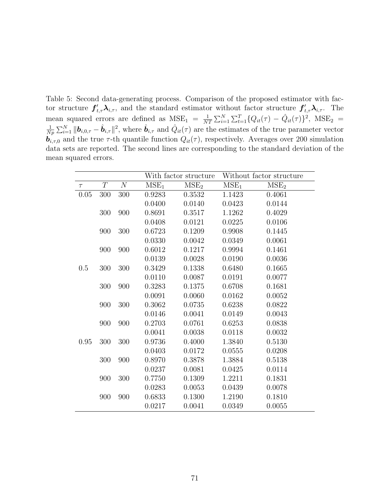Table 5: Second data-generating process. Comparison of the proposed estimator with factor structure  $f'_{t,\tau}\lambda_{i,\tau}$ , and the standard estimator without factor structure  $f'_{t,\tau}\lambda_{i,\tau}$ . The mean squared errors are defined as  $MSE_1 = \frac{1}{N'}$  $\frac{1}{NT} \sum_{i=1}^{N} \sum_{t=1}^{T} \{Q_{it}(\tau) - \hat{Q}_{it}(\tau)\}^2$ , MSE<sub>2</sub> = 1  $\frac{1}{Np} \sum_{i=1}^{N} ||\boldsymbol{b}_{i,0,\tau} - \hat{\boldsymbol{b}}_{i,\tau}||^2$ , where  $\hat{\boldsymbol{b}}_{i,\tau}$  and  $\hat{Q}_{it}(\tau)$  are the estimates of the true parameter vector  $\vec{b}_{i,\tau,0}$  and the true  $\tau$ -th quantile function  $Q_{it}(\tau)$ , respectively. Averages over 200 simulation data sets are reported. The second lines are corresponding to the standard deviation of the mean squared errors.

|        |          |          | With factor structure |                  | Without factor structure |                  |
|--------|----------|----------|-----------------------|------------------|--------------------------|------------------|
| $\tau$ | $\cal T$ | $\cal N$ | MSE <sub>1</sub>      | MSE <sub>2</sub> | MSE <sub>1</sub>         | MSE <sub>2</sub> |
| 0.05   | 300      | 300      | 0.9283                | 0.3532           | 1.1423                   | 0.4061           |
|        |          |          | 0.0400                | 0.0140           | 0.0423                   | 0.0144           |
|        | 300      | 900      | 0.8691                | 0.3517           | 1.1262                   | 0.4029           |
|        |          |          | 0.0408                | 0.0121           | 0.0225                   | 0.0106           |
|        | 900      | 300      | 0.6723                | 0.1209           | 0.9908                   | 0.1445           |
|        |          |          | 0.0330                | 0.0042           | 0.0349                   | 0.0061           |
|        | 900      | 900      | 0.6012                | 0.1217           | 0.9994                   | 0.1461           |
|        |          |          | 0.0139                | 0.0028           | 0.0190                   | 0.0036           |
| 0.5    | 300      | 300      | 0.3429                | 0.1338           | 0.6480                   | 0.1665           |
|        |          |          | 0.0110                | 0.0087           | 0.0191                   | 0.0077           |
|        | 300      | 900      | 0.3283                | 0.1375           | 0.6708                   | 0.1681           |
|        |          |          | 0.0091                | 0.0060           | 0.0162                   | 0.0052           |
|        | 900      | 300      | 0.3062                | 0.0735           | 0.6238                   | 0.0822           |
|        |          |          | 0.0146                | 0.0041           | 0.0149                   | 0.0043           |
|        | 900      | 900      | 0.2703                | 0.0761           | 0.6253                   | 0.0838           |
|        |          |          | 0.0041                | 0.0038           | 0.0118                   | 0.0032           |
| 0.95   | $300\,$  | 300      | 0.9736                | 0.4000           | 1.3840                   | 0.5130           |
|        |          |          | 0.0403                | 0.0172           | 0.0555                   | 0.0208           |
|        | $300\,$  | 900      | 0.8970                | 0.3878           | 1.3884                   | 0.5138           |
|        |          |          | 0.0237                | 0.0081           | 0.0425                   | 0.0114           |
|        | 900      | 300      | 0.7750                | 0.1309           | 1.2211                   | 0.1831           |
|        |          |          | 0.0283                | 0.0053           | 0.0439                   | 0.0078           |
|        | 900      | 900      | 0.6833                | 0.1300           | 1.2190                   | 0.1810           |
|        |          |          | 0.0217                | 0.0041           | 0.0349                   | 0.0055           |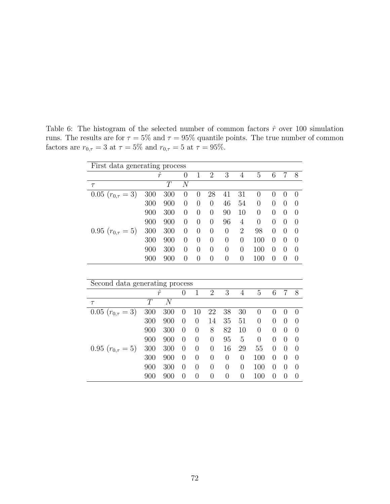| First data generating process  |           |       |                |                |                |                |                  |                |                |                |                |
|--------------------------------|-----------|-------|----------------|----------------|----------------|----------------|------------------|----------------|----------------|----------------|----------------|
|                                | $\hat{r}$ |       | $\overline{0}$ | $\mathbf{1}$   | $\overline{2}$ | 3              | $\overline{4}$   | $\overline{5}$ | 6              | $\overline{7}$ | 8              |
| $\tau$                         |           | T     | $\overline{N}$ |                |                |                |                  |                |                |                |                |
| $0.05$ $(r_{0,\tau} = 3)$      | 300       | 300   | $\overline{0}$ | $\overline{0}$ | 28             | 41             | 31               | $\overline{0}$ | $\overline{0}$ | $\overline{0}$ | $\overline{0}$ |
|                                | 300       | 900   | $\overline{0}$ | $\theta$       | $\overline{0}$ | 46             | 54               | $\overline{0}$ | $\theta$       | $\overline{0}$ | $\overline{0}$ |
|                                | 900       | 300   | $\overline{0}$ | $\theta$       | $\theta$       | 90             | 10               | 0              | $\theta$       | $\theta$       | $\overline{0}$ |
|                                | 900       | 900   | $\overline{0}$ | $\theta$       | $\theta$       | 96             | 4                | $\overline{0}$ | $\overline{0}$ | $\overline{0}$ | $\overline{0}$ |
| 0.95 $(r_{0,\tau} = 5)$        | 300       | 300   | $\overline{0}$ | $\theta$       | $\overline{0}$ | $\overline{0}$ | $\overline{2}$   | 98             | $\theta$       | $\theta$       | $\overline{0}$ |
|                                | 300       | 900   | $\overline{0}$ | $\theta$       | $\overline{0}$ | $\overline{0}$ | $\theta$         | 100            | 0              | $\overline{0}$ | $\overline{0}$ |
|                                | 900       | 300   | $\overline{0}$ | $\overline{0}$ | $\overline{0}$ | $\overline{0}$ | $\overline{0}$   | 100            | 0              | $\overline{0}$ | $\overline{0}$ |
|                                | 900       | 900   | $\overline{0}$ | $\overline{0}$ | $\overline{0}$ | $\overline{0}$ | $\overline{0}$   | 100            | $\overline{0}$ | $\overline{0}$ | $\overline{0}$ |
|                                |           |       |                |                |                |                |                  |                |                |                |                |
| Second data generating process |           |       |                |                |                |                |                  |                |                |                |                |
|                                | $\hat{r}$ |       | $\overline{0}$ | $\mathbf{1}$   | $\overline{2}$ | 3              | $\overline{4}$   | $\overline{5}$ | 6              | $\overline{7}$ | 8              |
| $\tau$                         | T         | $\,N$ |                |                |                |                |                  |                |                |                |                |
| $0.05$ $(r_{0,\tau} = 3)$      |           |       |                |                |                |                |                  |                |                |                |                |
|                                | 300       | 300   | $\overline{0}$ | 10             | 22             | 38             | 30               | $\theta$       | $\overline{0}$ | $\overline{0}$ | $\overline{0}$ |
|                                | 300       | 900   | $\overline{0}$ | $\overline{0}$ | 14             | 35             | 51               | $\overline{0}$ | $\theta$       | $\theta$       | $\overline{0}$ |
|                                | 900       | 300   | $\theta$       | $\theta$       | 8              | 82             | 10               | $\theta$       | $\theta$       | 0              | $\theta$       |
|                                | 900       | 900   | $\overline{0}$ | $\overline{0}$ | $\theta$       | 95             | 5                | $\theta$       | $\theta$       | $\theta$       | $\overline{0}$ |
| 0.95 $(r_{0,\tau} = 5)$        | 300       | 300   | $\theta$       | $\overline{0}$ | 0              | 16             | 29               | 55             | 0              | 0              | $\overline{0}$ |
|                                | 300       | 900   | $\overline{0}$ | $\overline{0}$ | 0              | $\overline{0}$ | $\boldsymbol{0}$ | 100            | $\theta$       | 0              | $\overline{0}$ |
|                                | 900       | 300   | $\overline{0}$ | $\overline{0}$ | $\overline{0}$ | $\overline{0}$ | $\overline{0}$   | 100            | $\theta$       | $\theta$       | $\overline{0}$ |

Table 6: The histogram of the selected number of common factors  $\hat{r}$  over 100 simulation runs. The results are for  $\tau = 5\%$  and  $\tau = 95\%$  quantile points. The true number of common factors are  $r_{0,\tau} = 3$  at  $\tau = 5\%$  and  $r_{0,\tau} = 5$  at  $\tau = 95\%$ .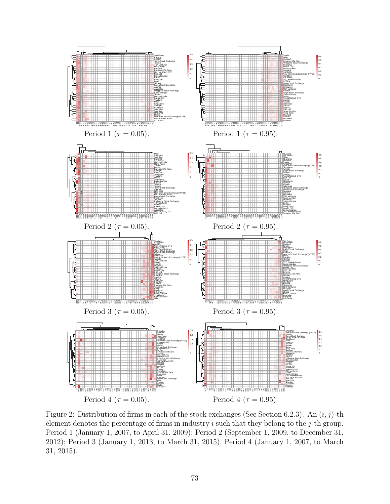

Figure 2: Distribution of firms in each of the stock exchanges (See Section 6.2.3). An  $(i, j)$ -th element denotes the percentage of firms in industry  $i$  such that they belong to the  $j$ -th group. Period 1 (January 1, 2007, to April 31, 2009); Period 2 (September 1, 2009, to December 31, 2012); Period 3 (January 1, 2013, to March 31, 2015), Period 4 (January 1, 2007, to March 31, 2015).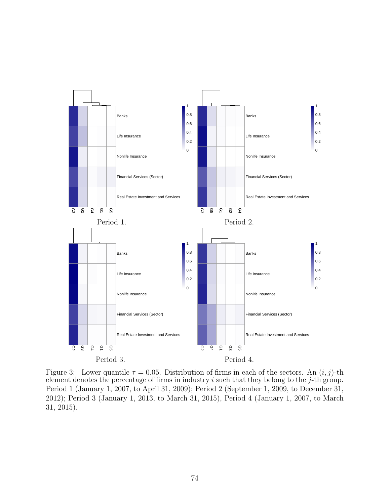

Figure 3: Lower quantile  $\tau = 0.05$ . Distribution of firms in each of the sectors. An  $(i, j)$ -th element denotes the percentage of firms in industry  $i$  such that they belong to the  $j$ -th group. Period 1 (January 1, 2007, to April 31, 2009); Period 2 (September 1, 2009, to December 31, 2012); Period 3 (January 1, 2013, to March 31, 2015), Period 4 (January 1, 2007, to March 31, 2015).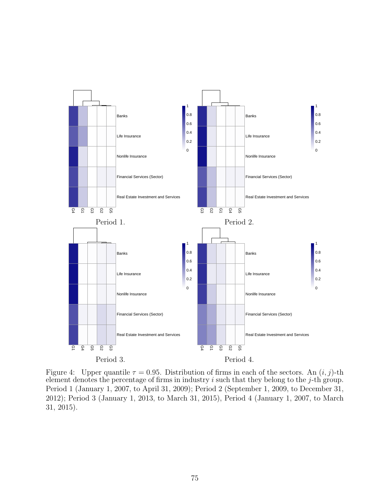

Figure 4: Upper quantile  $\tau = 0.95$ . Distribution of firms in each of the sectors. An  $(i, j)$ -th element denotes the percentage of firms in industry  $i$  such that they belong to the  $j$ -th group. Period 1 (January 1, 2007, to April 31, 2009); Period 2 (September 1, 2009, to December 31, 2012); Period 3 (January 1, 2013, to March 31, 2015), Period 4 (January 1, 2007, to March 31, 2015).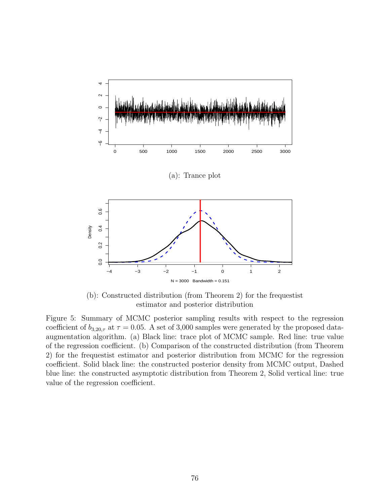

(b): Constructed distribution (from Theorem 2) for the frequestist estimator and posterior distribution

Figure 5: Summary of MCMC posterior sampling results with respect to the regression coefficient of  $b_{3,20,\tau}$  at  $\tau = 0.05$ . A set of 3,000 samples were generated by the proposed dataaugmentation algorithm. (a) Black line: trace plot of MCMC sample. Red line: true value of the regression coefficient. (b) Comparison of the constructed distribution (from Theorem 2) for the frequestist estimator and posterior distribution from MCMC for the regression coefficient. Solid black line: the constructed posterior density from MCMC output, Dashed blue line: the constructed asymptotic distribution from Theorem 2, Solid vertical line: true value of the regression coefficient.